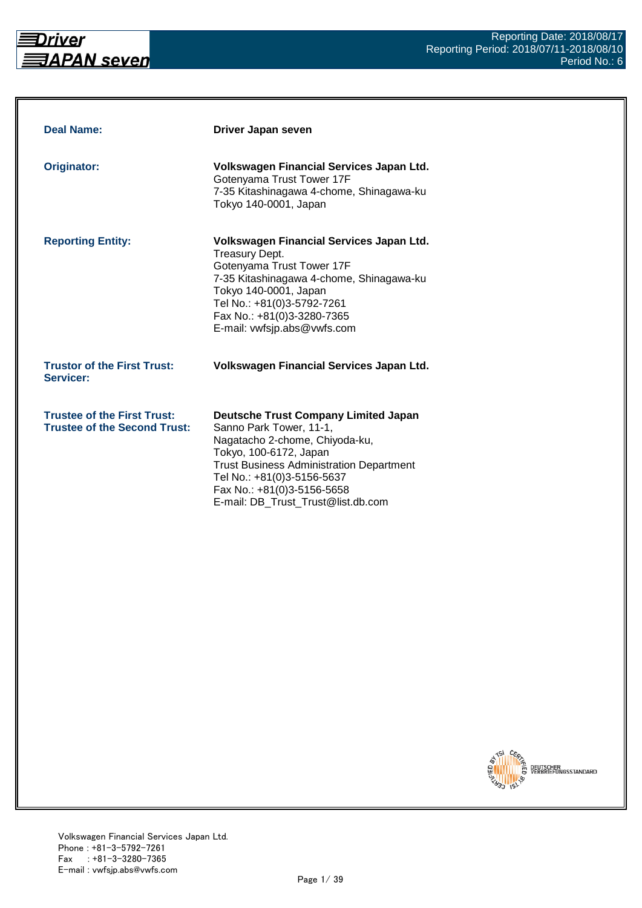

| <b>Deal Name:</b>                                                         | Driver Japan seven                                                                                                                                                                                                                                                                      |
|---------------------------------------------------------------------------|-----------------------------------------------------------------------------------------------------------------------------------------------------------------------------------------------------------------------------------------------------------------------------------------|
| <b>Originator:</b>                                                        | Volkswagen Financial Services Japan Ltd.<br>Gotenyama Trust Tower 17F<br>7-35 Kitashinagawa 4-chome, Shinagawa-ku<br>Tokyo 140-0001, Japan                                                                                                                                              |
| <b>Reporting Entity:</b>                                                  | Volkswagen Financial Services Japan Ltd.<br><b>Treasury Dept.</b><br>Gotenyama Trust Tower 17F<br>7-35 Kitashinagawa 4-chome, Shinagawa-ku<br>Tokyo 140-0001, Japan<br>Tel No.: +81(0)3-5792-7261<br>Fax No.: +81(0)3-3280-7365<br>E-mail: vwfsjp.abs@vwfs.com                          |
| <b>Trustor of the First Trust:</b><br>Servicer:                           | Volkswagen Financial Services Japan Ltd.                                                                                                                                                                                                                                                |
| <b>Trustee of the First Trust:</b><br><b>Trustee of the Second Trust:</b> | <b>Deutsche Trust Company Limited Japan</b><br>Sanno Park Tower, 11-1,<br>Nagatacho 2-chome, Chiyoda-ku,<br>Tokyo, 100-6172, Japan<br><b>Trust Business Administration Department</b><br>Tel No.: +81(0)3-5156-5637<br>Fax No.: +81(0)3-5156-5658<br>E-mail: DB_Trust_Trust@list.db.com |

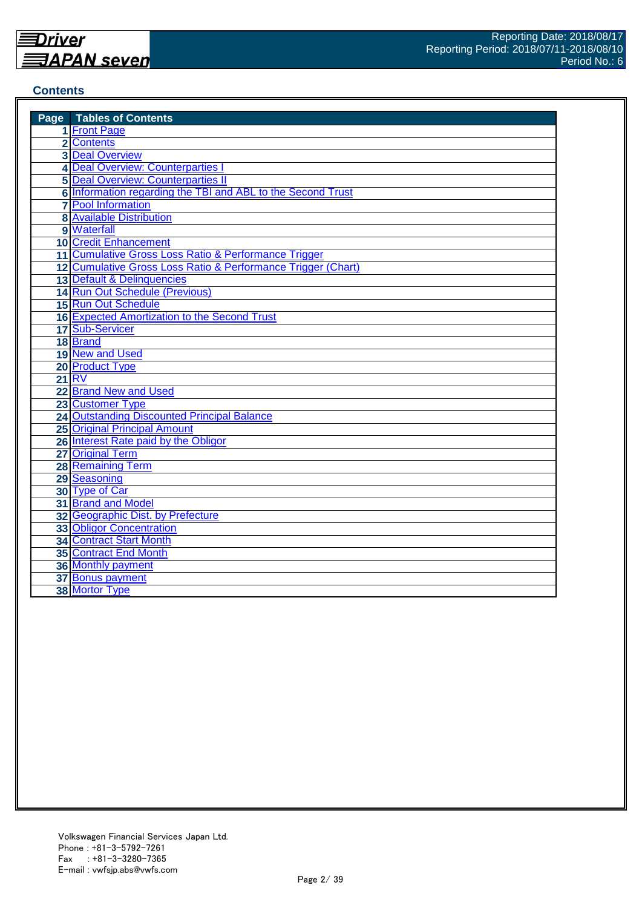#### **Contents**

| <b>Page</b> Tables of Contents                               |
|--------------------------------------------------------------|
| 1 Front Page                                                 |
| 2 Contents                                                   |
| <b>3 Deal Overview</b>                                       |
| 4 Deal Overview: Counterparties                              |
| <b>5 Deal Overview: Counterparties II</b>                    |
| 6 Information regarding the TBI and ABL to the Second Trust  |
| <b>7</b> Pool Information                                    |
| <b>8 Available Distribution</b>                              |
| 9 Waterfall                                                  |
| <b>10 Credit Enhancement</b>                                 |
| 11 Cumulative Gross Loss Ratio & Performance Trigger         |
| 12 Cumulative Gross Loss Ratio & Performance Trigger (Chart) |
| 13 Default & Delinquencies                                   |
| 14 Run Out Schedule (Previous)                               |
| 15 Run Out Schedule                                          |
| <b>16 Expected Amortization to the Second Trust</b>          |
| 17 Sub-Servicer                                              |
| 18 Brand                                                     |
| 19 New and Used                                              |
| 20 Product Type                                              |
| $21$ RV                                                      |
| 22 Brand New and Used                                        |
| 23 Customer Type                                             |
| 24 Outstanding Discounted Principal Balance                  |
| <b>25 Original Principal Amount</b>                          |
| 26 Interest Rate paid by the Obligor                         |
| 27 Original Term                                             |
| 28 Remaining Term                                            |
| 29 Seasoning                                                 |
| 30 Type of Car                                               |
| 31 Brand and Model                                           |
| 32 Geographic Dist. by Prefecture                            |
| 33 Obligor Concentration                                     |
| <b>34 Contract Start Month</b>                               |
| <b>35 Contract End Month</b>                                 |
| <b>36 Monthly payment</b>                                    |
| 37 Bonus payment                                             |
| 38 Mortor Type                                               |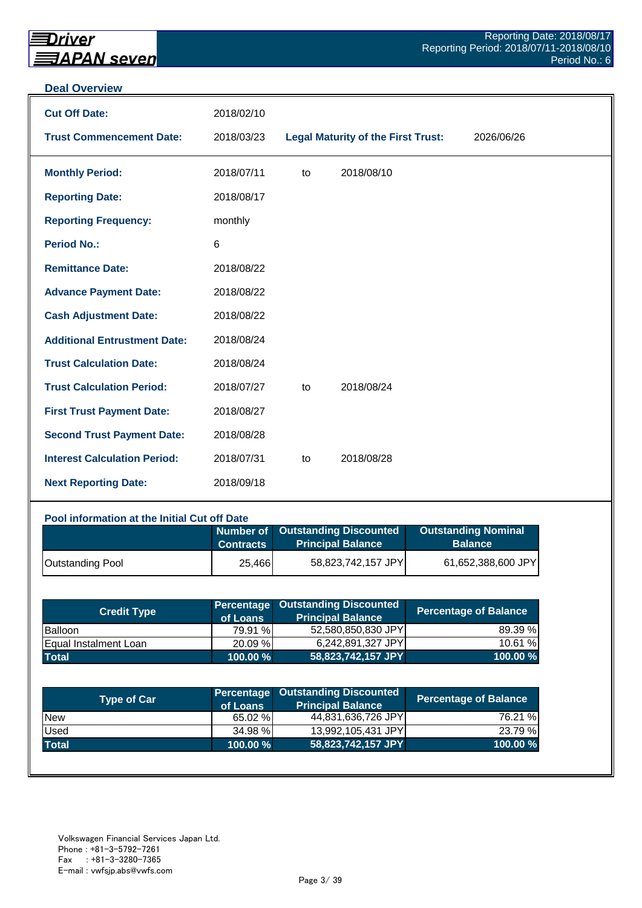#### **Deal Overview**

| <b>Cut Off Date:</b>                | 2018/02/10     |    |                                           |            |
|-------------------------------------|----------------|----|-------------------------------------------|------------|
| <b>Trust Commencement Date:</b>     | 2018/03/23     |    | <b>Legal Maturity of the First Trust:</b> | 2026/06/26 |
| <b>Monthly Period:</b>              | 2018/07/11     | to | 2018/08/10                                |            |
| <b>Reporting Date:</b>              | 2018/08/17     |    |                                           |            |
| <b>Reporting Frequency:</b>         | monthly        |    |                                           |            |
| <b>Period No.:</b>                  | $6\phantom{1}$ |    |                                           |            |
| <b>Remittance Date:</b>             | 2018/08/22     |    |                                           |            |
| <b>Advance Payment Date:</b>        | 2018/08/22     |    |                                           |            |
| <b>Cash Adjustment Date:</b>        | 2018/08/22     |    |                                           |            |
| <b>Additional Entrustment Date:</b> | 2018/08/24     |    |                                           |            |
| <b>Trust Calculation Date:</b>      | 2018/08/24     |    |                                           |            |
| <b>Trust Calculation Period:</b>    | 2018/07/27     | to | 2018/08/24                                |            |
| <b>First Trust Payment Date:</b>    | 2018/08/27     |    |                                           |            |
| <b>Second Trust Payment Date:</b>   | 2018/08/28     |    |                                           |            |
| <b>Interest Calculation Period:</b> | 2018/07/31     | to | 2018/08/28                                |            |
| <b>Next Reporting Date:</b>         | 2018/09/18     |    |                                           |            |

# **Pool information at the Initial Cut off Date**

|                         | <b>Contracts</b> | Number of Outstanding Discounted<br><b>Principal Balance</b> | <b>Outstanding Nominal</b><br><b>Balance</b> |
|-------------------------|------------------|--------------------------------------------------------------|----------------------------------------------|
| <b>Outstanding Pool</b> | 25,466           | 58,823,742,157 JPY                                           | 61,652,388,600 JPY                           |

| <b>Credit Type</b>    | of Loans    | <b>Percentage Outstanding Discounted</b><br><b>Principal Balance</b> | <b>Percentage of Balance</b> |
|-----------------------|-------------|----------------------------------------------------------------------|------------------------------|
| <b>Balloon</b>        | 79.91 %     | 52,580,850,830 JPY                                                   | 89.39 %                      |
| Equal Instalment Loan | 20.09 %     | 6,242,891,327 JPY                                                    | 10.61 %                      |
| <b>Total</b>          | $100.00 \%$ | 58,823,742,157 JPY                                                   | 100.00 %                     |

| <b>Type of Car</b> | of Loans | Percentage Outstanding Discounted<br><b>Principal Balance</b> | <b>Percentage of Balance</b> |
|--------------------|----------|---------------------------------------------------------------|------------------------------|
| <b>New</b>         | 65.02 %  | 44,831,636,726 JPY                                            | 76.21 %                      |
| Used               | 34.98 %  | 13,992,105,431 JPY                                            | 23.79 %                      |
| <b>Total</b>       | 100.00 % | 58,823,742,157 JPY                                            | 100.00%                      |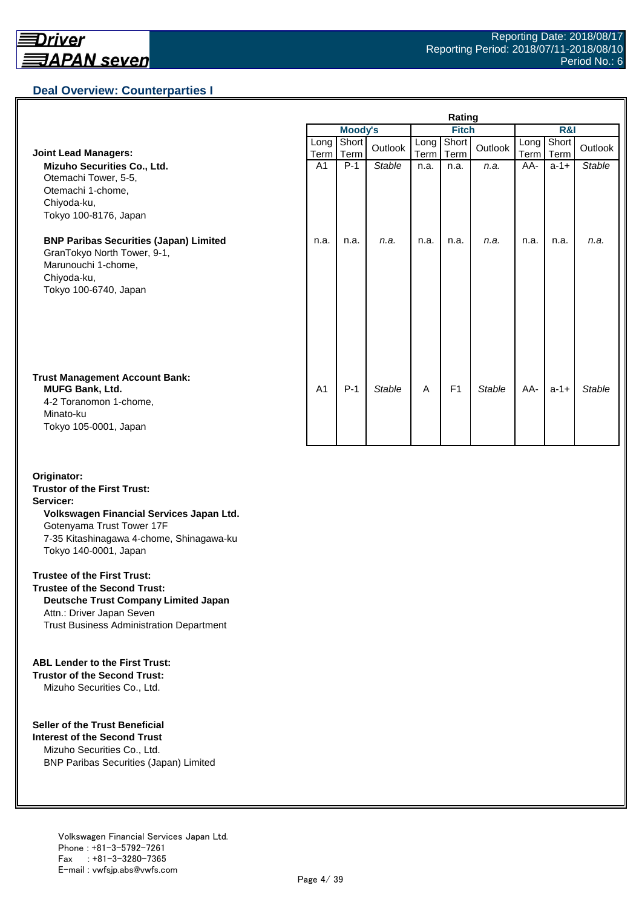# **Deal Overview: Counterparties I**

|                                                                                                                                             | Rating         |                |               |              |                    |               |              |               |               |
|---------------------------------------------------------------------------------------------------------------------------------------------|----------------|----------------|---------------|--------------|--------------------|---------------|--------------|---------------|---------------|
|                                                                                                                                             |                | <b>Moody's</b> |               | <b>Fitch</b> |                    |               | R&I          |               |               |
| <b>Joint Lead Managers:</b>                                                                                                                 | Long<br>Term   | Short<br>Term  | Outlook       | Long         | Short<br>Term Term | Outlook       | Long<br>Term | Short<br>Term | Outlook       |
| Mizuho Securities Co., Ltd.<br>Otemachi Tower, 5-5,<br>Otemachi 1-chome,<br>Chiyoda-ku,<br>Tokyo 100-8176, Japan                            | A <sub>1</sub> | $P-1$          | <b>Stable</b> | n.a.         | n.a.               | n.a.          | AA-          | $a-1+$        | <b>Stable</b> |
| <b>BNP Paribas Securities (Japan) Limited</b><br>GranTokyo North Tower, 9-1,<br>Marunouchi 1-chome,<br>Chiyoda-ku,<br>Tokyo 100-6740, Japan | n.a.           | n.a.           | n.a.          | n.a.         | n.a.               | n.a.          | n.a.         | n.a.          | n.a.          |
| <b>Trust Management Account Bank:</b><br><b>MUFG Bank, Ltd.</b><br>4-2 Toranomon 1-chome,<br>Minato-ku<br>Tokyo 105-0001, Japan             | A <sub>1</sub> | $P-1$          | <b>Stable</b> | A            | F <sub>1</sub>     | <b>Stable</b> | AA-          | $a-1+$        | Stable        |

#### **Originator: Trustor of the First Trust: Servicer: Volkswagen Financial Services Japan Ltd.** Gotenyama Trust Tower 17F 7-35 Kitashinagawa 4-chome, Shinagawa-ku Tokyo 140-0001, Japan

#### **Trustee of the First Trust:**

**Trustee of the Second Trust: Deutsche Trust Company Limited Japan** Attn.: Driver Japan Seven Trust Business Administration Department

#### **ABL Lender to the First Trust:**

**Trustor of the Second Trust:** Mizuho Securities Co., Ltd.

#### **Seller of the Trust Beneficial**

**Interest of the Second Trust** Mizuho Securities Co., Ltd. BNP Paribas Securities (Japan) Limited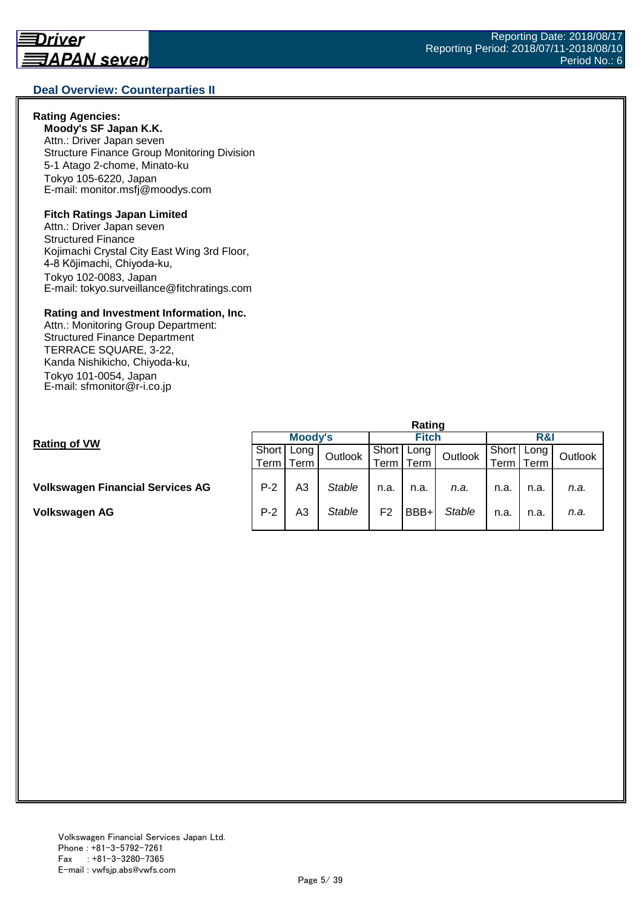#### **Deal Overview: Counterparties II**

#### **Rating Agencies:**

**Moody's SF Japan K.K.** Attn.: Driver Japan seven Structure Finance Group Monitoring Division 5-1 Atago 2-chome, Minato-ku Tokyo 105-6220, Japan E-mail: monitor.msfj@moodys.com

#### **Fitch Ratings Japan Limited**

Attn.: Driver Japan seven Structured Finance Kojimachi Crystal City East Wing 3rd Floor, 4-8 Kōjimachi, Chiyoda-ku, Tokyo 102-0083, Japan E-mail: tokyo.surveillance@fitchratings.com

#### **Rating and Investment Information, Inc.**

Attn.: Monitoring Group Department: Structured Finance Department TERRACE SQUARE, 3-22, Kanda Nishikicho, Chiyoda-ku, Tokyo 101-0054, Japan E-mail: sfmonitor@r-i.co.jp

|                                         | Rating  |      |               |              |      |               |       |      |         |  |
|-----------------------------------------|---------|------|---------------|--------------|------|---------------|-------|------|---------|--|
| <b>Rating of VW</b>                     | Moody's |      |               | <b>Fitch</b> |      |               | R&I   |      |         |  |
|                                         | Short   | Long | Outlook       | Short        | Long | Outlook       | Short | Long | Outlook |  |
|                                         | Term    | Term |               | Term.        | Term |               | ⊺erm⊣ | Term |         |  |
|                                         |         |      |               |              |      |               |       |      |         |  |
| <b>Volkswagen Financial Services AG</b> | $P-2$   | A3   | <b>Stable</b> | n.a.         | n.a. | n.a.          | n.a.  | n.a. | n.a.    |  |
|                                         |         |      |               |              |      |               |       |      |         |  |
| Volkswagen AG                           | $P-2$   | A3   | Stable        | F2           | BBB+ | <b>Stable</b> | n.a.  | n.a. | n.a.    |  |
|                                         |         |      |               |              |      |               |       |      |         |  |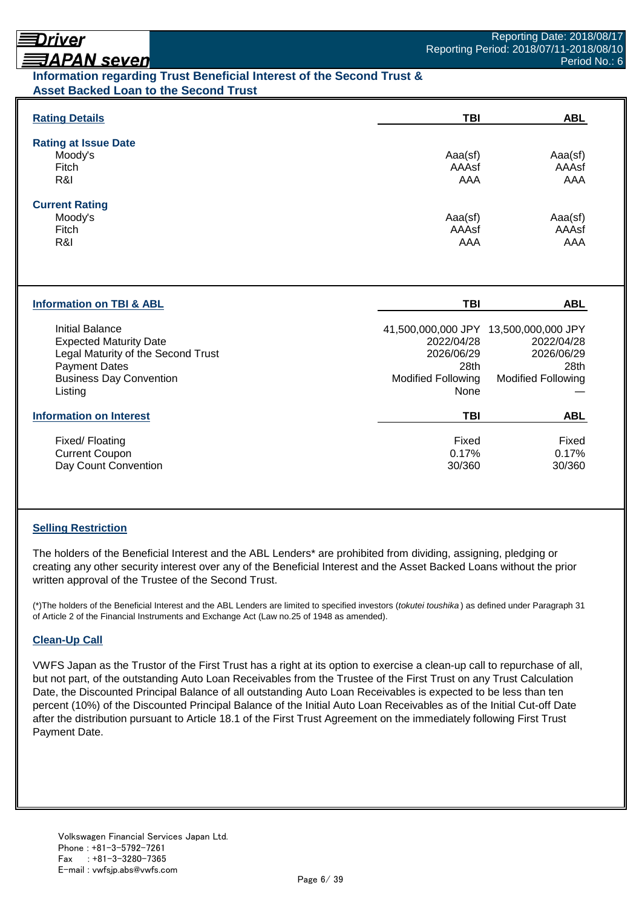# Driver

# **ヲAPAN seven**

# **Information regarding Trust Beneficial Interest of the Second Trust & Asset Backed Loan to the Second Trust**

| <b>Rating Details</b>                                                                                                                                              | <b>TBI</b>                                                     | <b>ABL</b>                                                                                             |
|--------------------------------------------------------------------------------------------------------------------------------------------------------------------|----------------------------------------------------------------|--------------------------------------------------------------------------------------------------------|
| <b>Rating at Issue Date</b><br>Moody's<br>Fitch<br>R&I                                                                                                             | Aaa(sf)<br>AAAsf<br><b>AAA</b>                                 | Aaa(sf)<br>AAAsf<br><b>AAA</b>                                                                         |
| <b>Current Rating</b><br>Moody's<br>Fitch<br>R&I                                                                                                                   | Aaa(sf)<br>AAAsf<br>AAA                                        | Aaa(sf)<br>AAAsf<br>AAA                                                                                |
| <b>Information on TBI &amp; ABL</b>                                                                                                                                | TBI                                                            | <b>ABL</b>                                                                                             |
| <b>Initial Balance</b><br><b>Expected Maturity Date</b><br>Legal Maturity of the Second Trust<br><b>Payment Dates</b><br><b>Business Day Convention</b><br>Listing | 2022/04/28<br>2026/06/29<br>28th<br>Modified Following<br>None | 41,500,000,000 JPY 13,500,000,000 JPY<br>2022/04/28<br>2026/06/29<br>28th<br><b>Modified Following</b> |
| <b>Information on Interest</b>                                                                                                                                     | <b>TBI</b>                                                     | <b>ABL</b>                                                                                             |
| Fixed/Floating<br><b>Current Coupon</b>                                                                                                                            | Fixed<br>0.17%                                                 | Fixed<br>0.17%                                                                                         |

# **Selling Restriction**

The holders of the Beneficial Interest and the ABL Lenders\* are prohibited from dividing, assigning, pledging or creating any other security interest over any of the Beneficial Interest and the Asset Backed Loans without the prior written approval of the Trustee of the Second Trust.

(\*)The holders of the Beneficial Interest and the ABL Lenders are limited to specified investors (*tokutei toushika* ) as defined under Paragraph 31 of Article 2 of the Financial Instruments and Exchange Act (Law no.25 of 1948 as amended).

#### **Clean-Up Call**

VWFS Japan as the Trustor of the First Trust has a right at its option to exercise a clean-up call to repurchase of all, but not part, of the outstanding Auto Loan Receivables from the Trustee of the First Trust on any Trust Calculation Date, the Discounted Principal Balance of all outstanding Auto Loan Receivables is expected to be less than ten percent (10%) of the Discounted Principal Balance of the Initial Auto Loan Receivables as of the Initial Cut-off Date after the distribution pursuant to Article 18.1 of the First Trust Agreement on the immediately following First Trust Payment Date.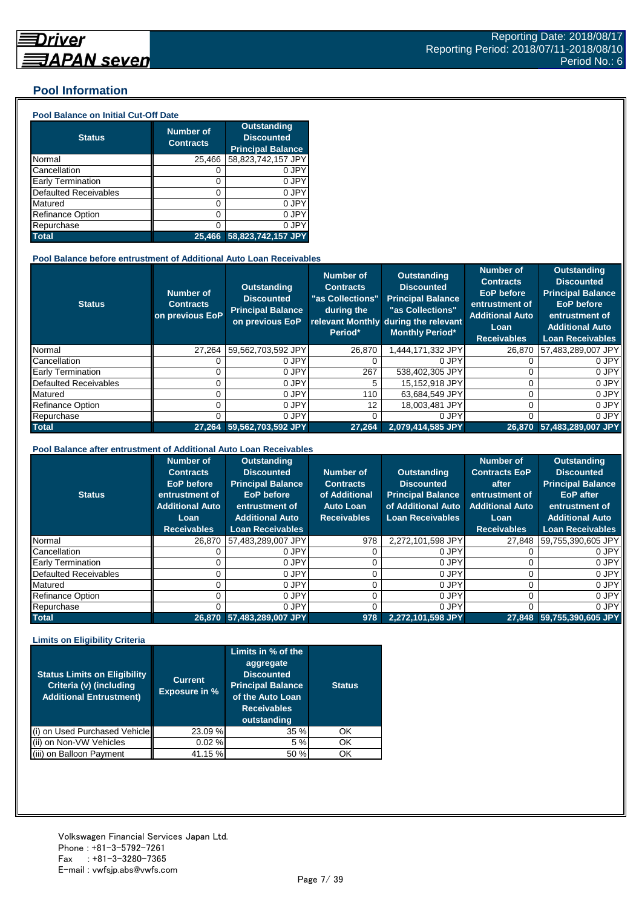### **Pool Information**

#### **Pool Balance on Initial Cut-Off Date**

| <b>Status</b>                | <b>Number of</b><br><b>Contracts</b> | <b>Outstanding</b><br><b>Discounted</b><br><b>Principal Balance</b> |
|------------------------------|--------------------------------------|---------------------------------------------------------------------|
| Normal                       | 25,466                               | 58,823,742,157 JPY                                                  |
| Cancellation                 | 0                                    | 0 JPY                                                               |
| Early Termination            | 0                                    | 0 JPY                                                               |
| <b>Defaulted Receivables</b> | 0                                    | 0 JPY                                                               |
| Matured                      | 0                                    | 0 JPY                                                               |
| <b>Refinance Option</b>      | 0                                    | 0 JPY                                                               |
| Repurchase                   | ი                                    | 0 JPY                                                               |
| <b>Total</b>                 | 25.466                               | 58,823,742,157 JPY                                                  |

#### **Pool Balance before entrustment of Additional Auto Loan Receivables**

| <b>Status</b>            | <b>Number of</b><br><b>Contracts</b><br>on previous EoP | <b>Outstanding</b><br><b>Discounted</b><br><b>Principal Balance</b><br>on previous EoP | <b>Number of</b><br><b>Contracts</b><br>"as Collections"<br>during the<br>Period* | Outstanding<br><b>Discounted</b><br><b>Principal Balance</b><br>"as Collections"<br>relevant Monthly during the relevant<br><b>Monthly Period*</b> | <b>Number of</b><br><b>Contracts</b><br><b>EoP</b> before<br>entrustment of<br><b>Additional Auto</b><br>Loan<br><b>Receivables</b> | <b>Outstanding</b><br><b>Discounted</b><br><b>Principal Balance</b><br><b>EoP</b> before<br>entrustment of<br><b>Additional Auto</b><br><b>Loan Receivables</b> |
|--------------------------|---------------------------------------------------------|----------------------------------------------------------------------------------------|-----------------------------------------------------------------------------------|----------------------------------------------------------------------------------------------------------------------------------------------------|-------------------------------------------------------------------------------------------------------------------------------------|-----------------------------------------------------------------------------------------------------------------------------------------------------------------|
| Normal                   | 27.264                                                  | 59,562,703,592 JPY                                                                     | 26.870                                                                            | .444.171.332 JPY                                                                                                                                   | 26,870                                                                                                                              | 57,483,289,007 JPY                                                                                                                                              |
| Cancellation             |                                                         | 0 JPY                                                                                  |                                                                                   | 0 JPY                                                                                                                                              |                                                                                                                                     | 0 JPY                                                                                                                                                           |
| <b>Early Termination</b> |                                                         | 0 JPY                                                                                  | 267                                                                               | 538,402,305 JPY                                                                                                                                    |                                                                                                                                     | 0 JPY                                                                                                                                                           |
| Defaulted Receivables    |                                                         | 0 JPY                                                                                  | 5                                                                                 | 15.152.918 JPY                                                                                                                                     |                                                                                                                                     | 0 JPY                                                                                                                                                           |
| Matured                  |                                                         | 0 JPY                                                                                  | 110                                                                               | 63,684,549 JPY                                                                                                                                     |                                                                                                                                     | 0 JPY                                                                                                                                                           |
| <b>Refinance Option</b>  |                                                         | 0 JPY                                                                                  | 12                                                                                | 18.003.481 JPY                                                                                                                                     |                                                                                                                                     | 0 JPY                                                                                                                                                           |
| Repurchase               |                                                         | 0 JPY                                                                                  |                                                                                   | 0 JPY                                                                                                                                              |                                                                                                                                     | 0 JPY                                                                                                                                                           |
| <b>Total</b>             | 27.264                                                  | 59,562,703,592 JPY                                                                     | 27.264                                                                            | 2,079,414,585 JPY                                                                                                                                  |                                                                                                                                     | 26,870 57,483,289,007 JPY                                                                                                                                       |

#### **Pool Balance after entrustment of Additional Auto Loan Receivables**

| <b>Status</b>            | <b>Number of</b><br><b>Contracts</b><br><b>EoP</b> before<br>entrustment of<br><b>Additional Auto</b><br>Loan<br><b>Receivables</b> | <b>Outstanding</b><br><b>Discounted</b><br><b>Principal Balance</b><br><b>EoP</b> before<br>entrustment of<br><b>Additional Auto</b><br><b>Loan Receivables</b> | Number of<br><b>Contracts</b><br>of Additional<br><b>Auto Loan</b><br><b>Receivables</b> | <b>Outstanding</b><br><b>Discounted</b><br><b>Principal Balance</b><br>of Additional Auto<br><b>Loan Receivables</b> | <b>Number of</b><br><b>Contracts EoP</b><br>after<br>entrustment of<br><b>Additional Auto</b><br>Loan<br><b>Receivables</b> | <b>Outstanding</b><br><b>Discounted</b><br><b>Principal Balance</b><br><b>EoP</b> after<br>entrustment of<br><b>Additional Auto</b><br><b>Loan Receivables</b> |
|--------------------------|-------------------------------------------------------------------------------------------------------------------------------------|-----------------------------------------------------------------------------------------------------------------------------------------------------------------|------------------------------------------------------------------------------------------|----------------------------------------------------------------------------------------------------------------------|-----------------------------------------------------------------------------------------------------------------------------|----------------------------------------------------------------------------------------------------------------------------------------------------------------|
| Normal                   | 26,870                                                                                                                              | 57,483,289,007 JPY                                                                                                                                              | 978                                                                                      | 2,272,101,598 JPY                                                                                                    | 27.848                                                                                                                      | 59,755,390,605 JPY                                                                                                                                             |
| Cancellation             |                                                                                                                                     | 0 JPY                                                                                                                                                           |                                                                                          | 0 JPY                                                                                                                |                                                                                                                             | 0 JPY                                                                                                                                                          |
| <b>Early Termination</b> |                                                                                                                                     | 0 JPY                                                                                                                                                           |                                                                                          | 0 JPY                                                                                                                |                                                                                                                             | 0 JPY                                                                                                                                                          |
| Defaulted Receivables    |                                                                                                                                     | 0 JPY                                                                                                                                                           |                                                                                          | 0 JPY                                                                                                                |                                                                                                                             | 0 JPY                                                                                                                                                          |
| Matured                  |                                                                                                                                     | 0 JPY                                                                                                                                                           |                                                                                          | 0 JPY                                                                                                                |                                                                                                                             | 0 JPY                                                                                                                                                          |
| <b>Refinance Option</b>  |                                                                                                                                     | 0 JPY                                                                                                                                                           |                                                                                          | 0 JPY                                                                                                                |                                                                                                                             | 0 JPY                                                                                                                                                          |
| Repurchase               |                                                                                                                                     | 0 JPY                                                                                                                                                           |                                                                                          | 0 JPY                                                                                                                |                                                                                                                             | 0 JPY                                                                                                                                                          |
| <b>Total</b>             |                                                                                                                                     | 26,870 57,483,289,007 JPY                                                                                                                                       | 978                                                                                      | 2.272.101.598 JPY                                                                                                    | 27.848                                                                                                                      | 59,755,390,605 JPY                                                                                                                                             |

#### **Limits on Eligibility Criteria**

| <b>Status Limits on Eligibility</b><br>Criteria (v) (including<br><b>Additional Entrustment)</b> | <b>Current</b><br><b>Exposure in %</b> | Limits in % of the<br>aggregate<br><b>Discounted</b><br><b>Principal Balance</b><br>of the Auto Loan<br><b>Receivables</b><br>outstanding | <b>Status</b> |
|--------------------------------------------------------------------------------------------------|----------------------------------------|-------------------------------------------------------------------------------------------------------------------------------------------|---------------|
| on Used Purchased Vehicle                                                                        | 23.09 %                                | 35 %                                                                                                                                      | OK            |
| on Non-VW Vehicles                                                                               | 0.02%                                  | 5 %                                                                                                                                       | OK            |
| (iii) on Balloon Payment                                                                         | 41.15 %                                | 50 %                                                                                                                                      | OK            |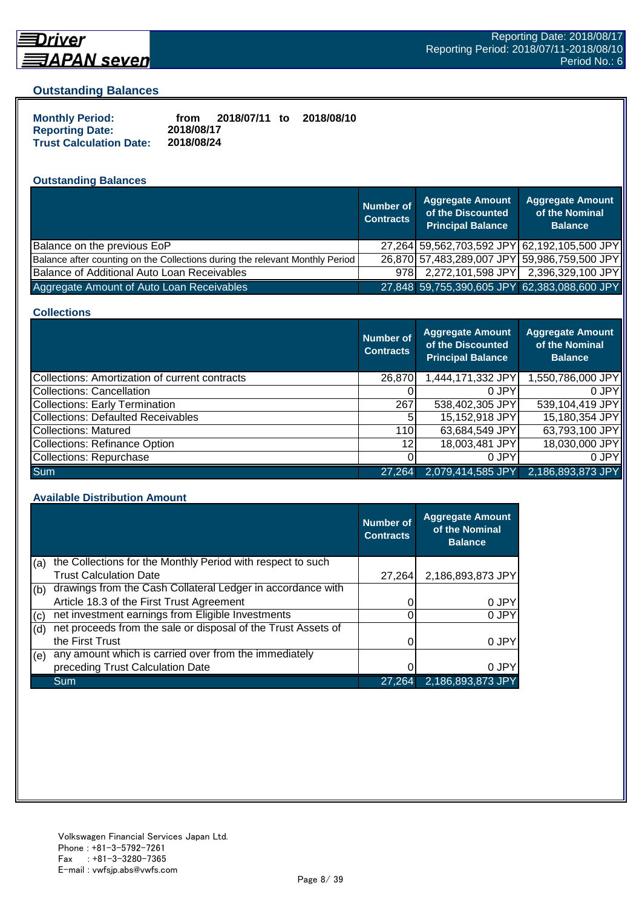

# **Driver**

#### **Outstanding Balances**

| <b>Monthly Period:</b>         | from       | 2018/07/11 to | 2018/08/10 |
|--------------------------------|------------|---------------|------------|
| <b>Reporting Date:</b>         | 2018/08/17 |               |            |
| <b>Trust Calculation Date:</b> | 2018/08/24 |               |            |

### **Outstanding Balances**

|                                                                              | <b>Number of</b><br><b>Contracts</b> | <b>Aggregate Amount</b><br>of the Discounted<br><b>Principal Balance</b> | <b>Aggregate Amount</b><br>of the Nominal<br><b>Balance</b> |
|------------------------------------------------------------------------------|--------------------------------------|--------------------------------------------------------------------------|-------------------------------------------------------------|
| Balance on the previous EoP                                                  |                                      | 27,264 59,562,703,592 JPY 62,192,105,500 JPY                             |                                                             |
| Balance after counting on the Collections during the relevant Monthly Period |                                      | 26,870 57,483,289,007 JPY 59,986,759,500 JPY                             |                                                             |
| Balance of Additional Auto Loan Receivables                                  | 978I                                 | 2,272,101,598 JPY                                                        | 2,396,329,100 JPY                                           |
| Aggregate Amount of Auto Loan Receivables                                    |                                      | 27,848 59,755,390,605 JPY 62,383,088,600 JPY                             |                                                             |

#### **Collections**

|                                                       | <b>Number of</b><br><b>Contracts</b> | <b>Aggregate Amount</b><br>of the Discounted<br><b>Principal Balance</b> | <b>Aggregate Amount</b><br>of the Nominal<br><b>Balance</b> |
|-------------------------------------------------------|--------------------------------------|--------------------------------------------------------------------------|-------------------------------------------------------------|
| <b>Collections: Amortization of current contracts</b> | 26,870                               | 1,444,171,332 JPY                                                        | 1,550,786,000 JPY                                           |
| Collections: Cancellation                             |                                      | 0 JPY                                                                    | 0.JPY                                                       |
| <b>Collections: Early Termination</b>                 | 267                                  | 538,402,305 JPY                                                          | 539,104,419 JPY                                             |
| <b>Collections: Defaulted Receivables</b>             | 5                                    | 15,152,918 JPY                                                           | 15,180,354 JPY                                              |
| Collections: Matured                                  | <b>110</b>                           | 63,684,549 JPY                                                           | 63,793,100 JPY                                              |
| <b>Collections: Refinance Option</b>                  | 12                                   | 18,003,481 JPY                                                           | 18,030,000 JPY                                              |
| Collections: Repurchase                               |                                      | 0 JPY                                                                    | 0 JPY                                                       |
| <b>Sum</b>                                            | 27.264                               | 2,079,414,585 JPY                                                        | 2,186,893,873 JPY                                           |

#### **Available Distribution Amount**

|     |                                                               | Number of<br><b>Contracts</b> | <b>Aggregate Amount</b><br>of the Nominal<br><b>Balance</b> |
|-----|---------------------------------------------------------------|-------------------------------|-------------------------------------------------------------|
| (a) | the Collections for the Monthly Period with respect to such   |                               |                                                             |
|     | <b>Trust Calculation Date</b>                                 | 27.264                        | 2,186,893,873 JPY                                           |
| (b) | drawings from the Cash Collateral Ledger in accordance with   |                               |                                                             |
|     | Article 18.3 of the First Trust Agreement                     |                               | 0 JPY                                                       |
| (c) | net investment earnings from Eligible Investments             |                               | 0 JPY                                                       |
| (d) | net proceeds from the sale or disposal of the Trust Assets of |                               |                                                             |
|     | the First Trust                                               |                               | 0 JPY                                                       |
| (e) | any amount which is carried over from the immediately         |                               |                                                             |
|     | preceding Trust Calculation Date                              |                               | 0 JPY                                                       |
|     | Sum                                                           | 27.264                        | 2,186,893,873 JPY                                           |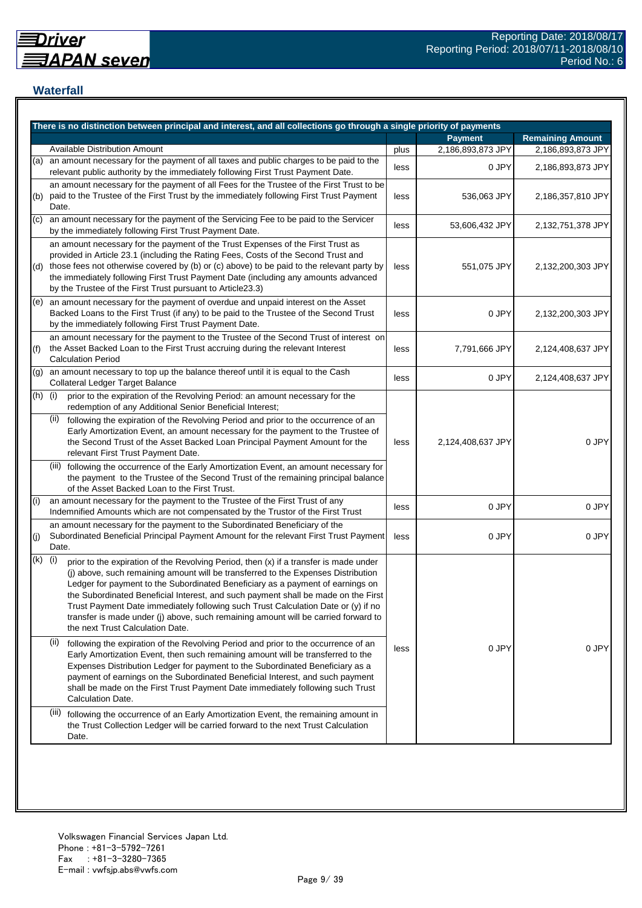# **Waterfall**

|     | There is no distinction between principal and interest, and all collections go through a single priority of payments                                                                                                                                                                                                                                                                                                                                                                                                                                                    |      |                   |                         |
|-----|-------------------------------------------------------------------------------------------------------------------------------------------------------------------------------------------------------------------------------------------------------------------------------------------------------------------------------------------------------------------------------------------------------------------------------------------------------------------------------------------------------------------------------------------------------------------------|------|-------------------|-------------------------|
|     |                                                                                                                                                                                                                                                                                                                                                                                                                                                                                                                                                                         |      | <b>Payment</b>    | <b>Remaining Amount</b> |
|     | <b>Available Distribution Amount</b>                                                                                                                                                                                                                                                                                                                                                                                                                                                                                                                                    | plus | 2,186,893,873 JPY | 2,186,893,873 JPY       |
| (a) | an amount necessary for the payment of all taxes and public charges to be paid to the<br>relevant public authority by the immediately following First Trust Payment Date.                                                                                                                                                                                                                                                                                                                                                                                               | less | 0 JPY             | 2,186,893,873 JPY       |
| (b) | an amount necessary for the payment of all Fees for the Trustee of the First Trust to be<br>paid to the Trustee of the First Trust by the immediately following First Trust Payment<br>Date.                                                                                                                                                                                                                                                                                                                                                                            | less | 536,063 JPY       | 2,186,357,810 JPY       |
| (c) | an amount necessary for the payment of the Servicing Fee to be paid to the Servicer<br>by the immediately following First Trust Payment Date.                                                                                                                                                                                                                                                                                                                                                                                                                           | less | 53,606,432 JPY    | 2,132,751,378 JPY       |
| (d) | an amount necessary for the payment of the Trust Expenses of the First Trust as<br>provided in Article 23.1 (including the Rating Fees, Costs of the Second Trust and<br>those fees not otherwise covered by (b) or (c) above) to be paid to the relevant party by<br>the immediately following First Trust Payment Date (including any amounts advanced<br>by the Trustee of the First Trust pursuant to Article23.3)                                                                                                                                                  | less | 551,075 JPY       | 2,132,200,303 JPY       |
| (e) | an amount necessary for the payment of overdue and unpaid interest on the Asset<br>Backed Loans to the First Trust (if any) to be paid to the Trustee of the Second Trust<br>by the immediately following First Trust Payment Date.                                                                                                                                                                                                                                                                                                                                     | less | 0 JPY             | 2,132,200,303 JPY       |
| (f) | an amount necessary for the payment to the Trustee of the Second Trust of interest on<br>the Asset Backed Loan to the First Trust accruing during the relevant Interest<br><b>Calculation Period</b>                                                                                                                                                                                                                                                                                                                                                                    | less | 7,791,666 JPY     | 2,124,408,637 JPY       |
| (g) | an amount necessary to top up the balance thereof until it is equal to the Cash<br>Collateral Ledger Target Balance                                                                                                                                                                                                                                                                                                                                                                                                                                                     | less | 0 JPY             | 2,124,408,637 JPY       |
| (h) | (i)<br>prior to the expiration of the Revolving Period: an amount necessary for the<br>redemption of any Additional Senior Beneficial Interest;                                                                                                                                                                                                                                                                                                                                                                                                                         |      |                   |                         |
|     | (ii)<br>following the expiration of the Revolving Period and prior to the occurrence of an<br>Early Amortization Event, an amount necessary for the payment to the Trustee of<br>the Second Trust of the Asset Backed Loan Principal Payment Amount for the<br>relevant First Trust Payment Date.                                                                                                                                                                                                                                                                       | less | 2,124,408,637 JPY | 0 JPY                   |
|     | (iii) following the occurrence of the Early Amortization Event, an amount necessary for<br>the payment to the Trustee of the Second Trust of the remaining principal balance<br>of the Asset Backed Loan to the First Trust.                                                                                                                                                                                                                                                                                                                                            |      |                   |                         |
| (i) | an amount necessary for the payment to the Trustee of the First Trust of any<br>Indemnified Amounts which are not compensated by the Trustor of the First Trust                                                                                                                                                                                                                                                                                                                                                                                                         | less | 0 JPY             | 0 JPY                   |
| (j) | an amount necessary for the payment to the Subordinated Beneficiary of the<br>Subordinated Beneficial Principal Payment Amount for the relevant First Trust Payment<br>Date.                                                                                                                                                                                                                                                                                                                                                                                            | less | 0 JPY             | 0 JPY                   |
| (k) | (i)<br>prior to the expiration of the Revolving Period, then (x) if a transfer is made under<br>(j) above, such remaining amount will be transferred to the Expenses Distribution<br>Ledger for payment to the Subordinated Beneficiary as a payment of earnings on<br>the Subordinated Beneficial Interest, and such payment shall be made on the First<br>Trust Payment Date immediately following such Trust Calculation Date or (y) if no<br>transfer is made under (j) above, such remaining amount will be carried forward to<br>the next Trust Calculation Date. |      |                   |                         |
|     | (ii)<br>following the expiration of the Revolving Period and prior to the occurrence of an<br>Early Amortization Event, then such remaining amount will be transferred to the<br>Expenses Distribution Ledger for payment to the Subordinated Beneficiary as a<br>payment of earnings on the Subordinated Beneficial Interest, and such payment<br>shall be made on the First Trust Payment Date immediately following such Trust<br>Calculation Date.                                                                                                                  | less | 0 JPY             | 0 JPY                   |
|     | (iii)<br>following the occurrence of an Early Amortization Event, the remaining amount in<br>the Trust Collection Ledger will be carried forward to the next Trust Calculation<br>Date.                                                                                                                                                                                                                                                                                                                                                                                 |      |                   |                         |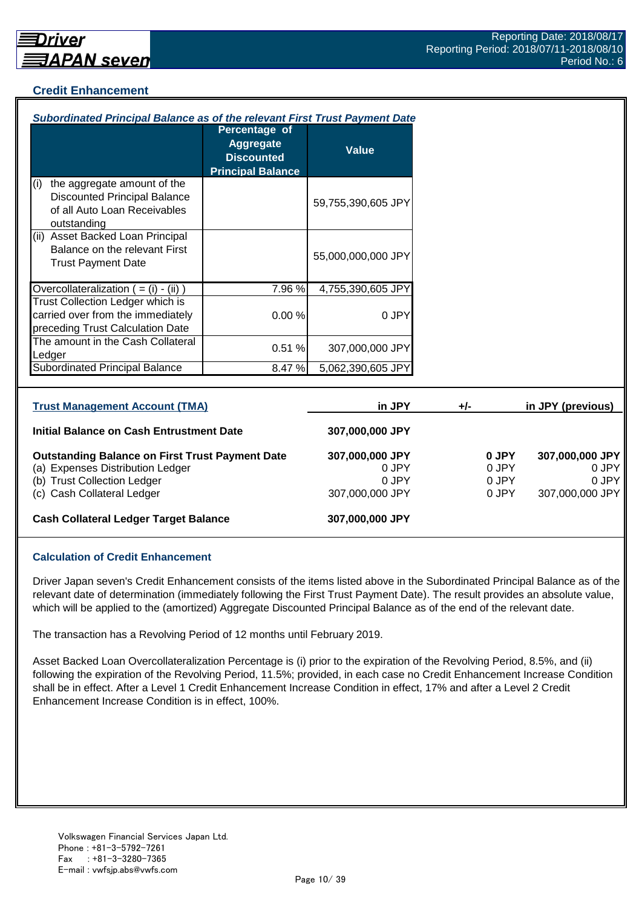#### **Credit Enhancement**

| Subordinated Principal Balance as of the relevant First Trust Payment Date                                                                              |                                                                                    |                                                      |     |                                  |                                                      |
|---------------------------------------------------------------------------------------------------------------------------------------------------------|------------------------------------------------------------------------------------|------------------------------------------------------|-----|----------------------------------|------------------------------------------------------|
|                                                                                                                                                         | Percentage of<br><b>Aggregate</b><br><b>Discounted</b><br><b>Principal Balance</b> | <b>Value</b>                                         |     |                                  |                                                      |
| the aggregate amount of the<br>(i)<br><b>Discounted Principal Balance</b><br>of all Auto Loan Receivables<br>outstanding                                |                                                                                    | 59,755,390,605 JPY                                   |     |                                  |                                                      |
| (ii) Asset Backed Loan Principal<br>Balance on the relevant First<br><b>Trust Payment Date</b>                                                          |                                                                                    | 55,000,000,000 JPY                                   |     |                                  |                                                      |
| Overcollateralization $( = (i) - (ii))$                                                                                                                 | 7.96 %                                                                             | 4,755,390,605 JPY                                    |     |                                  |                                                      |
| Trust Collection Ledger which is<br>carried over from the immediately<br>preceding Trust Calculation Date                                               | 0.00%                                                                              | 0 JPY                                                |     |                                  |                                                      |
| The amount in the Cash Collateral<br>Ledger                                                                                                             | 0.51%                                                                              | 307,000,000 JPY                                      |     |                                  |                                                      |
| <b>Subordinated Principal Balance</b>                                                                                                                   | 8.47%                                                                              | 5,062,390,605 JPY                                    |     |                                  |                                                      |
| <b>Trust Management Account (TMA)</b>                                                                                                                   |                                                                                    | in JPY                                               | +/- |                                  | in JPY (previous)                                    |
| <b>Initial Balance on Cash Entrustment Date</b>                                                                                                         |                                                                                    | 307,000,000 JPY                                      |     |                                  |                                                      |
| <b>Outstanding Balance on First Trust Payment Date</b><br>(a) Expenses Distribution Ledger<br>(b) Trust Collection Ledger<br>(c) Cash Collateral Ledger |                                                                                    | 307,000,000 JPY<br>0 JPY<br>0 JPY<br>307,000,000 JPY |     | 0 JPY<br>0 JPY<br>0 JPY<br>0 JPY | 307,000,000 JPY<br>0 JPY<br>0 JPY<br>307,000,000 JPY |
| <b>Cash Collateral Ledger Target Balance</b>                                                                                                            |                                                                                    | 307,000,000 JPY                                      |     |                                  |                                                      |

# **Calculation of Credit Enhancement**

Driver Japan seven's Credit Enhancement consists of the items listed above in the Subordinated Principal Balance as of the relevant date of determination (immediately following the First Trust Payment Date). The result provides an absolute value, which will be applied to the (amortized) Aggregate Discounted Principal Balance as of the end of the relevant date.

The transaction has a Revolving Period of 12 months until February 2019.

Asset Backed Loan Overcollateralization Percentage is (i) prior to the expiration of the Revolving Period, 8.5%, and (ii) following the expiration of the Revolving Period, 11.5%; provided, in each case no Credit Enhancement Increase Condition shall be in effect. After a Level 1 Credit Enhancement Increase Condition in effect, 17% and after a Level 2 Credit Enhancement Increase Condition is in effect, 100%.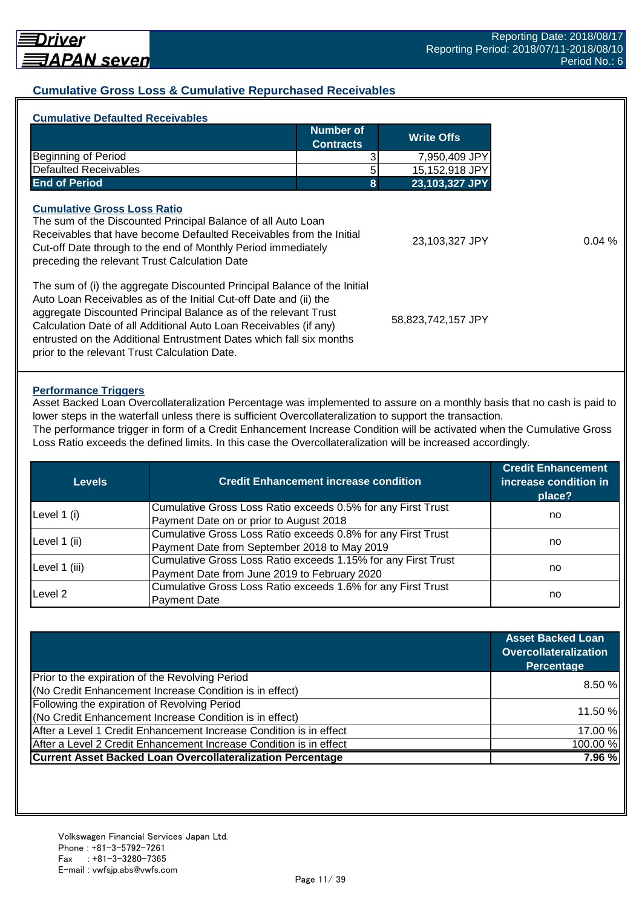#### **Cumulative Gross Loss & Cumulative Repurchased Receivables**

| <b>Cumulative Defaulted Receivables</b>                                                                                                                                                                                                                                                                                                                                                                       |                               |                    |  |
|---------------------------------------------------------------------------------------------------------------------------------------------------------------------------------------------------------------------------------------------------------------------------------------------------------------------------------------------------------------------------------------------------------------|-------------------------------|--------------------|--|
|                                                                                                                                                                                                                                                                                                                                                                                                               | Number of<br><b>Contracts</b> | <b>Write Offs</b>  |  |
| Beginning of Period                                                                                                                                                                                                                                                                                                                                                                                           |                               | 7,950,409 JPY      |  |
| Defaulted Receivables                                                                                                                                                                                                                                                                                                                                                                                         |                               | 15,152,918 JPY     |  |
| <b>End of Period</b>                                                                                                                                                                                                                                                                                                                                                                                          | 8                             | 23,103,327 JPY     |  |
| <b>Cumulative Gross Loss Ratio</b><br>The sum of the Discounted Principal Balance of all Auto Loan<br>Receivables that have become Defaulted Receivables from the Initial<br>Cut-off Date through to the end of Monthly Period immediately<br>preceding the relevant Trust Calculation Date                                                                                                                   | 23,103,327 JPY                | 0.04%              |  |
| The sum of (i) the aggregate Discounted Principal Balance of the Initial<br>Auto Loan Receivables as of the Initial Cut-off Date and (ii) the<br>aggregate Discounted Principal Balance as of the relevant Trust<br>Calculation Date of all Additional Auto Loan Receivables (if any)<br>entrusted on the Additional Entrustment Dates which fall six months<br>prior to the relevant Trust Calculation Date. |                               | 58,823,742,157 JPY |  |

#### **Performance Triggers**

Asset Backed Loan Overcollateralization Percentage was implemented to assure on a monthly basis that no cash is paid to lower steps in the waterfall unless there is sufficient Overcollateralization to support the transaction. The performance trigger in form of a Credit Enhancement Increase Condition will be activated when the Cumulative Gross

Loss Ratio exceeds the defined limits. In this case the Overcollateralization will be increased accordingly.

| Levels        | <b>Credit Enhancement increase condition</b>                  | <b>Credit Enhancement</b><br>increase condition in<br>place? |  |
|---------------|---------------------------------------------------------------|--------------------------------------------------------------|--|
|               | Cumulative Gross Loss Ratio exceeds 0.5% for any First Trust  |                                                              |  |
| Level 1 (i)   | Payment Date on or prior to August 2018                       | no                                                           |  |
|               | Cumulative Gross Loss Ratio exceeds 0.8% for any First Trust  |                                                              |  |
| Level 1 (ii)  | Payment Date from September 2018 to May 2019                  | no                                                           |  |
|               | Cumulative Gross Loss Ratio exceeds 1.15% for any First Trust |                                                              |  |
| Level 1 (iii) | Payment Date from June 2019 to February 2020                  | no                                                           |  |
| Level 2       | Cumulative Gross Loss Ratio exceeds 1.6% for any First Trust  |                                                              |  |
|               | <b>Payment Date</b>                                           | no                                                           |  |

|                                                                    | <b>Asset Backed Loan</b><br><b>Overcollateralization</b><br><b>Percentage</b> |
|--------------------------------------------------------------------|-------------------------------------------------------------------------------|
| Prior to the expiration of the Revolving Period                    | 8.50 %                                                                        |
| (No Credit Enhancement Increase Condition is in effect)            |                                                                               |
| Following the expiration of Revolving Period                       |                                                                               |
| (No Credit Enhancement Increase Condition is in effect)            | 11.50 %                                                                       |
| After a Level 1 Credit Enhancement Increase Condition is in effect | 17.00 %                                                                       |
| After a Level 2 Credit Enhancement Increase Condition is in effect | 100.00 %                                                                      |
| <b>Current Asset Backed Loan Overcollateralization Percentage</b>  | 7.96 %                                                                        |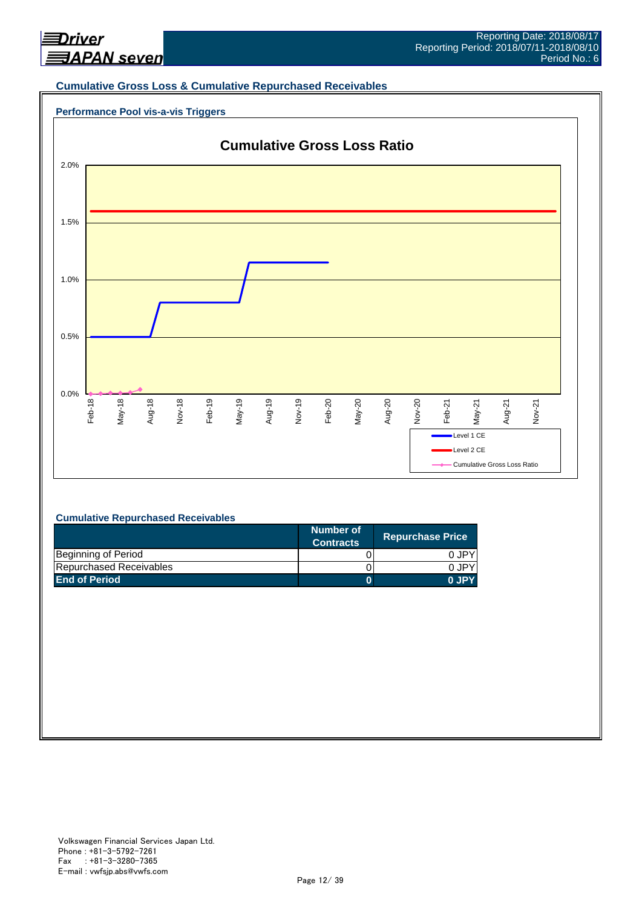

#### **Cumulative Gross Loss & Cumulative Repurchased Receivables**





#### **Cumulative Repurchased Receivables**

|                         | Number of<br><b>Contracts</b> | <b>Repurchase Price</b> |
|-------------------------|-------------------------------|-------------------------|
| Beginning of Period     |                               | 0.JPY                   |
| Repurchased Receivables |                               | 0.JPY                   |
| <b>End of Period</b>    |                               | 0 JPY                   |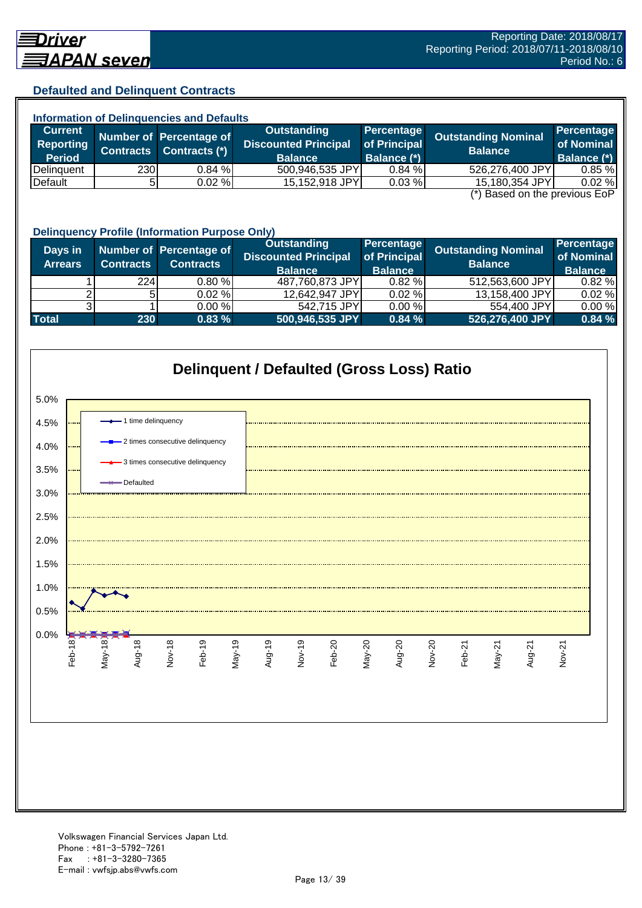# **Defaulted and Delinquent Contracts**

|                    |                  | <b>Information of Delinquencies and Defaults</b> |                             |                    |                                                                           |                    |
|--------------------|------------------|--------------------------------------------------|-----------------------------|--------------------|---------------------------------------------------------------------------|--------------------|
| <b>Current</b>     |                  | Number of Percentage of                          | Outstanding                 | Percentage         | <b>Outstanding Nominal</b>                                                | Percentage         |
| <b>Reporting</b>   | <b>Contracts</b> | Contracts (*)                                    | <b>Discounted Principal</b> | of Principal       | <b>Balance</b>                                                            | of Nominal         |
| <b>Period</b>      |                  |                                                  | <b>Balance</b>              | <b>Balance (*)</b> |                                                                           | <b>Balance (*)</b> |
| <b>IDelinguent</b> | 230              | $0.84 \%$                                        | 500,946,535 JPY             | 0.84%              | 526,276,400 JPY                                                           | 0.85%              |
| Default            |                  | $0.02 \%$                                        | 15,152,918 JPY              | 0.03%              | 15,180,354 JPY                                                            | 0.02%              |
|                    |                  |                                                  |                             |                    | $\left( \star \right)$ Donal on the provision $\mathsf{L}\circ\mathsf{D}$ |                    |

(\*) Based on the previous EoP

|                           | <b>Delinquency Profile (Information Purpose Only)</b> |                                             |                                                                     |                                              |                                              |                                            |  |  |
|---------------------------|-------------------------------------------------------|---------------------------------------------|---------------------------------------------------------------------|----------------------------------------------|----------------------------------------------|--------------------------------------------|--|--|
| Days in<br><b>Arrears</b> | <b>Contracts</b>                                      | Number of Percentage of<br><b>Contracts</b> | <b>Outstanding</b><br><b>Discounted Principal</b><br><b>Balance</b> | Percentage<br>of Principal<br><b>Balance</b> | <b>Outstanding Nominal</b><br><b>Balance</b> | Percentage<br>of Nominal<br><b>Balance</b> |  |  |
|                           | <b>224</b>                                            | 0.80%                                       | 487,760,873 JPY                                                     | 0.82%                                        | 512,563,600 JPY                              | 0.82%                                      |  |  |
|                           | 5 <sup>1</sup>                                        | $0.02 \%$                                   | 12,642,947 JPY                                                      | 0.02%                                        | 13,158,400 JPY                               | 0.02%                                      |  |  |
|                           |                                                       | $0.00 \%$                                   | 542,715 JPY                                                         | 0.00%                                        | 554,400 JPY                                  | 0.00%                                      |  |  |
| <b>Total</b>              | 230                                                   | 0.83%                                       | 500,946,535 JPY                                                     | 0.84%                                        | 526,276,400 JPY                              | 0.84%                                      |  |  |

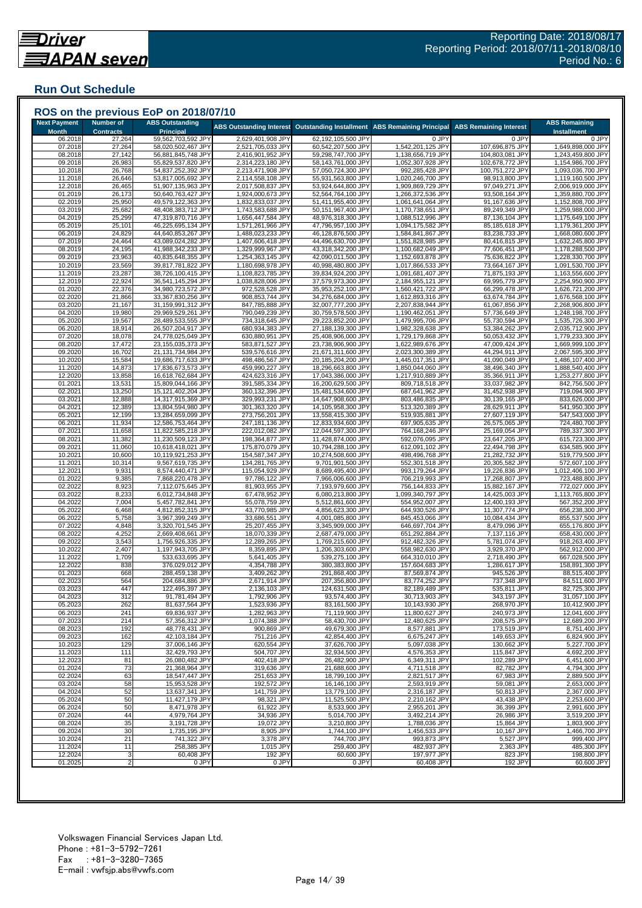## **Run Out Schedule**

| <b>Next Payment</b><br><b>Month</b> | <b>Number of</b><br><b>Contracts</b> | <b>ABS Outstanding</b><br><b>Principal</b> | <b>ABS Outstanding Interest</b>        | <b>Outstanding Installment</b>           | <b>ABS Remaining Principal</b>         | <b>ABS Remaining Interest</b>      | <b>ABS Remaining</b><br><b>Installment</b> |
|-------------------------------------|--------------------------------------|--------------------------------------------|----------------------------------------|------------------------------------------|----------------------------------------|------------------------------------|--------------------------------------------|
| 06.2018                             | 27,264                               | 59,562,703,592 JPY                         | 2,629,401,908 JPY                      | 62,192,105,500 JPY                       | 0 JPY                                  | 0 JPY                              | 0 JPY                                      |
| 07.2018                             | 27,264                               | 58,020,502,467 JPY                         | 2,521,705,033 JPY                      | 60,542,207,500 JPY                       | 1,542,201,125 JPY                      | 107,696,875 JPY                    | 1,649,898,000 JPY                          |
| 08.2018<br>09.2018                  | 27,142<br>26,983                     | 56,881,845,748 JPY<br>55,829,537,820 JPY   | 2,416,901,952 JPY<br>2,314,223,180 JPY | 59,298,747,700 JPY<br>58,143,761,000 JPY | 1,138,656,719 JPY<br>1,052,307,928 JPY | 104,803,081 JPY<br>102,678,772 JPY | 1,243,459,800 JPY<br>1,154,986,700 JPY     |
| 10.2018                             | 26,768                               | 54,837,252,392 JPY                         | 2,213,471,908 JPY                      | 57,050,724,300 JPY                       | 992,285,428 JPY                        | 100,751,272 JPY                    | 1,093,036,700 JPY                          |
| 11.2018                             | 26,646                               | 53,817,005,692 JPY                         | 2,114,558,108 JPY                      | 55,931,563,800 JPY                       | 1,020,246,700 JPY                      | 98,913,800 JPY                     | 1,119,160,500 JPY                          |
| 12.2018                             | 26,465                               | 51,907,135,963 JPY                         | 2,017,508,837 JPY                      | 53,924,644,800 JPY                       | 1,909,869,729 JPY                      | 97,049,271 JPY<br>93,508,164 JPY   | 2,006,919,000 JPY                          |
| 01.2019<br>02.2019                  | 26,173<br>25,950                     | 50,640,763,427 JPY<br>49,579,122,363 JPY   | 1,924,000,673 JPY<br>1,832,833,037 JPY | 52,564,764,100 JPY<br>51,411,955,400 JPY | 1,266,372,536 JP\<br>1,061,641,064 JPY | 91,167,636 JPY                     | 1,359,880,700 JPY<br>1,152,808,700 JPY     |
| 03.2019                             | 25,682                               | 48,408,383,712 JPY                         | 1,743,583,688 JPY                      | 50,151,967,400 JPY                       | 1,170,738,651 JPY                      | 89,249,349 JPY                     | 1,259,988,000 JPY                          |
| 04.2019                             | 25,299                               | 47,319,870,716 JPY                         | 1,656,447,584 JPY                      | 48,976,318,300 JPY                       | 1,088,512,996 JPY                      | 87,136,104 JPY                     | 1,175,649,100 JPY                          |
| 05.2019<br>06.2019                  | 25,101<br>24,829                     | 46,225,695,134 JPY<br>44,640,853,267 JPY   | 1,571,261,966 JPY<br>1,488,023,233 JPY | 47,796,957,100 JPY<br>46,128,876,500 JPY | 1,094,175,582 JPY<br>1,584,841,867 JP\ | 85,185,618 JPY<br>83,238,733 JPY   | 1,179,361,200 JPY<br>1,668,080,600 JPY     |
| 07.2019                             | 24,464                               | 43,089,024,282 JPY                         | 1,407,606,418 JPY                      | 44,496,630,700 JPY                       | 1,551,828,985 JPY                      | 80,416,815 JPY                     | 1,632,245,800 JPY                          |
| 08.2019                             | 24,195                               | 41,988,342,233 JPY                         | 1,329,999,967 JPY                      | 43,318,342,200 JPY                       | 1,100,682,049 JPY                      | 77,606,451 JPY                     | 1,178,288,500 JPY                          |
| 09.2019                             | 23,963                               | 40,835,648,355 JPY                         | 1,254,363,145 JPY                      | 42,090,011,500 JPY                       | 1,152,693,878 JPY                      | 75,636,822 JPY                     | 1,228,330,700 JPY                          |
| 10.2019<br>11.2019                  | 23,569<br>23,287                     | 39,817,781,822 JPY<br>38,726,100,415 JPY   | 1,180,698,978 JPY<br>1,108,823,785 JPY | 40,998,480,800 JPY<br>39,834,924,200 JPY | 1,017,866,533 JPY<br>1,091,681,407 JPY | 73,664,167 JPY<br>71,875,193 JPY   | 1,091,530,700 JPY<br>1,163,556,600 JPY     |
| 12.2019                             | 22,924                               | 36,541,145,294 JPY                         | 1,038,828,006 JPY                      | 37,579,973,300 JPY                       | 2,184,955,121 JPY                      | 69,995,779 JPY                     | 2,254,950,900 JPY                          |
| 01.2020                             | 22,376                               | 34,980,723,572 JPY                         | 972,528,528 JPY                        | 35,953,252,100 JPY                       | 1,560,421,722 JPY                      | 66,299,478 JPY                     | 1,626,721,200 JPY                          |
| 02.2020                             | 21,866<br>21,167                     | 33,367,830,256 JPY                         | 908,853,744 JPY                        | 34,276,684,000 JPY<br>32,007,777,200 JPY | 1,612,893,316 JPY                      | 63,674,784 JPY                     | 1,676,568,100 JPY                          |
| 03.2020<br>04.2020                  | 19,980                               | 31,159,991,312 JPY<br>29,969,529,261 JPY   | 847,785,888 JPY<br>790,049,239 JPY     | 30,759,578,500 JPY                       | 2,207,838,944 JPY<br>1,190,462,051 JPY | 61,067,856 JPY<br>57,736,649 JPY   | 2,268,906,800 JPY<br>1,248,198,700 JPY     |
| 05.2020                             | 19,567                               | 28,489,533,555 JPY                         | 734,318,645 JPY                        | 29,223,852,200 JPY                       | 1,479,995,706 JPY                      | 55,730,594 JPY                     | 1,535,726,300 JPY                          |
| 06.2020                             | 18,914                               | 26,507,204,917 JPY                         | 680,934,383 JPY                        | 27,188,139,300 JPY                       | 1,982,328,638 JPY                      | 53,384,262 JPY                     | 2,035,712,900 JPY                          |
| 07.2020<br>08.2020                  | 18,078<br>17,472                     | 24,778,025,049 JPY<br>23,155,035,373 JPY   | 630,880,951 JPY<br>583,871,527 JPY     | 25,408,906,000 JPY<br>23,738,906,900 JPY | 1,729,179,868 JPY<br>1,622,989,676 JPY | 50,053,432 JPY<br>47,009,424 JPY   | 1,779,233,300 JPY<br>1,669,999,100 JPY     |
| 09.2020                             | 16,702                               | 21,131,734,984 JPY                         | 539,576,616 JPY                        | 21,671,311,600 JPY                       | 2,023,300,389 JPY                      | 44,294,911 JPY                     | 2,067,595,300 JPY                          |
| 10.2020                             | 15,584                               | 19,686,717,633 JPY                         | 498,486,567 JPY                        | 20,185,204,200 JPY                       | 1,445,017,351 JPY                      | 41,090,049 JPY                     | 1,486,107,400 JPY                          |
| 11.2020                             | 14,873                               | 17,836,673,573 JPY                         | 459,990,227 JPY                        | 18,296,663,800 JPY                       | 1,850,044,060 JPY                      | 38,496,340 JPY                     | 1,888,540,400 JPY                          |
| 12.2020<br>01.2021                  | 13,858<br>13,531                     | 16,618,762,684 JPY<br>15,809,044,166 JPY   | 424,623,316 JPY<br>391,585,334 JPY     | 17,043,386,000 JPY<br>16,200,629,500 JPY | 1,217,910,889 JPY<br>809,718,518 JPY   | 35,366,911 JPY<br>33,037,982 JPY   | 1,253,277,800 JPY<br>842,756,500 JPY       |
| 02.2021                             | 13,250                               | 15,121,402,204 JPY                         | 360,132,396 JPY                        | 15,481,534,600 JPY                       | 687,641,962 JPY                        | 31,452,938 JPY                     | 719,094,900 JPY                            |
| 03.2021                             | 12,888                               | 14,317,915,369 JPY                         | 329,993,231 JPY                        | 14,647,908,600 JPY                       | 803,486,835 JPY                        | 30,139,165 JPY                     | 833,626,000 JPY                            |
| 04.2021                             | 12,389                               | 13,804,594,980 JPY                         | 301,363,320 JPY                        | 14,105,958,300 JPY                       | 513,320,389 JPY                        | 28,629,911 JPY                     | 541,950,300 JPY                            |
| 05.2021<br>06.2021                  | 12,199<br>11,934                     | 13,284,659,099 JPY<br>12,586,753,464 JPY   | 273,756,201 JPY<br>247,181,136 JPY     | 13,558,415,300 JPY<br>12,833,934,600 JPY | 519,935,881 JPY<br>697,905,635 JPY     | 27,607,119 JPY<br>26,575,065 JPY   | 547,543,000 JPY<br>724,480,700 JPY         |
| 07.2021                             | 11,658                               | 11,822,585,218 JPY                         | 222,012,082 JPY                        | 12,044,597,300 JPY                       | 764,168,246 JPY                        | 25,169,054 JPY                     | 789,337,300 JPY                            |
| 08.2021                             | 11,382                               | 11,230,509,123 JPY                         | 198,364,877 JPY                        | 11,428,874,000 JPY                       | 592,076,095 JPY                        | 23,647,205 JPY                     | 615,723,300 JPY                            |
| 09.2021                             | 11,060                               | 10,618,418,021 JPY                         | 175,870,079 JPY                        | 10,794,288,100 JPY                       | 612,091,102 JPY                        | 22,494,798 JPY<br>21,282,732 JPY   | 634,585,900 JPY                            |
| 10.2021<br>11.2021                  | 10,600<br>10,314                     | 10,119,921,253 JPY<br>9,567,619,735 JPY    | 154,587,347 JPY<br>134,281,765 JPY     | 10,274,508,600 JPY<br>9,701,901,500 JPY  | 498,496,768 JPY<br>552,301,518 JPY     | 20,305,582 JPY                     | 519,779,500 JPY<br>572,607,100 JPY         |
| 12.2021                             | 9,931                                | 8,574,440,471 JPY                          | 115,054,929 JPY                        | 8,689,495,400 JPY                        | 993,179,264 JPY                        | 19,226,836 JPY                     | 1,012,406,100 JPY                          |
| 01.2022                             | 9,385                                | 7,868,220,478 JPY                          | 97,786,122 JPY                         | 7,966,006,600 JPY                        | 706,219,993 JPY                        | 17,268,807 JPY                     | 723,488,800 JPY                            |
| 02.2022<br>03.2022                  | 8,923<br>8,233                       | 7,112,075,645 JPY<br>6,012,734,848 JPY     | 81,903,955 JPY<br>67,478,952 JPY       | 7,193,979,600 JPY<br>6,080,213,800 JPY   | 756,144,833 JPY<br>1,099,340,797 JPY   | 15,882,167 JPY<br>14,425,003 JPY   | 772,027,000 JPY<br>1,113,765,800 JPY       |
| 04.2022                             | 7,004                                | 5,457,782,841 JPY                          | 55,078,759 JPY                         | 5,512,861,600 JPY                        | 554,952,007 JPY                        | 12,400,193 JPY                     | 567,352,200 JPY                            |
| 05.2022                             | 6,468                                | 4,812,852,315 JPY                          | 43,770,985 JPY                         | 4,856,623,300 JPY                        | 644,930,526 JPY                        | 11,307,774 JPY                     | 656,238,300 JPY                            |
| 06.2022                             | 5,758                                | 3,967,399,249 JPY                          | 33,686,551 JPY                         | 4,001,085,800 JPY                        | 845,453,066 JPY                        | 10,084,434 JPY                     | 855,537,500 JPY                            |
| 07.2022<br>08.2022                  | 4,848<br>4,252                       | 3,320,701,545 JPY<br>2,669,408,661 JPY     | 25,207,455 JPY<br>18,070,339 JPY       | 3,345,909,000 JPY<br>2,687,479,000 JPY   | 646,697,704 JPY<br>651,292,884 JPY     | 8,479,096 JPY<br>7,137,116 JPY     | 655,176,800 JPY<br>658,430,000 JPY         |
| 09.202                              | 3,543                                | 1,756,926,335 JPY                          | 12,289,265 JPY                         | 1,769,215,600 JPY                        | 912,482,326 JPY                        | 5,781,074 JPY                      | 918,263,400 JPY                            |
| 10.202                              | 2,407                                | 1,197,943,705 JPY                          | 8,359,895 JPY                          | 1,206,303,600 JPY                        | 558,982,630 JPY                        | 3,929,370 JPY                      | 562,912,000 JPY                            |
| 11.2022                             | 1,709                                | 533,633,695 JPY                            | 5,641,405 JPY                          | 539,275,100 JPY                          | 664,310,010 JPY<br>157,604,683 JPY     | 2,718,490 JPY                      | 667,028,500 JPY<br>158,891,300 JPY         |
| 12.2022<br>01.2023                  | 838<br>668                           | 376,029,012 JPY<br>288,459,138 JPY         | 4,354,788 JPY<br>3,409,262 JPY         | 380,383,800 JPY<br>291,868,400 JPY       | 87,569,874 JPY                         | 1,286,617 JPY<br>945,526 JPY       | 88,515,400 JPY                             |
| 02.2023                             | 564                                  | 204,684,886 JPY                            | 2,671,914 JPY                          | 207,356,800 JPY                          | 83,774,252 JPY                         | 737,348 JPY                        | 84,511,600 JPY                             |
| 03.2023                             | 447                                  | 122,495,397 JPY                            | 2,136,103 JPY                          | 124,631,500 JPY                          | 82,189,489 JPY                         | 535,811 JPY                        | 82,725,300 JPY                             |
| 04.2023<br>05.2023                  | 312<br>262                           | 91,781,494 JPY<br>81,637,564 JPY           | 1,792,906 JPY<br>1,523,936 JPY         | 93,574,400 JPY<br>83,161,500 JPY         | 30,713,903 JPY<br>10,143,930 JPY       | 343,197 JPY<br>268,970 JPY         | 31,057,100 JPY<br>10,412,900 JPY           |
| 06.2023                             | 241                                  | 69,836,937 JPY                             | 1,282,963 JPY                          | 71,119,900 JPY                           | 11,800,627 JPY                         | 240,973 JPY                        | 12,041,600 JPY                             |
| 07.2023                             | 214                                  | 57,356,312 JPY                             | 1,074,388 JPY                          | 58,430,700 JPY                           | 12,480,625 JPY                         | 208,575 JPY                        | 12,689,200 JPY                             |
| 08.2023                             | 192                                  | 48,778,431 JPY                             | 900,869 JPY                            | 49,679,300 JPY                           | 8,577,881 JPY                          | 173,519 JPY                        | 8,751,400 JPY                              |
| 09.2023<br>10.2023                  | 162<br>129                           | 42,103,184 JPY<br>37,006,146 JPY           | 751,216 JPY<br>620,554 JPY             | 42,854,400 JPY<br>37,626,700 JPY         | 6,675,247 JPY<br>5,097,038 JPY         | 149,653 JPY<br>130,662 JPY         | 6,824,900 JPY<br>5,227,700 JPY             |
| 11.2023                             | 111                                  | 32,429,793 JPY                             | 504,707 JPY                            | 32,934,500 JPY                           | 4,576,353 JPY                          | 115,847 JPY                        | 4,692,200 JPY                              |
| 12.2023                             | 81                                   | 26,080,482 JPY                             | 402,418 JPY                            | 26,482,900 JPY                           | 6,349,311 JPY                          | 102,289 JPY                        | 6,451,600 JPY                              |
| 01.2024                             | 73                                   | 21,368,964 JPY                             | 319,636 JPY                            | 21,688,600 JPY                           | 4,711,518 JPY                          | 82,782 JPY                         | 4,794,300 JPY                              |
| 02.2024<br>03.2024                  | 63<br>58                             | 18.547.447 JPY<br>15,953,528 JPY           | 251,653 JPY<br>192,572 JPY             | 18,799,100 JPY<br>16,146,100 JPY         | 2,821,517 JPY<br>2,593,919 JPY         | 67,983 JPY<br>59,081 JPY           | 2,889,500 JPY<br>2,653,000 JPY             |
| 04.2024                             | 52                                   | 13,637,341 JPY                             | 141,759 JPY                            | 13,779,100 JPY                           | 2,316,187 JPY                          | 50,813 JPY                         | 2,367,000 JPY                              |
| 05.2024                             | 50                                   | 11,427,179 JPY                             | 98,321 JPY                             | 11,525,500 JPY                           | 2,210,162 JPY                          | 43,438 JPY                         | 2,253,600 JPY                              |
| 06.2024<br>07.2024                  | 50<br>44                             | 8,471,978 JPY<br>4,979,764 JPY             | 61,922 JPY<br>34,936 JPY               | 8,533,900 JPY<br>5,014,700 JPY           | 2,955,201 JPY<br>3,492,214 JPY         | 36,399 JPY<br>26,986 JPY           | 2,991,600 JPY<br>3,519,200 JPY             |
| 08.2024                             | 35                                   | 3.191.728 JPY                              | 19,072 JPY                             | 3,210,800 JPY                            | 1,788,036 JPY                          | 15,864 JPY                         | 1,803,900 JPY                              |
| 09.2024                             | 30                                   | 1,735,195 JPY                              | 8,905 JPY                              | 1,744,100 JPY                            | 1,456,533 JPY                          | 10,167 JPY                         | 1,466,700 JPY                              |
| 10.2024                             | 21                                   | 741,322 JPY                                | 3,378 JPY                              | 744,700 JPY                              | 993,873 JPY                            | 5,527 JPY                          | 999,400 JPY                                |
| 11.2024<br>12.2024                  | 11<br>3                              | 258,385 JPY<br>60,408 JPY                  | 1,015 JPY<br>192 JPY                   | 259,400 JPY<br>60,600 JPY                | 482,937 JPY<br>197,977 JPY             | 2,363 JPY<br>823 JPY               | 485,300 JPY<br>198,800 JPY                 |
|                                     |                                      | 0 JPY                                      | 0 JPY                                  | 0 JPY                                    | 60,408 JPY                             | 192 JPY                            | 60,600 JPY                                 |

###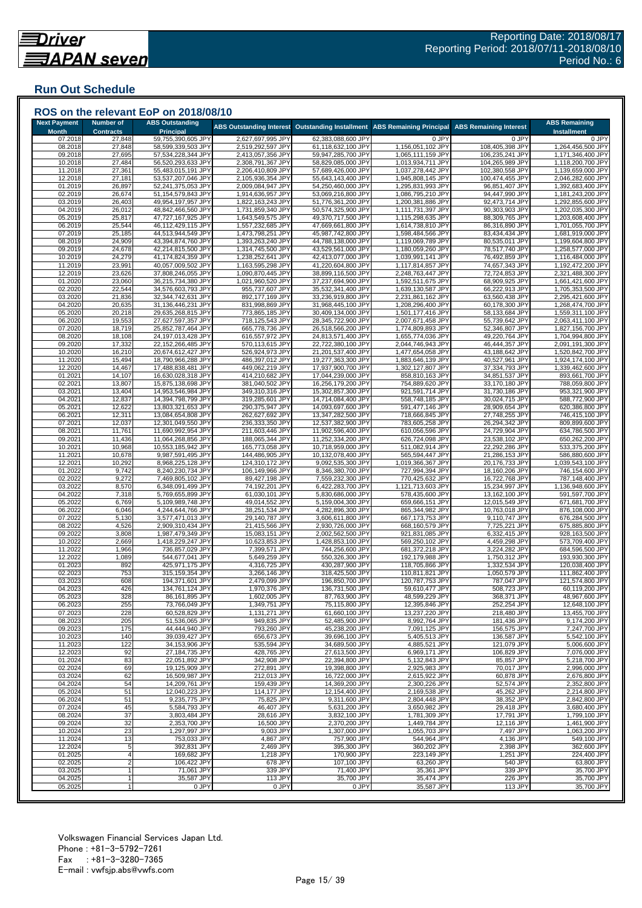### **Run Out Schedule**

|                                     |                                      | ROS on the relevant EoP on 2018/08/10      |                                        |                                          |                                        |                                    |                                            |
|-------------------------------------|--------------------------------------|--------------------------------------------|----------------------------------------|------------------------------------------|----------------------------------------|------------------------------------|--------------------------------------------|
| <b>Next Payment</b><br><b>Month</b> | <b>Number of</b><br><b>Contracts</b> | <b>ABS Outstanding</b><br><b>Principal</b> | <b>ABS Outstanding Interest</b>        | <b>Outstanding Installment</b>           | <b>ABS Remaining Principal</b>         | <b>ABS Remaining Interest</b>      | <b>ABS Remaining</b><br><b>Installment</b> |
| 07.2018                             | 27,848                               | 59,755,390,605 JPY                         | 2,627,697,995 JPY                      | 62,383,088,600 JPY                       | 0 JPY                                  | 0 JPY                              | 0 JPY                                      |
| 08.2018<br>09.2018                  | 27,848<br>27,695                     | 58,599,339,503 JPY<br>57,534,228,344 JPY   | 2,519,292,597 JPY<br>2,413,057,356 JPY | 61,118,632,100 JPY<br>59,947,285,700 JPY | 1,156,051,102 JPY<br>1,065,111,159 JPY | 108,405,398 JPY<br>106,235,241 JPY | 1,264,456,500 JPY<br>1,171,346,400 JPY     |
| 10.2018                             | 27,484                               | 56,520,293,633 JPY                         | 2,308,791,367 JPY                      | 58,829,085,000 JPY                       | 1,013,934,711 JPY                      | 104,265,989 JPY                    | 1,118,200,700 JPY                          |
| 11.2018                             | 27,361                               | 55,483,015,191 JPY                         | 2,206,410,809 JPY                      | 57,689,426,000 JPY                       | 1,037,278,442 JPY                      | 102,380,558 JPY                    | 1,139,659,000 JPY                          |
| 12.2018                             | 27,181                               | 53,537,207,046 JPY                         | 2,105,936,354 JPY                      | 55,643,143,400 JPY                       | 1,945,808,145 JPY                      | 100,474,455 JPY                    | 2,046,282,600 JPY                          |
| 01.2019<br>02.2019                  | 26,897<br>26,674                     | 52,241,375,053 JPY<br>51,154,579,843 JPY   | 2,009,084,947 JPY<br>1,914,636,957 JPY | 54,250,460,000 JPY<br>53,069,216,800 JPY | 1,295,831,993 JPY<br>1,086,795,210 JPY | 96,851,407 JPY<br>94,447,990 JPY   | 1,392,683,400 JPY<br>1,181,243,200 JPY     |
| 03.2019                             | 26,403                               | 49,954,197,957 JPY                         | 1,822,163,243 JPY                      | 51,776,361,200 JPY                       | 1,200,381,886 JPY                      | 92,473,714 JPY                     | 1,292,855,600 JPY                          |
| 04.2019                             | 26,012                               | 48,842,466,560 JPY                         | 1,731,859,340 JPY                      | 50,574,325,900 JPY                       | 1,111,731,397 JPY                      | 90,303,903 JPY                     | 1,202,035,300 JPY                          |
| 05.2019                             | 25,817                               | 47,727,167,925 JPY                         | 1,643,549,575 JPY                      | 49,370,717,500 JPY                       | 1,115,298,635 JPY                      | 88,309,765 JPY                     | 1,203,608,400 JPY                          |
| 06.2019<br>07.2019                  | 25,544<br>25,185                     | 46,112,429,115 JPY<br>44,513,944,549 JPY   | 1,557,232,685 JPY<br>1,473,798,251 JPY | 47,669,661,800 JPY<br>45,987,742,800 JPY | 1,614,738,810 JPY<br>1,598,484,566 JPY | 86,316,890 JPY<br>83,434,434 JPY   | 1,701,055,700 JPY<br>1,681,919,000 JPY     |
| 08.2019                             | 24,909                               | 43,394,874,760 JPY                         | 1,393,263,240 JPY                      | 44,788,138,000 JPY                       | 1,119,069,789 JPY                      | 80,535,011 JPY                     | 1,199,604,800 JPY                          |
| 09.2019                             | 24,678                               | 42,214,815,500 JPY                         | 1,314,745,500 JPY                      | 43,529,561,000 JPY                       | 1,180,059,260 JPY                      | 78,517,740 JPY                     | 1,258,577,000 JPY                          |
| 10.2019<br>11.2019                  | 24,279<br>23,991                     | 41,174,824,359 JPY<br>40,057,009,502 JPY   | 1,238,252,641 JPY<br>1,163,595,298 JPY | 42,413,077,000 JPY<br>41,220,604,800 JPY | 1,039,991,141 JPY<br>1,117,814,857 JPY | 76,492,859 JPY<br>74,657,343 JPY   | 1,116,484,000 JPY<br>1,192,472,200 JPY     |
| 12.2019                             | 23,626                               | 37,808,246,055 JPY                         | 1,090,870,445 JPY                      | 38,899,116,500 JPY                       | 2,248,763,447 JPY                      | 72,724,853 JPY                     | 2,321,488,300 JPY                          |
| 01.2020                             | 23,060                               | 36,215,734,380 JPY                         | 1,021,960,520 JPY                      | 37,237,694,900 JPY                       | 1,592,511,675 JPY                      | 68,909,925 JPY                     | 1,661,421,600 JPY                          |
| 02.2020                             | 22,544                               | 34,576,603,793 JPY                         | 955,737,607 JPY                        | 35,532,341,400 JPY                       | 1,639,130,587 JPY                      | 66,222,913 JPY                     | 1,705,353,500 JPY                          |
| 03.2020<br>04.2020                  | 21,836<br>20,635                     | 32,344,742,631 JPY<br>31,136,446,231 JPY   | 892,177,169 JPY<br>831,998,869 JPY     | 33,236,919,800 JPY<br>31,968,445,100 JPY | 2,231,861,162 JPY<br>1,208,296,400 JPY | 63,560,438 JPY<br>60,178,300 JPY   | 2,295,421,600 JPY<br>1,268,474,700 JPY     |
| 05.2020                             | 20,218                               | 29,635,268,815 JPY                         | 773,865,185 JPY                        | 30,409,134,000 JPY                       | 1,501,177,416 JPY                      | 58,133,684 JPY                     | 1,559,311,100 JPY                          |
| 06.2020                             | 19,553                               | 27,627,597,357 JPY                         | 718,125,543 JPY                        | 28,345,722,900 JPY                       | 2,007,671,458 JPY                      | 55,739,642 JPY                     | 2,063,411,100 JPY                          |
| 07.2020                             | 18,719                               | 25,852,787,464 JPY                         | 665,778,736 JPY                        | 26,518,566,200 JPY                       | 1,774,809,893 JPY                      | 52,346,807 JPY                     | 1,827,156,700 JPY                          |
| 08.2020<br>09.2020                  | 18,108<br>17,332                     | 24,197,013,428 JPY<br>22,152,266,485 JPY   | 616,557,972 JPY<br>570,113,615 JPY     | 24,813,571,400 JPY<br>22,722,380,100 JPY | 1,655,774,036 JPY<br>2,044,746,943 JPY | 49,220,764 JPY<br>46,444,357 JPY   | 1,704,994,800 JPY<br>2,091,191,300 JPY     |
| 10.2020                             | 16,210                               | 20,674,612,427 JPY                         | 526,924,973 JPY                        | 21,201,537,400 JPY                       | 1,477,654,058 JPY                      | 43,188,642 JPY                     | 1,520,842,700 JPY                          |
| 11.2020                             | 15,494                               | 18,790,966,288 JPY                         | 486,397,012 JPY                        | 19,277,363,300 JPY                       | 1,883,646,139 JPY                      | 40,527,961 JPY                     | 1,924,174,100 JPY                          |
| 12.2020                             | 14,467                               | 17,488,838,481 JPY                         | 449,062,219 JPY                        | 17,937,900,700 JPY                       | 1,302,127,807 JPY                      | 37,334,793 JPY                     | 1,339,462,600 JPY                          |
| 01.2021<br>02.2021                  | 14,107<br>13,807                     | 16,630,028,318 JPY<br>15,875,138,698 JPY   | 414,210,682 JPY<br>381,040,502 JPY     | 17,044,239,000 JPY<br>16,256,179,200 JPY | 858,810,163 JPY<br>754,889,620 JPY     | 34,851,537 JPY<br>33,170,180 JPY   | 893,661,700 JPY<br>788,059,800 JPY         |
| 03.2021                             | 13,404                               | 14,953,546,984 JPY                         | 349,310,316 JPY                        | 15,302,857,300 JPY                       | 921,591,714 JPY                        | 31,730,186 JPY                     | 953,321,900 JPY                            |
| 04.2021                             | 12,837                               | 14,394,798,799 JPY                         | 319,285,601 JPY                        | 14,714,084,400 JPY                       | 558,748,185 JPY                        | 30,024,715 JPY                     | 588,772,900 JPY                            |
| 05.2021                             | 12,622                               | 13,803,321,653 JPY                         | 290,375,947 JPY<br>262,627,692 JPY     | 14,093,697,600 JPY                       | 591,477,146 JPY                        | 28,909,654 JPY                     | 620,386,800 JPY                            |
| 06.2021<br>07.2021                  | 12,311<br>12,037                     | 13,084,654,808 JPY<br>12,301,049,550 JPY   | 236,333,350 JPY                        | 13,347,282,500 JPY<br>12,537,382,900 JPY | 718,666,845 JPY<br>783,605,258 JPY     | 27,748,255 JPY<br>26,294,342 JPY   | 746,415,100 JPY<br>809,899,600 JPY         |
| 08.2021                             | 11,761                               | 11,690,992,954 JPY                         | 211,603,446 JPY                        | 11,902,596,400 JPY                       | 610,056,596 JPY                        | 24,729,904 JPY                     | 634,786,500 JPY                            |
| 09.2021                             | 11,436                               | 11,064,268,856 JPY                         | 188,065,344 JPY                        | 11,252,334,200 JPY                       | 626,724,098 JPY                        | 23,538,102 JPY                     | 650,262,200 JPY                            |
| 10.2021<br>11.2021                  | 10,968<br>10,678                     | 10,553,185,942 JPY<br>9,987,591,495 JPY    | 165,773,058 JPY<br>144,486,905 JPY     | 10,718,959,000 JPY<br>10,132,078,400 JPY | 511,082,914 JPY<br>565,594,447 JPY     | 22,292,286 JPY<br>21,286,153 JPY   | 533,375,200 JPY<br>586,880,600 JPY         |
| 12.2021                             | 10,292                               | 8,968,225,128 JPY                          | 124,310,172 JPY                        | 9,092,535,300 JPY                        | 1,019,366,367 JPY                      | 20,176,733 JPY                     | 1,039,543,100 JPY                          |
| 01.2022                             | 9,742                                | 8,240,230,734 JPY                          | 106,149,966 JPY                        | 8,346,380,700 JPY                        | 727,994,394 JPY                        | 18,160,206 JPY                     | 746,154,600 JPY                            |
| 02.2022                             | 9,272                                | 7,469,805,102 JPY                          | 89,427,198 JPY                         | 7,559,232,300 JPY                        | 770,425,632 JPY                        | 16,722,768 JPY                     | 787,148,400 JPY                            |
| 03.2022<br>04.2022                  | 8,570<br>7,318                       | 6,348,091,499 JPY<br>5,769,655,899 JPY     | 74,192,201 JPY<br>61,030,101 JPY       | 6,422,283,700 JPY<br>5,830,686,000 JPY   | 1,121,713,603 JP\<br>578,435,600 JPY   | 15,234,997 JPY<br>13,162,100 JPY   | 1,136,948,600 JPY<br>591,597,700 JPY       |
| 05.2022                             | 6,769                                | 5,109,989,748 JPY                          | 49,014,552 JPY                         | 5,159,004,300 JPY                        | 659,666,151 JPY                        | 12,015,549 JPY                     | 671,681,700 JPY                            |
| 06.2022                             | 6,046                                | 4,244,644,766 JPY                          | 38,251,534 JPY                         | 4,282,896,300 JPY                        | 865,344,982 JPY                        | 10,763,018 JPY                     | 876,108,000 JPY                            |
| 07.2022<br>08.2022                  | 5,130<br>4,526                       | 3,577,471,013 JPY<br>2,909,310,434 JPY     | 29,140,787 JPY<br>21,415,566 JPY       | 3,606,611,800 JPY<br>2,930,726,000 JPY   | 667,173,753 JPY<br>668,160,579 JPY     | 9,110,747 JPY<br>7,725,221 JPY     | 676,284,500 JPY<br>675,885,800 JPY         |
| 09.2022                             | 3,808                                | 1,987,479,349 JPY                          | 15,083,151 JPY                         | 2,002,562,500 JPY                        | 921,831,085 JPY                        | 6,332,415 JPY                      | 928,163,500 JPY                            |
| 10.2022                             | 2,669                                | 1,418,229,247 JPY                          | 10,623,853 JPY                         | 1,428,853,100 JPY                        | 569,250,102 JPY                        | 4,459,298 JPY                      | 573,709,400 JPY                            |
| 11.202                              | 1,966                                | 736,857,029 JPY                            | 7,399,571 JPY                          | 744,256,600 JPY                          | 681,372,218 JPY                        | 3,224,282 JPY                      | 684,596,500 JPY                            |
| 12.2022<br>01.2023                  | 1,089<br>892                         | 544,677,041 JPY<br>425,971,175 JPY         | 5,649,259 JPY<br>4,316,725 JPY         | 550,326,300 JPY<br>430,287,900 JPY       | 192,179,988 JPY<br>118,705,866 JPY     | 1,750,312 JPY<br>1,332,534 JPY     | 193,930,300 JPY<br>120,038,400 JPY         |
| 02.2023                             | 753                                  | 315,159,354 JPY                            | 3,266,146 JPY                          | 318,425,500 JPY                          | 110,811,821 JPY                        | 1,050,579 JPY                      | 111,862,400 JPY                            |
| 03.2023                             | 608                                  | 194.371.601 JPY                            | 2,479,099 JPY                          | 196,850,700 JPY                          | 120,787,753 JPY                        | 787,047 JPY                        | 121,574,800 JPY                            |
| 04.2023<br>05.2023                  | 426<br>328                           | 134,761,124 JPY                            | 1,970,376 JPY<br>1,602,005 JPY         | 136,731,500 JPY<br>87,763,900 JPY        | 59,610,477 JPY<br>48,599,229 JPY       | 508,723 JPY<br>368,371 JPY         | 60,119,200 JPY<br>48,967,600 JPY           |
| 06.2023                             | 255                                  | 86,161,895 JPY<br>73,766,049 JPY           | 1,349,751 JPY                          | 75,115,800 JPY                           | 12,395,846 JPY                         | 252,254 JPY                        | 12,648,100 JPY                             |
| 07.2023                             | 228                                  | 60,528,829 JPY                             | 1,131,271 JPY                          | 61,660,100 JPY                           | 13,237,220 JPY                         | 218,480 JPY                        | 13,455,700 JPY                             |
| 08.2023                             | 205                                  | 51,536,065 JPY                             | 949,835 JPY                            | 52,485,900 JPY                           | 8,992,764 JPY                          | 181,436 JPY                        | 9,174,200 JPY                              |
| 09.2023<br>10.2023                  | 175<br>140                           | 44,444,940 JPY<br>39,039,427 JPY           | 793,260 JPY<br>656,673 JPY             | 45,238,200 JPY<br>39,696,100 JPY         | 7,091,125 JPY<br>5,405,513 JPY         | 156,575 JPY<br>136,587 JPY         | 7,247,700 JPY<br>5,542,100 JPY             |
| 11.2023                             | 122                                  | 34,153,906 JPY                             | 535,594 JPY                            | 34,689,500 JPY                           | 4,885,521 JPY                          | 121,079 JPY                        | 5,006,600 JPY                              |
| 12.2023                             | 92                                   | 27,184,735 JPY                             | 428,765 JPY                            | 27,613,500 JPY                           | 6,969,171 JPY                          | 106,829 JPY                        | 7,076,000 JPY                              |
| 01.2024                             | 83                                   | 22,051,892 JPY                             | 342,908 JPY                            | 22,394,800 JPY                           | 5,132,843 JPY                          | 85,857 JPY                         | 5,218,700 JPY                              |
| 02.2024<br>03.2024                  | 69<br>62                             | 19,125,909 JPY<br>16,509,987 JPY           | 272,891 JPY<br>212,013 JPY             | 19,398,800 JPY<br>16,722,000 JPY         | 2,925,983 JPY<br>2,615,922 JPY         | 70,017 JPY<br>60,878 JPY           | 2,996,000 JPY<br>2,676,800 JPY             |
| 04.2024                             | 54                                   | 14,209,761 JPY                             | 159,439 JPY                            | 14,369,200 JPY                           | 2,300,226 JPY                          | 52,574 JPY                         | 2,352,800 JPY                              |
| 05.2024                             | 51                                   | 12,040,223 JPY                             | 114,177 JPY                            | 12,154,400 JPY                           | 2,169,538 JPY                          | 45,262 JPY                         | 2,214,800 JPY                              |
| 06.2024<br>07.2024                  | 51<br>45                             | 9,235,775 JPY<br>5,584,793 JPY             | 75,825 JPY<br>46.407 JPY               | 9,311,600 JPY<br>5.631.200 JPY           | 2,804,448 JPY<br>3,650,982 JPY         | 38,352 JPY<br>29,418 JPY           | 2,842,800 JPY<br>3,680,400 JPY             |
| 08.2024                             | 37                                   | 3,803,484 JPY                              | 28,616 JPY                             | 3,832,100 JPY                            | 1,781,309 JPY                          | 17,791 JPY                         | 1,799,100 JPY                              |
| 09.2024                             | 32                                   | 2,353,700 JPY                              | 16,500 JPY                             | 2,370,200 JPY                            | 1,449,784 JPY                          | 12,116 JPY                         | 1,461,900 JPY                              |
| 10.2024                             | 23                                   | 1,297,997 JPY                              | $9,003$ JPY                            | 1,307,000 JPY                            | 1,055,703 JPY                          | 7.497 JPY                          | 1,063,200 JPY                              |
| 11.2024<br>12.2024                  | 13<br>5                              | 753,033 JPY<br>392,831 JPY                 | 4,867 JPY<br>2,469 JPY                 | 757,900 JPY<br>395,300 JPY               | 544,964 JPY<br>360,202 JPY             | 4,136 JPY<br>2,398 JPY             | 549,100 JPY<br>362,600 JPY                 |
| 01.2025                             |                                      | 169,682 JPY                                | 1,218 JPY                              | 170,900 JPY                              | 223,149 JPY                            | 1,251 JPY                          | 224,400 JPY                                |
| 02.2025                             |                                      | 106,422 JPY                                | 678 JPY                                | 107,100 JPY                              | 63,260 JPY                             | 540 JPY                            | 63,800 JPY                                 |
|                                     |                                      | 71,061 JPY                                 | 339 JPY                                | 71,400 JPY                               | 35,361 JPY                             | 339 JPY                            | 35,700 JPY                                 |
| 03.2025<br>04.2025                  |                                      | 35,587 JPY                                 | 113 JPY                                | 35,700 JPY                               | 35,474 JPY                             | 226 JPY                            | 35,700 JPY                                 |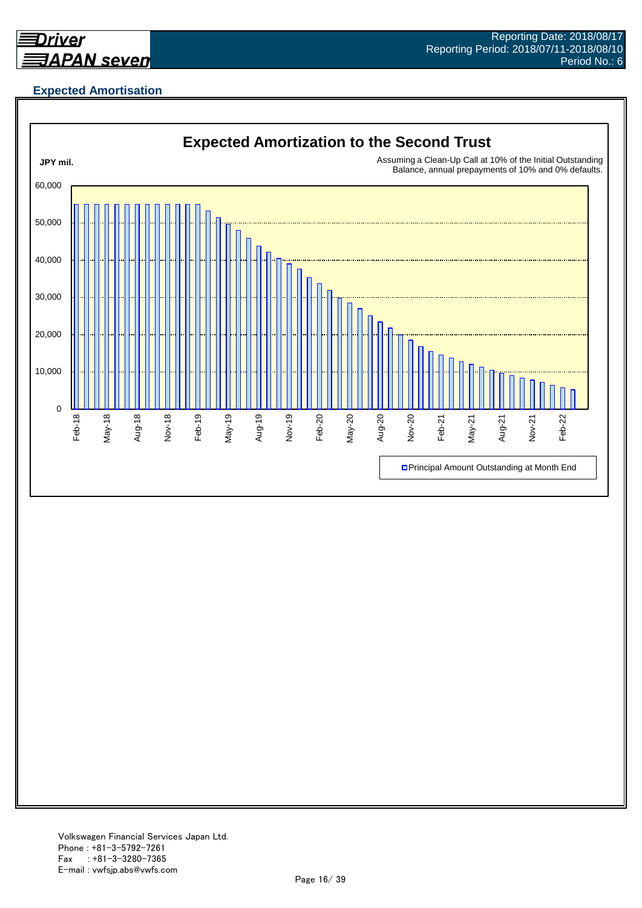

# **Expected Amortisation**

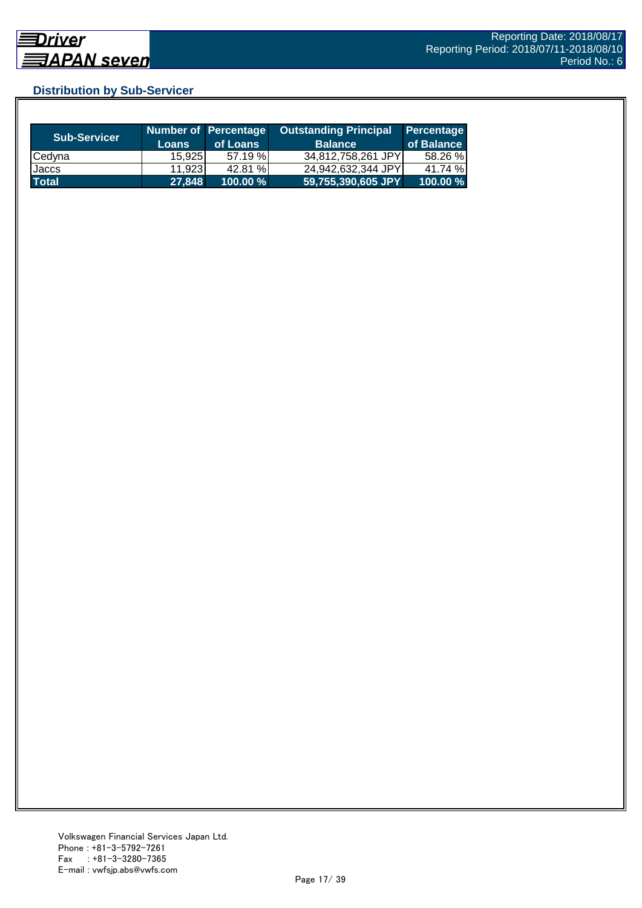# **Distribution by Sub-Servicer**

| <b>Sub-Servicer</b> | <b>Loans</b> | Number of Percentage<br>of Loans | <b>Outstanding Principal</b><br><b>Balance</b> | Percentage<br>of Balance |
|---------------------|--------------|----------------------------------|------------------------------------------------|--------------------------|
| Cedyna              | 15,925       | 57.19%                           | 34,812,758,261 JPY                             | 58.26 %                  |
| Jaccs               | 11,923       | 42.81 %                          | 24,942,632,344 JPY                             | 41.74 %                  |
| <b>Total</b>        | 27,848       | 100.00 %                         | 59,755,390,605 JPY                             | 100.00 %                 |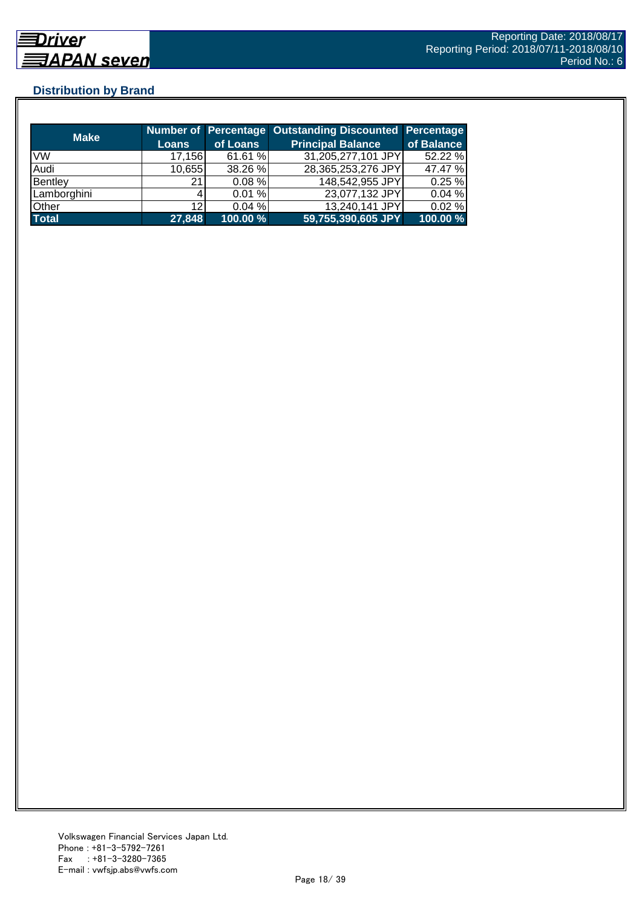# **Distribution by Brand**

| <b>Make</b>  |        |             | Number of Percentage Outstanding Discounted Percentage |            |
|--------------|--------|-------------|--------------------------------------------------------|------------|
|              | Loans  | of Loans    | <b>Principal Balance</b>                               | of Balance |
| <b>VW</b>    | 17,156 | 61.61 %     | 31,205,277,101 JPY                                     | 52.22 %    |
| Audi         | 10,655 | 38.26 %     | 28,365,253,276 JPY                                     | 47.47 %    |
| Bentley      | 21     | $0.08 \%$   | 148,542,955 JPY                                        | 0.25%      |
| Lamborghini  |        | 0.01%       | 23,077,132 JPY                                         | 0.04%      |
| Other        | 12     | 0.04%       | 13,240,141 JPY                                         | 0.02%      |
| <b>Total</b> | 27,848 | $100.00 \%$ | 59,755,390,605 JPY                                     | 100.00 %   |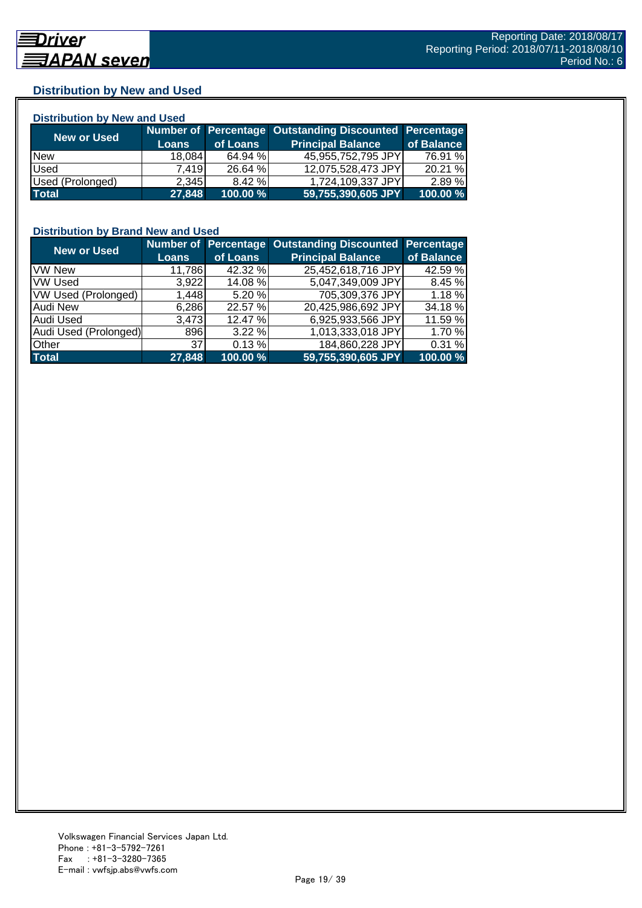# **Distribution by New and Used**

| <b>Distribution by New and Used</b> |              |          |                                                        |            |  |  |  |
|-------------------------------------|--------------|----------|--------------------------------------------------------|------------|--|--|--|
| New or Used                         |              |          | Number of Percentage Outstanding Discounted Percentage |            |  |  |  |
|                                     | <b>Loans</b> | of Loans | <b>Principal Balance</b>                               | of Balance |  |  |  |
| <b>New</b>                          | 18,084       | 64.94 %  | 45,955,752,795 JPY                                     | 76.91 %    |  |  |  |
| Used                                | 7.419        | 26.64 %  | 12,075,528,473 JPY                                     | 20.21 %    |  |  |  |
| Used (Prolonged)                    | 2,345        | 8.42 %   | 1,724,109,337 JPY                                      | 2.89 %     |  |  |  |
| <b>Total</b>                        | 27,848       | 100.00 % | 59,755,390,605 JPY                                     | 100.00 %   |  |  |  |

### **Distribution by Brand New and Used**

| <b>New or Used</b>         |              |          | Number of Percentage Outstanding Discounted Percentage |            |
|----------------------------|--------------|----------|--------------------------------------------------------|------------|
|                            | <b>Loans</b> | of Loans | <b>Principal Balance</b>                               | of Balance |
| <b>VW New</b>              | 11,786       | 42.32 %  | 25,452,618,716 JPY                                     | 42.59 %    |
| <b>VW Used</b>             | 3,922        | 14.08 %  | 5,047,349,009 JPY                                      | 8.45 %     |
| <b>VW Used (Prolonged)</b> | 1,448        | 5.20 %   | 705,309,376 JPY                                        | $1.18 \%$  |
| Audi New                   | 6,286        | 22.57 %  | 20,425,986,692 JPY                                     | 34.18 %    |
| <b>Audi Used</b>           | 3,473        | 12.47 %  | 6,925,933,566 JPY                                      | 11.59 %    |
| Audi Used (Prolonged)      | 896          | 3.22%    | 1,013,333,018 JPY                                      | 1.70 %     |
| <b>Other</b>               | 37           | 0.13%    | 184,860,228 JPY                                        | 0.31 %     |
| <b>Total</b>               | 27,848       | 100.00 % | 59,755,390,605 JPY                                     | 100.00 %   |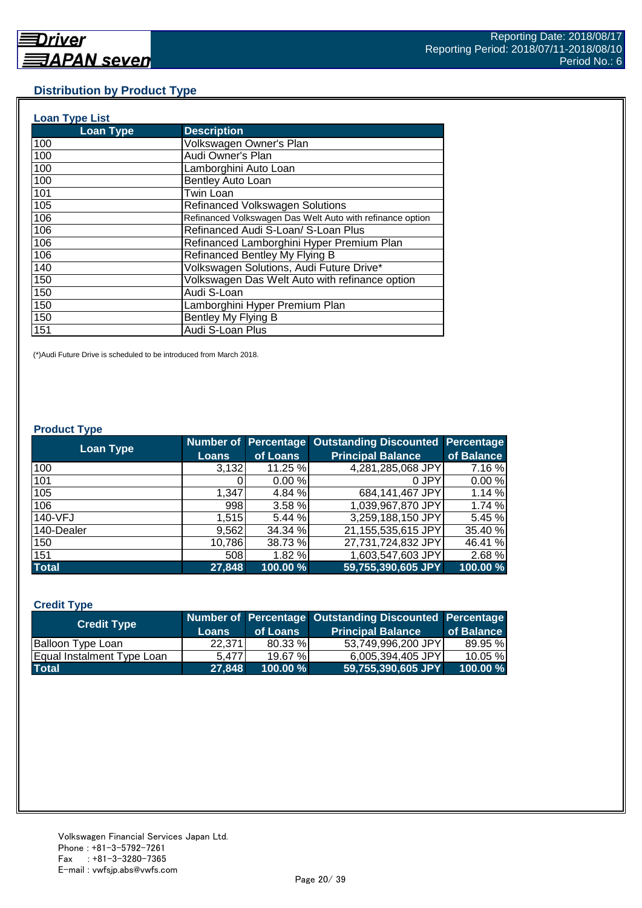#### **Distribution by Product Type**

| <b>Loan Type List</b> |                                                           |
|-----------------------|-----------------------------------------------------------|
| <b>Loan Type</b>      | <b>Description</b>                                        |
| 100                   | Volkswagen Owner's Plan                                   |
| 100                   | Audi Owner's Plan                                         |
| 100                   | Lamborghini Auto Loan                                     |
| 100                   | Bentley Auto Loan                                         |
| 101                   | <b>Twin Loan</b>                                          |
| 105                   | <b>Refinanced Volkswagen Solutions</b>                    |
| 106                   | Refinanced Volkswagen Das Welt Auto with refinance option |
| 106                   | Refinanced Audi S-Loan/ S-Loan Plus                       |
| 106                   | Refinanced Lamborghini Hyper Premium Plan                 |
| 106                   | Refinanced Bentley My Flying B                            |
| 140                   | Volkswagen Solutions, Audi Future Drive*                  |
| 150                   | Volkswagen Das Welt Auto with refinance option            |
| 150                   | Audi S-Loan                                               |
| 150                   | Lamborghini Hyper Premium Plan                            |
| 150                   | Bentley My Flying B                                       |
| 151                   | Audi S-Loan Plus                                          |

(\*)Audi Future Drive is scheduled to be introduced from March 2018.

#### **Product Type**

| <b>Loan Type</b> |              |          | <b>Number of Percentage Outstanding Discounted</b> | <b>Percentage</b> |
|------------------|--------------|----------|----------------------------------------------------|-------------------|
|                  | <b>Loans</b> | of Loans | <b>Principal Balance</b>                           | of Balance        |
| 100              | 3,132        | 11.25 %  | 4,281,285,068 JPY                                  | 7.16 %            |
| 101              |              | 0.00%    | 0 JPY                                              | 0.00%             |
| 105              | 1,347        | 4.84 %   | 684,141,467 JPY                                    | 1.14 %            |
| 106              | 998          | 3.58 %   | 1,039,967,870 JPY                                  | 1.74 %            |
| 140-VFJ          | 1,515        | 5.44 %   | 3,259,188,150 JPY                                  | 5.45 %            |
| 140-Dealer       | 9,562        | 34.34 %  | 21,155,535,615 JPY                                 | 35.40 %           |
| 150              | 10,786       | 38.73 %  | 27,731,724,832 JPY                                 | 46.41 %           |
| 151              | 508          | 1.82 %   | 1,603,547,603 JPY                                  | 2.68%             |
| <b>Total</b>     | 27,848       | 100.00 % | 59,755,390,605 JPY                                 | 100.00 %          |

#### **Credit Type**

| <b>Credit Type</b>         |              |             | Number of Percentage Outstanding Discounted Percentage |            |
|----------------------------|--------------|-------------|--------------------------------------------------------|------------|
|                            | <b>Loans</b> | of Loans    | <b>Principal Balance</b>                               | of Balance |
| <b>Balloon Type Loan</b>   | 22.3711      | 80.33 %     | 53,749,996,200 JPY                                     | 89.95 %    |
| Equal Instalment Type Loan | 5.477        | 19.67%      | 6,005,394,405 JPY                                      | $10.05 \%$ |
| <b>Total</b>               | 27,848       | $100.00 \%$ | 59,755,390,605 JPY                                     | 100.00 %   |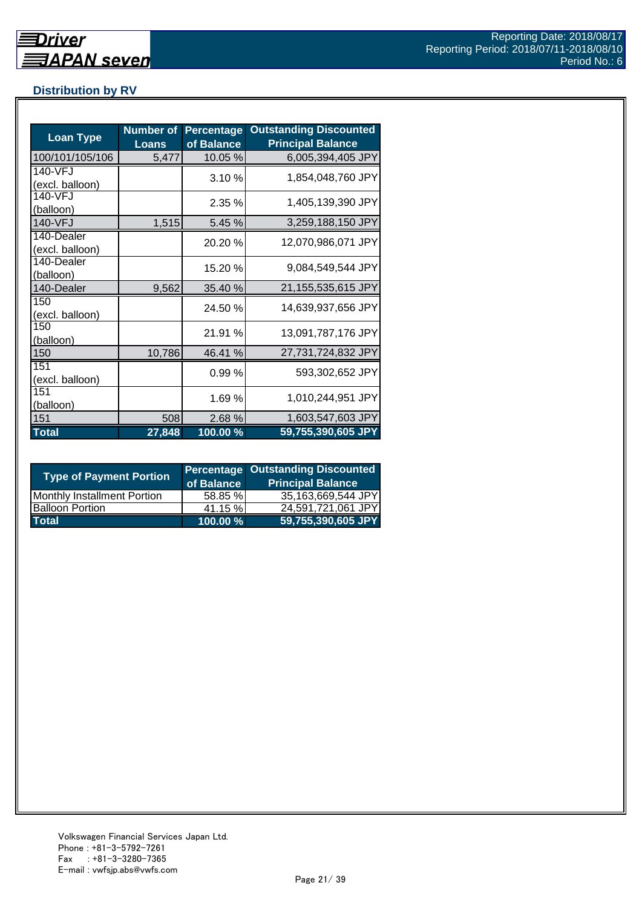# **Distribution by RV**

| <b>Loan Type</b>              | <b>Number of</b><br><b>Loans</b> | <b>Percentage</b><br>of Balance | <b>Outstanding Discounted</b><br><b>Principal Balance</b> |
|-------------------------------|----------------------------------|---------------------------------|-----------------------------------------------------------|
| 100/101/105/106               | 5,477                            | 10.05 %                         | 6,005,394,405 JPY                                         |
| 140-VFJ<br>(excl. balloon)    |                                  | 3.10%                           | 1,854,048,760 JPY                                         |
| 140-VFJ<br>(balloon)          |                                  | 2.35%                           | 1,405,139,390 JPY                                         |
| 140-VFJ                       | 1,515                            | 5.45 %                          | 3,259,188,150 JPY                                         |
| 140-Dealer<br>(excl. balloon) |                                  | 20.20%                          | 12,070,986,071 JPY                                        |
| 140-Dealer<br>(balloon)       |                                  | 15.20 %                         | 9,084,549,544 JPY                                         |
| 140-Dealer                    | 9,562                            | 35.40 %                         | 21,155,535,615 JPY                                        |
| 150<br>(excl. balloon)        |                                  | 24.50 %                         | 14,639,937,656 JPY                                        |
| 150<br>(balloon)              |                                  | 21.91 %                         | 13,091,787,176 JPY                                        |
| 150                           | 10,786                           | 46.41 %                         | 27,731,724,832 JPY                                        |
| 151<br>(excl. balloon)        |                                  | 0.99%                           | 593,302,652 JPY                                           |
| 151<br>(balloon)              |                                  | 1.69 %                          | 1,010,244,951 JPY                                         |
| 151                           | 508                              | 2.68%                           | 1,603,547,603 JPY                                         |
| <b>Total</b>                  | 27,848                           | 100.00 %                        | 59,755,390,605 JPY                                        |

| <b>Type of Payment Portion</b> | of Balance | <b>Percentage Outstanding Discounted</b><br><b>Principal Balance</b> |
|--------------------------------|------------|----------------------------------------------------------------------|
| Monthly Installment Portion    | 58.85 %    | 35,163,669,544 JPY                                                   |
| <b>Balloon Portion</b>         | 41.15 %    | 24,591,721,061 JPY                                                   |
| <b>Total</b>                   | 100.00 %   | 59,755,390,605 JPY                                                   |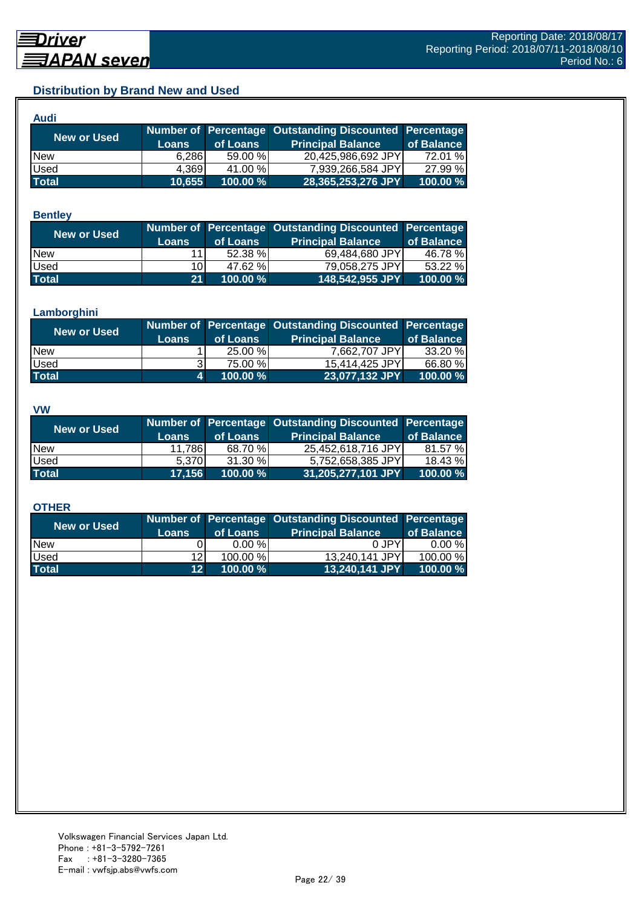# **Distribution by Brand New and Used**

| Audi         |        |             |                                                        |            |
|--------------|--------|-------------|--------------------------------------------------------|------------|
| New or Used  |        |             | Number of Percentage Outstanding Discounted Percentage |            |
|              | Loans  | of Loans    | <b>Principal Balance</b>                               | of Balance |
| <b>New</b>   | 6,286  | 59.00 %     | 20,425,986,692 JPY                                     | 72.01 %    |
| Used         | 4.369  | 41.00 %     | 7,939,266,584 JPY                                      | 27.99 %    |
| <b>Total</b> | 10,655 | $100.00 \%$ | 28,365,253,276 JPY                                     | 100.00 %   |

#### **Bentley**

| <b>New or Used</b> |              |          | Number of Percentage Outstanding Discounted Percentage |            |
|--------------------|--------------|----------|--------------------------------------------------------|------------|
|                    | <b>Loans</b> | of Loans | <b>Principal Balance</b>                               | of Balance |
| <b>New</b>         |              | 52.38 %  | 69,484,680 JPY                                         | 46.78 %    |
| <b>Used</b>        | 10I          | 47.62 %  | 79.058.275 JPY                                         | 53.22 %    |
| <b>Total</b>       | 21           | 100.00 % | 148,542,955 JPY                                        | 100.00 %   |

#### **Lamborghini**

| <b>New or Used</b> | <b>Loans</b> | of Loans | Number of Percentage Outstanding Discounted Percentage<br><b>Principal Balance</b> | of Balance |
|--------------------|--------------|----------|------------------------------------------------------------------------------------|------------|
|                    |              |          |                                                                                    |            |
| <b>New</b>         |              | 25.00 %  | 7,662,707 JPY                                                                      | 33.20 %    |
| <b>Used</b>        |              | 75.00 %  | 15,414,425 JPY                                                                     | 66.80 %    |
| <b>Total</b>       | 41           | 100.00 % | 23,077,132 JPY                                                                     | 100.00 %   |

#### **VW**

| <b>New or Used</b> |              |          | Number of Percentage Outstanding Discounted Percentage |            |
|--------------------|--------------|----------|--------------------------------------------------------|------------|
|                    | <b>Loans</b> | of Loans | <b>Principal Balance</b>                               | of Balance |
| <b>New</b>         | 11.786       | 68.70 %  | 25.452.618.716 JPYI                                    | 81.57 %    |
| <b>Used</b>        | 5.370        | 31.30 %  | 5,752,658,385 JPY                                      | 18.43 %    |
| <b>Total</b>       | 17,156       | 100.00 % | 31,205,277,101 JPY                                     | 100.00 %   |

#### **OTHER**

| New or Used  |                 |           | Number of Percentage Outstanding Discounted Percentage |            |
|--------------|-----------------|-----------|--------------------------------------------------------|------------|
|              | <b>Loans</b>    | of Loans  | <b>Principal Balance</b>                               | of Balance |
| <b>New</b>   |                 | $0.00 \%$ | 0 JPY                                                  | $0.00 \%$  |
| Used         | 12 <sub>l</sub> | 100.00 %  | 13,240,141 JPY                                         | 100.00 %   |
| <b>Total</b> | 12 <sup>1</sup> | 100.00 %  | 13,240,141 JPY                                         | 100.00 %   |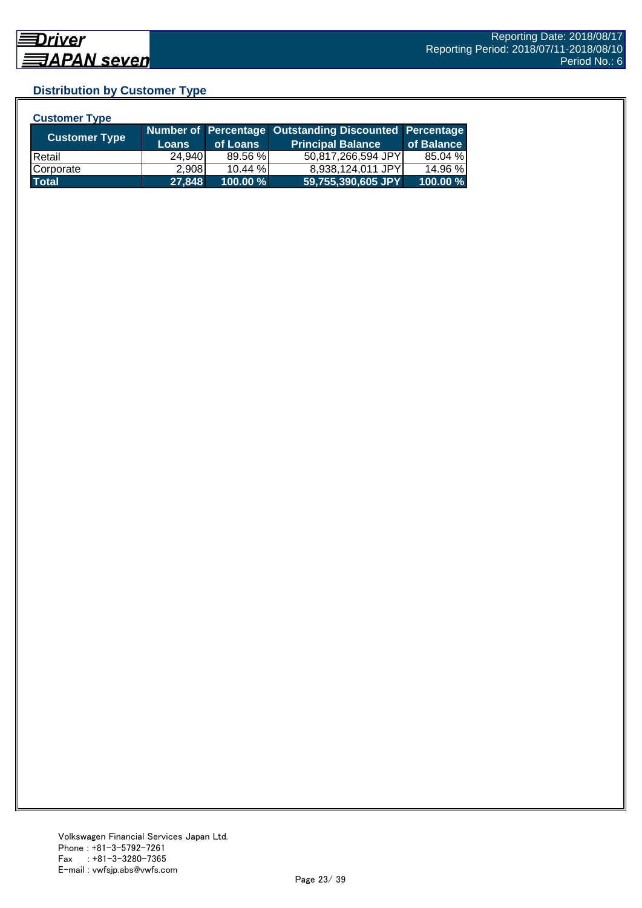# **Distribution by Customer Type**

| <b>Customer Type</b> |              |            |                                                        |            |
|----------------------|--------------|------------|--------------------------------------------------------|------------|
|                      |              |            | Number of Percentage Outstanding Discounted Percentage |            |
| <b>Customer Type</b> | <b>Loans</b> | of Loans   | <b>Principal Balance</b>                               | of Balance |
| <b>Retail</b>        | 24,940       | 89.56 %    | 50,817,266,594 JPY                                     | 85.04 %    |
| Corporate            | 2.908        | $10.44 \%$ | 8,938,124,011 JPY                                      | 14.96 %    |
| <b>Total</b>         | 27,848       | 100.00 %   | 59,755,390,605 JPY                                     | 100.00 %   |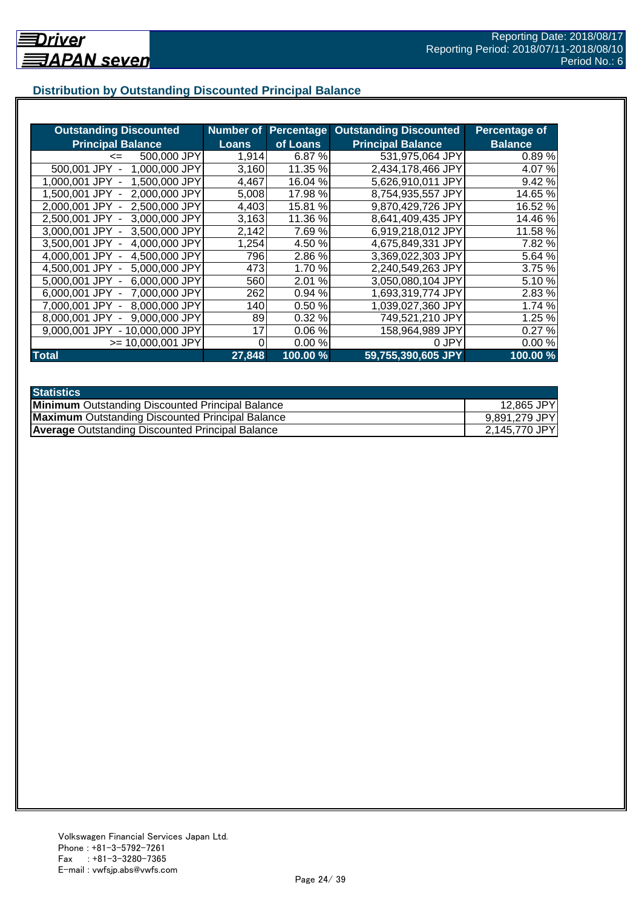# **Distribution by Outstanding Discounted Principal Balance**

| <b>Outstanding Discounted</b>     | <b>Number of</b> | <b>Percentage</b> | <b>Outstanding Discounted</b> | <b>Percentage of</b> |
|-----------------------------------|------------------|-------------------|-------------------------------|----------------------|
| <b>Principal Balance</b>          | <b>Loans</b>     | of Loans          | <b>Principal Balance</b>      | <b>Balance</b>       |
| 500,000 JPY<br>$\leq$             | 1,914            | 6.87 %            | 531,975,064 JPY               | 0.89%                |
| 500,001 JPY<br>1,000,000 JPY      | 3,160            | 11.35 %           | 2,434,178,466 JPY             | 4.07%                |
| 1,500,000 JPY<br>1.000.001 JPY    | 4,467            | 16.04 %           | 5,626,910,011 JPY             | 9.42%                |
| 2,000,000 JPY<br>1.500.001 JPY -  | 5,008            | 17.98 %           | 8,754,935,557 JPY             | 14.65 %              |
| 2,000,001 JPY -<br>2.500,000 JPY  | 4,403            | 15.81 %           | 9,870,429,726 JPY             | 16.52 %              |
| 2,500,001 JPY -<br>3,000,000 JPY  | 3,163            | 11.36 %           | 8,641,409,435 JPY             | 14.46 %              |
| 3,000,001 JPY -<br>3,500,000 JPY  | 2,142            | 7.69%             | 6,919,218,012 JPY             | 11.58 %              |
| 4,000,000 JPY<br>3,500,001 JPY -  | 1,254            | 4.50 %            | 4,675,849,331 JPY             | 7.82 %               |
| 4,000,001 JPY -<br>4,500,000 JPY  | 796              | 2.86%             | 3,369,022,303 JPY             | 5.64 %               |
| 5,000,000 JPY<br>4.500.001 JPY -  | 473              | 1.70 %            | 2,240,549,263 JPY             | 3.75 %               |
| 6,000,000 JPY<br>5.000.001 JPY -  | 560              | 2.01<br>%         | 3,050,080,104 JPY             | 5.10 %               |
| 7,000,000 JPY<br>6.000.001 JPY -  | 262              | 0.94 %            | 1,693,319,774 JPY             | 2.83%                |
| 8,000,000 JPY<br>7.000.001 JPY    | 140              | 0.50%             | 1,039,027,360 JPY             | 1.74 %               |
| 9,000,000 JPY<br>8.000.001 JPY    | 89               | 0.32%             | 749,521,210 JPY               | 1.25 %               |
| - 10,000,000 JPY<br>9.000.001 JPY | 17               | 0.06%             | 158,964,989 JPY               | 0.27%                |
| $>= 10,000,001$ JPY               |                  | 0.00%             | 0 JPY                         | 0.00%                |
| <b>Total</b>                      | 27,848           | 100.00 %          | 59,755,390,605 JPY            | 100.00 %             |

| <b>Statistics</b>                                       |               |
|---------------------------------------------------------|---------------|
| <b>Minimum</b> Outstanding Discounted Principal Balance | 12,865 JPY    |
| <b>Maximum</b> Outstanding Discounted Principal Balance | 9,891,279 JPY |
| <b>Average</b> Outstanding Discounted Principal Balance | 2,145,770 JPY |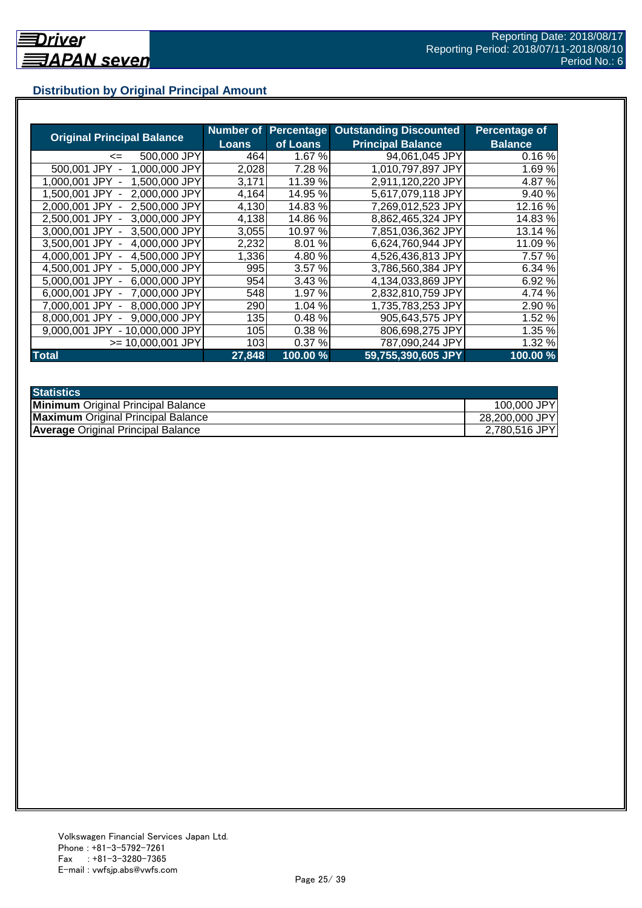# **Distribution by Original Principal Amount**

|                                                   | Number of |          | <b>Percentage Outstanding Discounted</b> | Percentage of  |
|---------------------------------------------------|-----------|----------|------------------------------------------|----------------|
| <b>Original Principal Balance</b>                 | Loans     | of Loans | <b>Principal Balance</b>                 | <b>Balance</b> |
| 500,000 JPY<br>$\leq$                             | 464       | 1.67 %   | 94.061.045 JPY                           | 0.16%          |
| 500,001 JPY<br>1,000,000 JPY                      | 2,028     | 7.28 %   | 1,010,797,897 JPY                        | 1.69%          |
| 1,500,000 JPY<br>1.000.001 JPY                    | 3,171     | 11.39 %  | 2,911,120,220 JPY                        | 4.87%          |
| 2.000.000 JPY<br>1.500.001<br>JPY                 | 4,164     | 14.95 %  | 5,617,079,118 JPY                        | 9.40 %         |
| 2,500,000 JPY<br>2.000.001 JPY -                  | 4,130     | 14.83%   | 7,269,012,523 JPY                        | 12.16 %        |
| 2,500,001 JPY -<br>3,000,000 JPY                  | 4,138     | 14.86%   | 8,862,465,324 JPY                        | 14.83%         |
| 3,000,001 JPY -<br>3.500,000 JPY                  | 3,055     | 10.97 %  | 7,851,036,362 JPY                        | 13.14 %        |
| 4,000,000 JPY<br>3,500,001 JPY -                  | 2,232     | 8.01%    | 6,624,760,944 JPY                        | 11.09 %        |
| 4,500,000 JPY<br>4.000.001 JPY -                  | 1,336     | 4.80 %   | 4,526,436,813 JPY                        | 7.57 %         |
| 4.500.001 JPY -<br>5,000,000 JPY                  | 995       | 3.57%    | 3,786,560,384 JPY                        | 6.34 %         |
| 6,000,000 JPY<br>5.000.001 JPY -                  | 954       | 3.43%    | 4,134,033,869 JPY                        | 6.92 %         |
| 7,000,000 JPY<br>6,000,001 JPY -                  | 548       | 1.97 %   | 2,832,810,759 JPY                        | 4.74 %         |
| 8,000,000 JPY<br>7.000.001 JPY -                  | 290       | 1.04 %   | 1,735,783,253 JPY                        | 2.90 %         |
| 9.000.000 JPY<br>8,000,001 JPY                    | 135       | 0.48%    | 905,643,575 JPY                          | 1.52 %         |
| 10.000.000 JPY<br>9.000.001 JPY<br>$\blacksquare$ | 105       | 0.38%    | 806,698,275 JPY                          | 1.35 %         |
| >= 10.000.001 JPY                                 | 103       | 0.37%    | 787,090,244 JPY                          | 1.32 %         |
| <b>Total</b>                                      | 27,848    | 100.00 % | 59,755,390,605 JPY                       | 100.00 %       |

| <b>Statistics</b>                         |                |
|-------------------------------------------|----------------|
| <b>Minimum</b> Original Principal Balance | 100,000 JPY    |
| <b>Maximum</b> Original Principal Balance | 28,200,000 JPY |
| <b>Average Original Principal Balance</b> | 2,780,516 JPY  |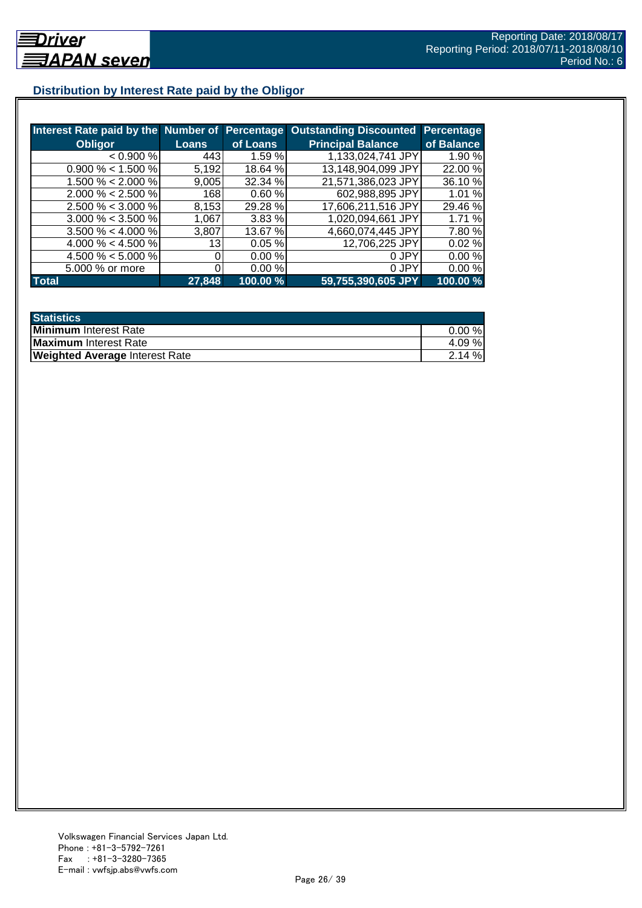# **Distribution by Interest Rate paid by the Obligor**

| Interest Rate paid by the Number of Percentage |                 |          | <b>Outstanding Discounted</b> | <b>Percentage</b> |
|------------------------------------------------|-----------------|----------|-------------------------------|-------------------|
| <b>Obligor</b>                                 | <b>Loans</b>    | of Loans | <b>Principal Balance</b>      | of Balance        |
| < 0.900 %                                      | 443             | 1.59%    | 1,133,024,741 JPY             | 1.90 %            |
| $0.900\% < 1.500\%$                            | 5,192           | 18.64 %  | 13,148,904,099 JPY            | 22.00 %           |
| 1.500 % < 2.000 %                              | 9,005           | 32.34 %  | 21,571,386,023 JPY            | 36.10%            |
| $2.000\% < 2.500\%$                            | 168             | 0.60%    | 602,988,895 JPY               | 1.01 %            |
| $2.500\% < 3.000\%$                            | 8,153           | 29.28 %  | 17,606,211,516 JPY            | 29.46 %           |
| $3.000\% < 3.500\%$                            | 1,067           | 3.83%    | 1,020,094,661 JPY             | 1.71 %            |
| $3.500\% < 4.000\%$                            | 3,807           | 13.67 %  | 4,660,074,445 JPY             | 7.80%             |
| 4.000 % < 4.500 %                              | 13 <sub>1</sub> | 0.05%    | 12,706,225 JPY                | 0.02%             |
| 4.500 % $<$ 5.000 %                            |                 | 0.00%    | 0 JPY                         | 0.00%             |
| 5.000 % or more                                |                 | 0.00%    | 0 JPY                         | 0.00%             |
| <b>Total</b>                                   | 27,848          | 100.00 % | 59,755,390,605 JPY            | 100.00 %          |

| <b>Statistics</b>                     |           |
|---------------------------------------|-----------|
| <b>Minimum</b> Interest Rate          | $0.00 \%$ |
| <b>Maximum</b> Interest Rate          | 4.09%     |
| <b>Weighted Average Interest Rate</b> | 2.14%     |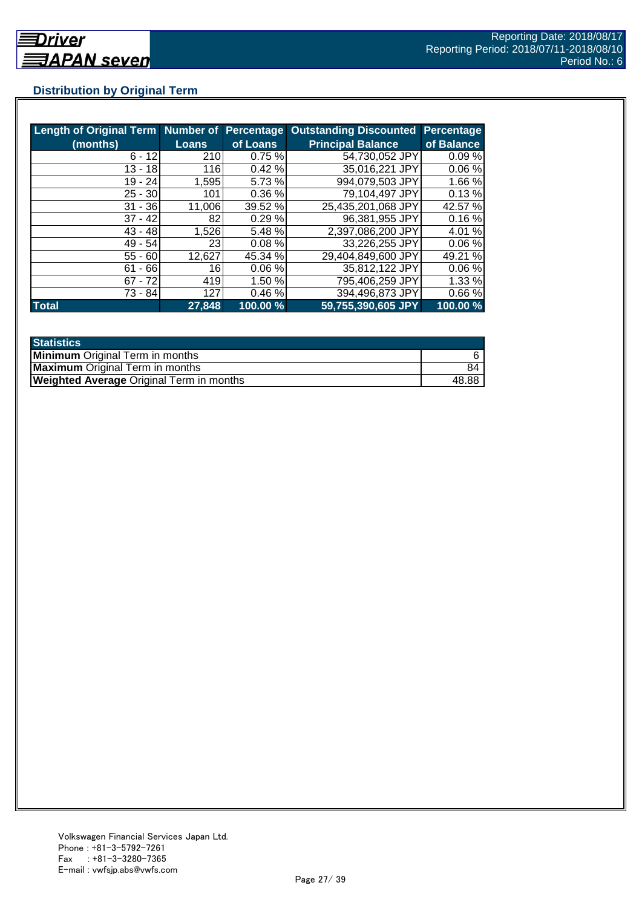# **Distribution by Original Term**

| Length of Original Term Number of Percentage |        |           | <b>Outstanding Discounted</b> | Percentage |
|----------------------------------------------|--------|-----------|-------------------------------|------------|
| (months)                                     | Loans  | of Loans  | <b>Principal Balance</b>      | of Balance |
| $6 - 12$                                     | 210    | 0.75%     | 54,730,052 JPY                | 0.09%      |
| $13 - 18$                                    | 116    | 0.42%     | 35,016,221 JPY                | 0.06%      |
| $19 - 24$                                    | 1,595  | 5.73 %    | 994,079,503 JPY               | 1.66 %     |
| $25 - 30$                                    | 101    | 0.36 %    | 79,104,497 JPY                | 0.13%      |
| $31 - 36$                                    | 11,006 | 39.52 %   | 25,435,201,068 JPY            | 42.57 %    |
| $37 - 42$                                    | 82     | 0.29%     | 96,381,955 JPY                | 0.16%      |
| $43 - 48$                                    | 1,526  | 5.48 %    | 2,397,086,200 JPY             | 4.01 %     |
| $49 - 54$                                    | 23I    | $0.08 \%$ | 33,226,255 JPY                | 0.06%      |
| $55 - 60$                                    | 12,627 | 45.34 %   | 29,404,849,600 JPY            | 49.21 %    |
| $61 - 66$                                    | 16     | 0.06%     | 35,812,122 JPY                | 0.06%      |
| $67 - 72$                                    | 419    | 1.50 %    | 795,406,259 JPY               | 1.33%      |
| 73 - 84                                      | 127    | 0.46%     | 394,496,873 JPY               | 0.66%      |
| <b>Total</b>                                 | 27,848 | 100.00 %  | 59,755,390,605 JPY            | 100.00 %   |

| <b>Statistics</b>                               |       |
|-------------------------------------------------|-------|
| <b>Minimum</b> Original Term in months          |       |
| <b>Maximum</b> Original Term in months          | 84    |
| <b>Weighted Average Original Term in months</b> | 48.88 |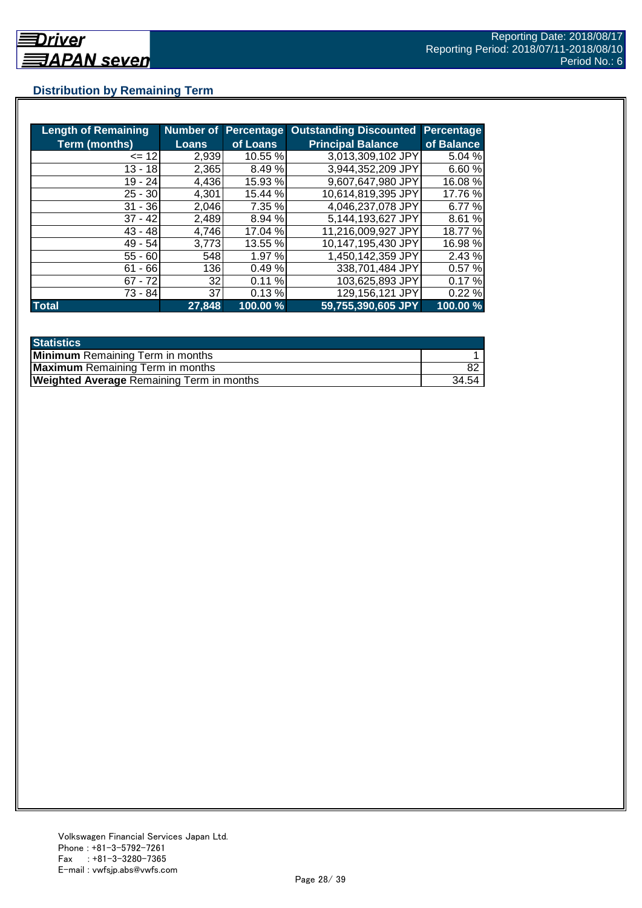# **Distribution by Remaining Term**

| <b>Length of Remaining</b> |        | <b>Number of Percentage</b> | <b>Outstanding Discounted</b> | <b>Percentage</b> |
|----------------------------|--------|-----------------------------|-------------------------------|-------------------|
| <b>Term (months)</b>       | Loans  | of Loans                    | <b>Principal Balance</b>      | of Balance        |
| $= 12$                     | 2,939  | 10.55 %                     | 3,013,309,102 JPY             | 5.04 %            |
| $13 - 18$                  | 2,365  | 8.49 %                      | 3,944,352,209 JPY             | 6.60%             |
| $19 - 24$                  | 4.436  | 15.93 %                     | 9,607,647,980 JPY             | 16.08 %           |
| $25 - 30$                  | 4,301  | 15.44 %                     | 10.614,819,395 JPY            | 17.76 %           |
| $31 - 36$                  | 2,046  | 7.35 %                      | 4,046,237,078 JPY             | 6.77 %            |
| $37 - 42$                  | 2,489  | 8.94 %                      | 5,144,193,627 JPY             | 8.61 %            |
| $43 - 48$                  | 4,746  | 17.04 %                     | 11,216,009,927 JPY            | 18.77 %           |
| 49 - 54                    | 3,773  | 13.55 %                     | 10,147,195,430 JPY            | 16.98 %           |
| $55 - 60$                  | 548    | 1.97 %                      | 1,450,142,359 JPY             | 2.43 %            |
| $61 - 66$                  | 136    | 0.49%                       | 338,701,484 JPY               | 0.57%             |
| $67 - 72$                  | 32     | 0.11%                       | 103,625,893 JPY               | 0.17%             |
| 73 - 84                    | 37     | 0.13%                       | 129,156,121 JPY               | 0.22%             |
| <b>Total</b>               | 27,848 | 100.00 %                    | 59,755,390,605 JPY            | 100.00 %          |

| <b>Statistics</b>                                |       |
|--------------------------------------------------|-------|
| <b>Minimum</b> Remaining Term in months          |       |
| <b>Maximum</b> Remaining Term in months          |       |
| <b>Weighted Average Remaining Term in months</b> | 34.54 |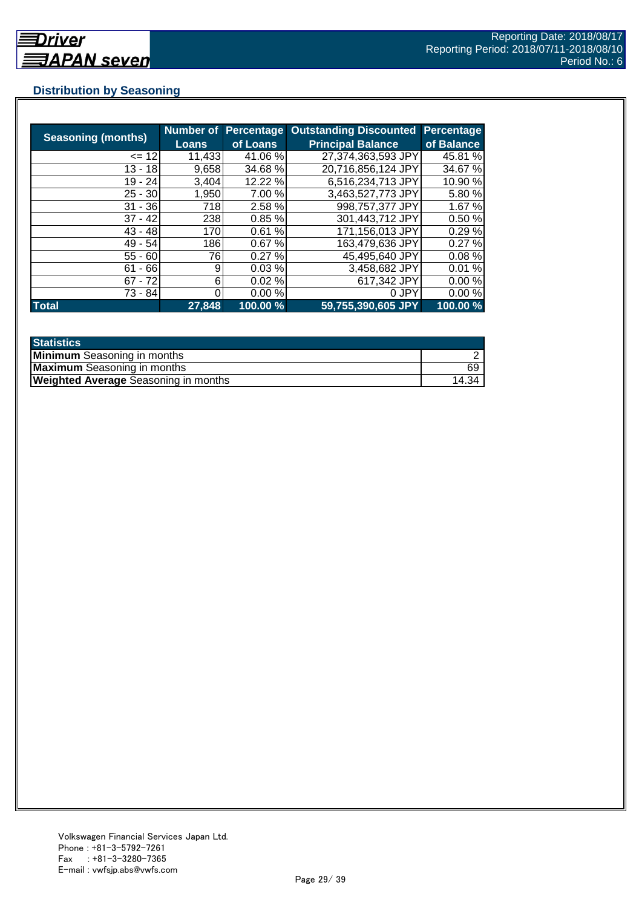## **Distribution by Seasoning**

| <b>Seasoning (months)</b> | <b>Loans</b> | <b>Number of Percentage</b><br>of Loans | <b>Outstanding Discounted</b><br><b>Principal Balance</b> | <b>Percentage</b><br>of Balance |
|---------------------------|--------------|-----------------------------------------|-----------------------------------------------------------|---------------------------------|
|                           |              |                                         |                                                           |                                 |
| $= 12$                    | 11,433       | 41.06 %                                 | 27,374,363,593 JPY                                        | 45.81 %                         |
| $13 - 18$                 | 9,658        | 34.68 %                                 | 20,716,856,124 JPY                                        | 34.67%                          |
| 19 - 24                   | 3.404        | 12.22 %                                 | 6,516,234,713 JPY                                         | 10.90 %                         |
| $25 - 30$                 | 1,950        | 7.00 %                                  | 3,463,527,773 JPY                                         | 5.80%                           |
| $31 - 36$                 | 718          | 2.58 %                                  | 998,757,377 JPY                                           | 1.67 %                          |
| $37 - 42$                 | 238          | 0.85%                                   | 301,443,712 JPY                                           | 0.50%                           |
| $43 - 48$                 | 170          | 0.61%                                   | 171,156,013 JPY                                           | 0.29%                           |
| 49 - 54                   | 186          | 0.67%                                   | 163,479,636 JPY                                           | 0.27%                           |
| $55 - 60$                 | 76           | 0.27%                                   | 45,495,640 JPY                                            | 0.08%                           |
| $61 - 66$                 | 9            | 0.03%                                   | 3,458,682 JPY                                             | 0.01%                           |
| $67 - 72$                 | 6            | 0.02%                                   | 617,342 JPY                                               | 0.00%                           |
| 73 - 84                   |              | 0.00%                                   | 0 JPY                                                     | 0.00%                           |
| <b>Total</b>              | 27,848       | 100.00 %                                | 59,755,390,605 JPY                                        | 100.00 %                        |

| <b>Statistics</b>                           |       |
|---------------------------------------------|-------|
| <b>Minimum</b> Seasoning in months          |       |
| <b>Maximum</b> Seasoning in months          | 69    |
| <b>Weighted Average Seasoning in months</b> | 14.34 |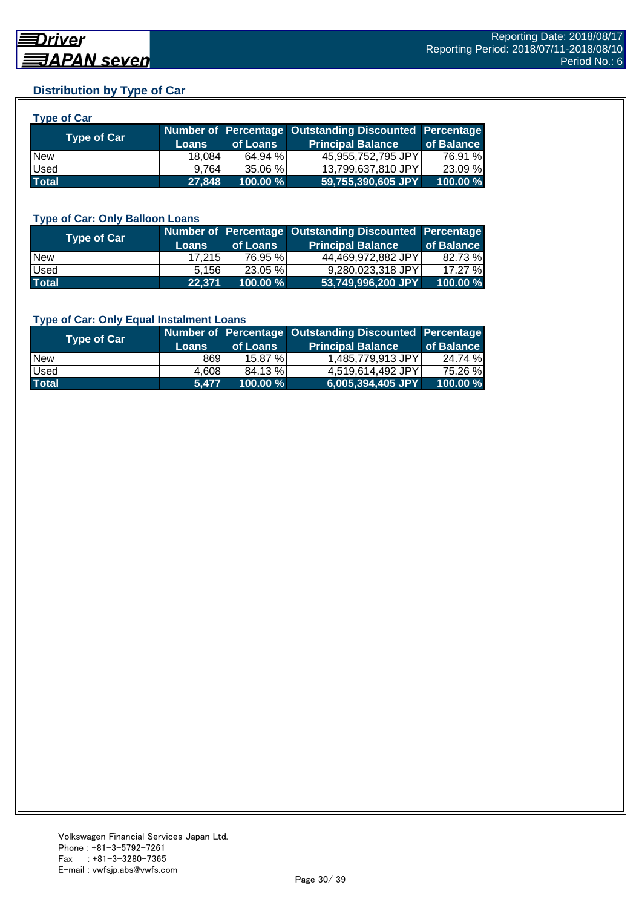### **Distribution by Type of Car**

| <b>Type of Car</b> |              |          |                                                        |            |
|--------------------|--------------|----------|--------------------------------------------------------|------------|
| <b>Type of Car</b> |              |          | Number of Percentage Outstanding Discounted Percentage |            |
|                    | <b>Loans</b> | of Loans | <b>Principal Balance</b>                               | of Balance |
| <b>New</b>         | 18,084       | 64.94 %  | 45,955,752,795 JPY                                     | 76.91 %    |
| Used               | 9.764        | 35.06 %  | 13,799,637,810 JPY                                     | 23.09 %    |
| <b>Total</b>       | 27,848       | 100.00 % | 59,755,390,605 JPY                                     | 100.00%    |

#### **Type of Car: Only Balloon Loans**

| Type of Car  | <b>Loans</b> | of Loans    | Number of Percentage Outstanding Discounted Percentage<br><b>Principal Balance</b> | of Balance |
|--------------|--------------|-------------|------------------------------------------------------------------------------------|------------|
| <b>New</b>   | 17.215       | 76.95 %     | 44,469,972,882 JPY                                                                 | 82.73 %    |
| Used         | 5.156        | 23.05 %     | 9,280,023,318 JPY                                                                  | 17.27 %    |
| <b>Total</b> | 22,371       | $100.00 \%$ | 53,749,996,200 JPY                                                                 | 100.00%    |

#### **Type of Car: Only Equal Instalment Loans**

| <b>Type of Car</b> |              |             | Number of Percentage Outstanding Discounted Percentage |            |
|--------------------|--------------|-------------|--------------------------------------------------------|------------|
|                    | <b>Loans</b> | of Loans    | <b>Principal Balance</b>                               | of Balance |
| <b>New</b>         | 8691         | 15.87 %L    | 1,485,779,913 JPY                                      | 24.74 %    |
| Used               | 4,608        | 84.13 %     | 4.519.614.492 JPYI                                     | 75.26 %    |
| <b>Total</b>       | 5.477        | $100.00 \%$ | 6,005,394,405 JPY                                      | 100.00 %   |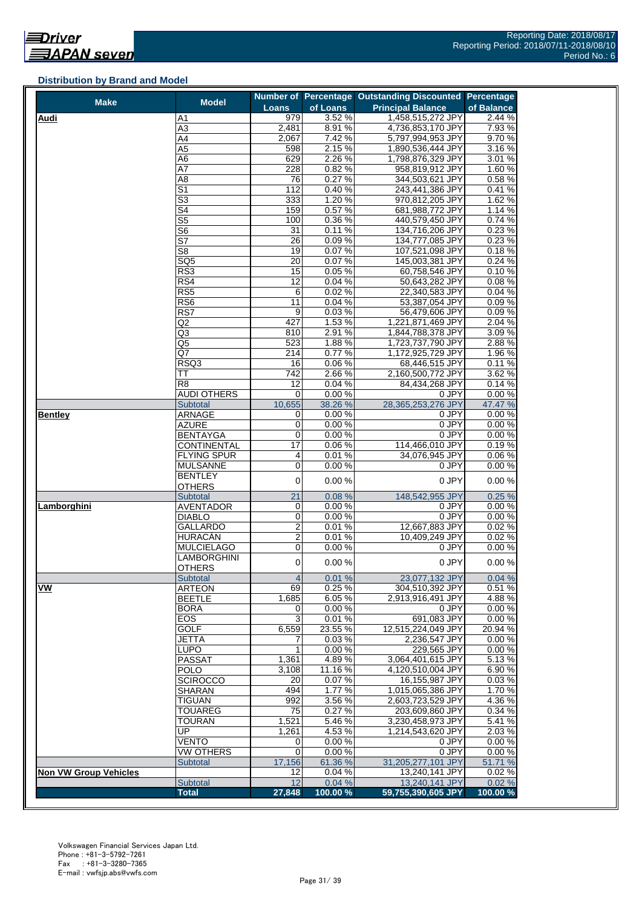#### **Distribution by Brand and Model**

| <b>Make</b>                  | <b>Model</b>               |                 |                  | Number of Percentage Outstanding Discounted Percentage |                     |
|------------------------------|----------------------------|-----------------|------------------|--------------------------------------------------------|---------------------|
|                              |                            | <b>Loans</b>    | of Loans         | <b>Principal Balance</b>                               | of Balance          |
| <b>Audi</b>                  | A1                         | 979             | 3.52%            | 1,458,515,272 JPY                                      | 2.44%               |
|                              | $\overline{A3}$            | 2,481           | 8.91%            | 4,736,853,170 JPY                                      | 7.93%               |
|                              | A4                         | 2,067           | 7.42 %           | 5,797,994,953 JPY                                      | 9.70%               |
|                              | A5                         | 598             | 2.15%            | 1,890,536,444 JPY                                      | 3.16%               |
|                              | A6                         | 629             | 2.26 %           | 1,798,876,329 JPY                                      | 3.01 %              |
|                              | A7                         | 228             | 0.82%            | 958,819,912 JPY                                        | 1.60%               |
|                              | A <sub>8</sub>             | 76              | 0.27%            | 344,503,621 JPY                                        | 0.58%               |
|                              | $\overline{\mathsf{S}1}$   | 112             | 0.40%            | 243,441,386 JPY                                        | 0.41%               |
|                              | $\overline{\mathbb{S}^3}$  | 333             | 1.20%            | 970,812,205 JPY                                        | 1.62 %              |
|                              | S4                         | 159             | 0.57%            | 681,988,772 JPY                                        | 1.14 %              |
|                              | $\overline{\text{S5}}$     | 100             | 0.36%            | 440,579,450 JPY                                        | 0.74%               |
|                              | S <sub>6</sub>             | 31              | 0.11%            | 134,716,206 JPY                                        | 0.23%               |
|                              | $\overline{\mathsf{S}7}$   | 26              | 0.09%            | 134,777,085 JPY                                        | 0.23%               |
|                              | S <sub>8</sub>             | 19              | 0.07%            | 107,521,098 JPY                                        | 0.18%               |
|                              | SQ <sub>5</sub>            | $\overline{20}$ | 0.07%            | 145,003,381 JPY                                        | 0.24%               |
|                              | RS3                        | 15              | 0.05%            | 60,758,546 JPY                                         | 0.10%               |
|                              | RS4                        | 12              | 0.04%            | 50,643,282 JPY                                         | 0.08%               |
|                              | RS <sub>5</sub>            | 6               | 0.02%            | 22,340,583 JPY                                         | 0.04%               |
|                              | RS6                        | 11              | 0.04%            | 53,387,054 JPY                                         | 0.09%               |
|                              | RS7                        | $\overline{9}$  | 0.03%            | 56,479,606 JPY                                         | 0.09%               |
|                              | Q2                         | 427             | 1.53%            | 1,221,871,469 JPY                                      | 2.04%               |
|                              | Q3                         | 810             | 2.91%            | 1,844,788,378 JPY                                      | 3.09%               |
|                              | Q5                         | 523             | 1.88%            | 1,723,737,790 JPY                                      | 2.88%               |
|                              | Q7                         | 214             | 0.77%            | 1,172,925,729 JPY                                      | 1.96 %              |
|                              | RSQ3                       | 16              | 0.06%            | 68,446,515 JPY                                         | 0.11%               |
|                              | TT                         | 742             | 2.66%            | 2,160,500,772 JPY                                      | 3.62 %              |
|                              | R <sub>8</sub>             | 12              | 0.04%            | 84,434,268 JPY                                         | 0.14%               |
|                              | AUDI OTHERS                | 0               | 0.00%            | 0 JPY                                                  | 0.00%               |
|                              | Subtotal<br><b>ARNAGE</b>  | 10,655          | 38.26 %<br>0.00% | 28,365,253,276 JPY                                     | 47.47 %<br>0.00%    |
| <b>Bentley</b>               |                            | 0<br>0          |                  | 0 JPY<br>0 JPY                                         |                     |
|                              | <b>AZURE</b>               | 0               | 0.00%<br>0.00%   | 0 JPY                                                  | 0.00%<br>0.00%      |
|                              | <b>BENTAYGA</b>            | $\overline{17}$ |                  | 114,466,010 JPY                                        |                     |
|                              | <b>CONTINENTAL</b>         |                 | 0.06%            |                                                        | 0.19%               |
|                              | <b>FLYING SPUR</b>         | 4<br>0          | 0.01%<br>0.00%   | 34,076,945 JPY<br>0 JPY                                | 0.06%<br>0.00%      |
|                              | <b>MULSANNE</b><br>BENTLEY |                 |                  |                                                        |                     |
|                              | <b>OTHERS</b>              | 0               | 0.00%            | 0 JPY                                                  | 0.00%               |
|                              | Subtotal                   | 21              | 0.08%            | 148,542,955 JPY                                        | 0.25%               |
| Lamborghini                  | <b>AVENTADOR</b>           | 0               | 0.00%            | 0 JPY                                                  | 0.00%               |
|                              | <b>DIABLO</b>              | 0               | 0.00%            | 0 JPY                                                  | 0.00%               |
|                              | GALLARDO                   | $\overline{2}$  | 0.01%            | 12,667,883 JPY                                         | 0.02%               |
|                              | HURACÁN                    | $\overline{2}$  | 0.01%            | 10,409,249 JPY                                         | 0.02%               |
|                              | <b>MULCIELAGO</b>          | 0               | 0.00%            | 0 JPY                                                  | 0.00%               |
|                              | <b>LAMBORGHINI</b>         |                 |                  |                                                        |                     |
|                              | <b>OTHERS</b>              | $\mathbf 0$     | 0.00%            | 0 JPY                                                  | 0.00%               |
|                              | Subtotal                   | $\overline{4}$  | 0.01%            | 23,077,132 JPY                                         | 0.04%               |
| VW                           | <b>ARTEON</b>              | 69              | 0.25%            | 304,510,392 JPY                                        | 0.51%               |
|                              | <b>BEETLE</b>              | 1,685           | 6.05%            | 2,913,916,491 JPY                                      | 4.88%               |
|                              | <b>BORA</b>                | 0               | 0.00%            | 0 JPY                                                  | 0.00%               |
|                              | EOS                        | 3               | 0.01%            | 691,083 JPY                                            | 0.00%               |
|                              | <b>GOLF</b>                | 6,559           | 23.55 %          | 12,515,224,049 JPY                                     | 20.94 %             |
|                              | <b>JETTA</b>               | 7               | 0.03%            | 2,236,547 JPY                                          | 0.00%               |
|                              | <b>LUPO</b>                | 1               | 0.00%            | 229,565 JPY                                            | 0.00%               |
|                              | <b>PASSAT</b>              | 1,361           | 4.89%            | 3.064.401.615 JPY                                      | $\overline{5.13}$ % |
|                              | <b>POLO</b>                | 3,108           | 11.16%           | 4,120,510,004 JPY                                      | 6.90%               |
|                              | <b>SCIROCCO</b>            | 20              | 0.07%            | 16,155,987 JPY                                         | 0.03%               |
|                              | SHARAN                     | 494             | 1.77%            | 1,015,065,386 JPY                                      | 1.70%               |
|                              | <b>TIGUAN</b>              | 992             | 3.56%            | 2,603,723,529 JPY                                      | 4.36%               |
|                              | <b>TOUAREG</b>             | 75              | 0.27%            | 203,609,860 JPY                                        | 0.34 %              |
|                              | <b>TOURAN</b>              | 1,521           | 5.46%            | 3,230,458,973 JPY                                      | 5.41 %              |
|                              | UP                         | 1,261           | 4.53%            | 1,214,543,620 JPY                                      | 2.03%               |
|                              | <b>VENTO</b>               | 0               | 0.00%            | 0 JPY                                                  | 0.00%               |
|                              | <b>VW OTHERS</b>           | 0               | 0.00%            | 0 JPY                                                  | 0.00%               |
|                              | Subtotal                   | 17,156          | 61.36 %          | 31,205,277,101 JPY                                     | 51.71 %             |
| <b>Non VW Group Vehicles</b> |                            | 12              | 0.04%            | 13,240,141 JPY                                         | 0.02%               |
|                              | Subtotal                   | 12              | 0.04%            | 13,240,141 JPY                                         | 0.02%               |
|                              | <b>Total</b>               | 27,848          | 100.00%          | 59,755,390,605 JPY                                     | 100.00 %            |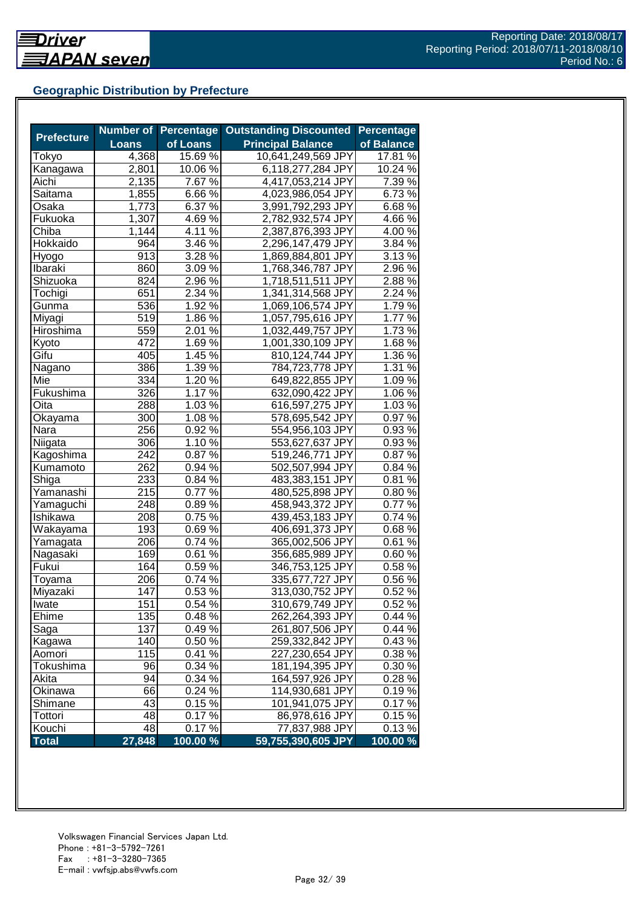# **Geographic Distribution by Prefecture**

|                   |              | <b>Number of Percentage</b>  | <b>Outstanding Discounted</b> | <b>Percentage</b> |
|-------------------|--------------|------------------------------|-------------------------------|-------------------|
| <b>Prefecture</b> | <b>Loans</b> | of Loans                     | <b>Principal Balance</b>      | of Balance        |
| Tokyo             | 4,368        | 15.69 %                      | 10,641,249,569 JPY            | 17.81 %           |
| Kanagawa          | 2,801        | 10.06%                       | 6,118,277,284 JPY             | 10.24 %           |
| Aichi             | 2,135        | 7.67 %                       | 4,417,053,214 JPY             | 7.39 %            |
| Saitama           | 1,855        | 6.66%                        | 4,023,986,054 JPY             | 6.73%             |
| Osaka             | 1,773        | 6.37 %                       | 3,991,792,293 JPY             | 6.68%             |
| Fukuoka           | 1,307        | 4.69 $\sqrt{2}$              | 2,782,932,574 JPY             | 4.66%             |
| Chiba             | 1,144        | 4.11 $\sqrt{6}$              | 2,387,876,393 JPY             | 4.00%             |
| Hokkaido          | 964          | $3.46\%$                     | 2,296,147,479 JPY             | 3.84 %            |
| Hyogo             | 913          | 3.28 %                       | 1,869,884,801 JPY             | 3.13%             |
| Ibaraki           | 860          | $3.09\%$                     | 1,768,346,787 JPY             | 2.96 %            |
| Shizuoka          | 824          | $2.96\,\sqrt{2}$             | 1,718,511,511 JPY             | 2.88%             |
| Tochigi           | 651          | 2.34 %                       | 1,341,314,568 JPY             | 2.24 %            |
| Gunma             | 536          | 1.92 %                       | 1,069,106,574 JPY             | 1.79%             |
| Miyagi            | 519          | 1.86 %                       | 1,057,795,616 JPY             | 1.77 %            |
| Hiroshima         | 559          | 2.01 %                       | 1,032,449,757 JPY             | 1.73%             |
| Kyoto             | 472          | 1.69%                        | 1,001,330,109 JPY             | 1.68%             |
| Gifu              | 405          | 1.45 %                       | 810,124,744 JPY               | 1.36 %            |
| Nagano            | 386          | $1.39\%$                     | 784,723,778 JPY               | 1.31 %            |
| Mie               | 334          | $1.20\%$                     | 649,822,855 JPY               | 1.09%             |
| Fukushima         | 326          | $1.17\%$                     | 632,090,422 JPY               | $1.06\%$          |
| Oita              | 288          | $1.03\%$                     | 616,597,275 JPY               | 1.03%             |
| Okayama           | 300          | $1.08\,\sqrt{6}$             | 578,695,542 JPY               | 0.97%             |
| Nara              | 256          | 0.92%                        | 554,956,103 JPY               | 0.93%             |
| Niigata           | 306          | 1.10 $\frac{1}{6}$           | 553,627,637 JPY               | 0.93%             |
| Kagoshima         | 242          | 0.87%                        | 519,246,771 JPY               | 0.87%             |
| Kumamoto          | 262          | $0.94\sqrt[6]{\frac{6}{25}}$ | 502,507,994 JPY               | 0.84 %            |
| Shiga             | 233          | 0.84 %                       | 483,383,151 JPY               | 0.81%             |
| Yamanashi         | 215          | 0.77 %                       | 480,525,898 JPY               | 0.80%             |
| Yamaguchi         | 248          | 0.89%                        | 458,943,372 JPY               | 0.77%             |
| Ishikawa          | 208          | 0.75 %                       | 439,453,183 JPY               | 0.74 %            |
| Wakayama          | 193          | 0.69%                        | 406,691,373 JPY               | 0.68%             |
| Yamagata          | 206          | $0.74\%$                     | 365,002,506 JPY               | 0.61%             |
| Nagasaki          | 169          | $0.61\%$                     | 356,685,989 JPY               | 0.60%             |
| Fukui             | 164          | $0.59\%$                     | 346,753,125 JPY               | 0.58%             |
| Toyama            | 206          | 0.74%                        | 335,677,727 JPY               | 0.56%             |
| Miyazaki          | 147          | 0.53%                        | 313,030,752 JPY               | 0.52%             |
| Iwate             | 151          | 0.54%                        | 310,679,749 JPY               | 0.52%             |
| Ehime             | 135          | 0.48%                        | 262,264,393 JPY               | 0.44%             |
| Saga              | 137          | 0.49%                        | 261,807,506 JPY               | 0.44%             |
| Kagawa            | 140          | 0.50 %                       | 259,332,842 JPY               | 0.43%             |
| Aomori            | 115          | 0.41%                        | 227,230,654 JPY               | 0.38 %            |
| Tokushima         | 96           | 0.34 %                       | 181,194,395 JPY               | 0.30%             |
| Akita             | 94           | 0.34 %                       | 164,597,926 JPY               | 0.28%             |
| Okinawa           | 66           | $0.24\%$                     | 114,930,681 JPY               | 0.19%             |
| Shimane           | 43           | $0.15\,\sqrt{2}$             | 101,941,075 JPY               | 0.17%             |
| Tottori           | 48           | 0.17%                        | 86,978,616 JPY                | 0.15%             |
| Kouchi            | 48           | 0.17%                        | 77,837,988 JPY                | 0.13%             |
| <b>Total</b>      | 27,848       | 100.00 %                     | 59,755,390,605 JPY            | 100.00 %          |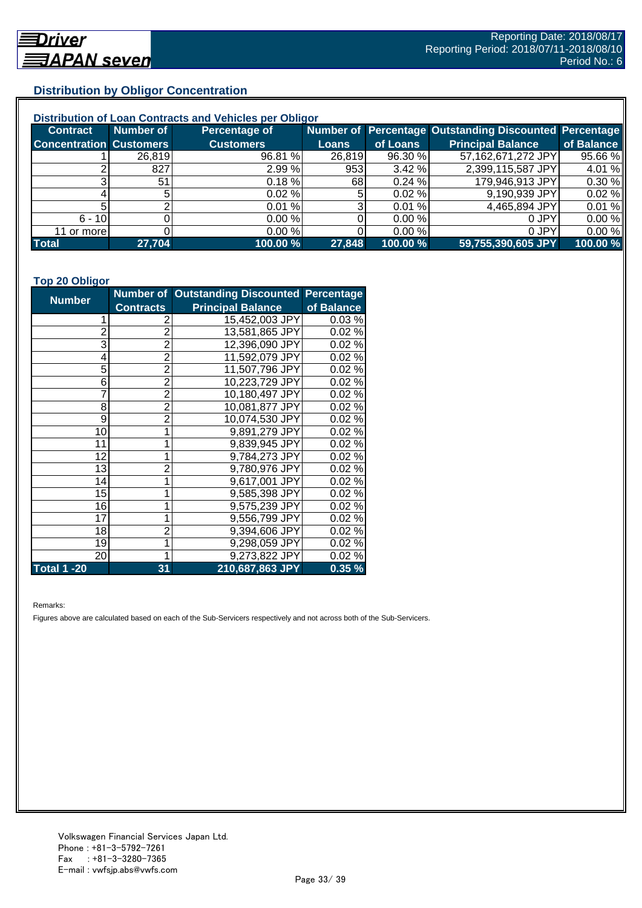# **Distribution by Obligor Concentration**

| Distribution of Loan Contracts and Vehicles per Obligor |           |                  |        |           |                                                        |            |  |
|---------------------------------------------------------|-----------|------------------|--------|-----------|--------------------------------------------------------|------------|--|
| <b>Contract</b>                                         | Number of | Percentage of    |        |           | Number of Percentage Outstanding Discounted Percentage |            |  |
| <b>Concentration Customers</b>                          |           | <b>Customers</b> | Loans  | of Loans  | <b>Principal Balance</b>                               | of Balance |  |
|                                                         | 26,819    | 96.81 %          | 26,819 | 96.30 %   | 57,162,671,272 JPY                                     | 95.66 %    |  |
|                                                         | 827       | 2.99%            | 953    | 3.42%     | 2,399,115,587 JPY                                      | 4.01 %     |  |
| ົ                                                       | 51        | $0.18 \%$        | 681    | 0.24%     | 179,946,913 JPY                                        | 0.30 %     |  |
|                                                         |           | $0.02 \%$        |        | $0.02 \%$ | 9,190,939 JPY                                          | 0.02%      |  |
|                                                         |           | 0.01%            |        | 0.01%     | 4,465,894 JPY                                          | 0.01%      |  |
| $6 - 10$                                                |           | 0.00%            |        | 0.00%     | 0 JPY                                                  | 0.00%      |  |
| 11 or more                                              |           | 0.00%            |        | 0.00 %    | 0 JPY                                                  | 0.00%      |  |
| <b>Total</b>                                            | 27,704    | 100.00 %         | 27,848 | 100.00 %  | 59,755,390,605 JPY                                     | 100.00 %   |  |

#### **Top 20 Obligor**

| <b>Number</b>      |                  | Number of Outstanding Discounted Percentage |            |
|--------------------|------------------|---------------------------------------------|------------|
|                    | <b>Contracts</b> | <b>Principal Balance</b>                    | of Balance |
| 1                  | 2                | 15,452,003 JPY                              | 0.03%      |
| $\overline{c}$     | $\overline{2}$   | 13,581,865 JPY                              | 0.02%      |
| 3                  | $\overline{2}$   | 12,396,090 JPY                              | 0.02%      |
| 4                  | $\overline{2}$   | 11,592,079 JPY                              | 0.02%      |
| 5                  | $\overline{2}$   | 11,507,796 JPY                              | 0.02%      |
| 6                  | $\overline{2}$   | 10,223,729 JPY                              | 0.02%      |
| $\overline{7}$     | $\overline{2}$   | 10,180,497 JPY                              | 0.02%      |
| 8                  | $\overline{2}$   | 10,081,877 JPY                              | 0.02%      |
| 9                  | $\overline{2}$   | 10,074,530 JPY                              | 0.02%      |
| 10                 | 1                | 9,891,279 JPY                               | 0.02%      |
| 11                 | 1                | 9,839,945 JPY                               | 0.02%      |
| 12                 | 1                | 9,784,273 JPY                               | 0.02%      |
| 13                 | $\overline{2}$   | 9,780,976 JPY                               | 0.02%      |
| 14                 | 1                | 9,617,001 JPY                               | 0.02%      |
| 15                 | 1                | 9,585,398 JPY                               | 0.02%      |
| 16                 | 1                | 9,575,239 JPY                               | 0.02%      |
| 17                 | 1                | 9,556,799 JPY                               | 0.02%      |
| 18                 | $\overline{2}$   | 9,394,606 JPY                               | 0.02%      |
| 19                 | 1                | 9,298,059 JPY                               | 0.02%      |
| 20                 | 1                | 9,273,822 JPY                               | 0.02%      |
| <b>Total 1 -20</b> | 31               | 210,687,863 JPY                             | 0.35%      |

Remarks:

Figures above are calculated based on each of the Sub-Servicers respectively and not across both of the Sub-Servicers.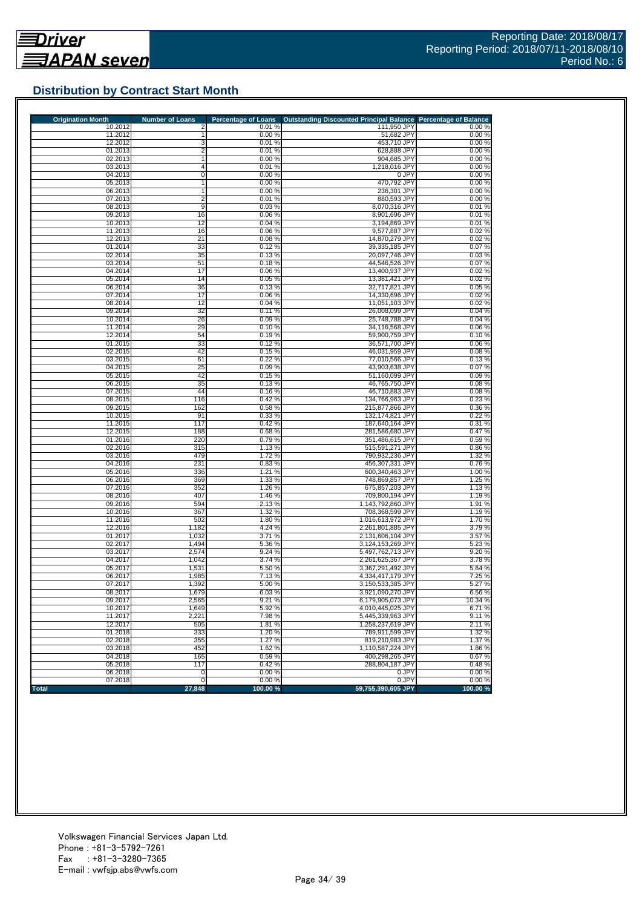

# **Distribution by Contract Start Month**

| <b>Origination Month</b> | <b>Number of Loans</b> | <b>Percentage of Loans</b> | Outstanding Discounted Principal Balance Percentage of Balance |                  |
|--------------------------|------------------------|----------------------------|----------------------------------------------------------------|------------------|
| 10.2012                  |                        | 0.01%                      | 111,950 JPY                                                    | 0.00%            |
| 11.2012<br>12.2012       | 3                      | 0.00%<br>0.01%             | 51,682 JPY<br>453,710 JPY                                      | 0.00%<br>0.00%   |
| 01.2013                  |                        | 0.01%                      | 628,888 JPY                                                    | 0.00%            |
| 02.2013                  |                        | 0.00%                      | 904,685 JPY                                                    | 0.00%            |
| 03.2013                  | 4                      | 0.01%                      | 1,218,016 JPY                                                  | 0.00%            |
| 04.2013                  | 0                      | 0.00%                      | 0 JPY                                                          | 0.00%            |
| 05.2013                  | 1                      | 0.00%                      | 470,792 JPY                                                    | 0.00%            |
| 06.2013                  |                        | 0.00%                      | 236,301 JPY                                                    | 0.00%            |
| 07.2013<br>08.2013       | $\overline{2}$<br>9    | 0.01%<br>0.03%             | 880,593 JPY<br>8,070,316 JPY                                   | 0.00%<br>0.01%   |
| 09.2013                  | 16                     | 0.06%                      | 8,901,696 JPY                                                  | 0.01%            |
| 10.2013                  | 12                     | 0.04%                      | 3,194,869 JPY                                                  | 0.01%            |
| 11.2013                  | 16                     | 0.06%                      | 9,577,887 JPY                                                  | 0.02%            |
| 12.2013                  | 21                     | 0.08%                      | 14,870,279 JPY                                                 | 0.02%            |
| 01.2014                  | 33                     | 0.12%                      | 39,335,185 JPY                                                 | 0.07%            |
| 02.2014<br>03.2014       | 35<br>51               | 0.13%<br>0.18%             | 20,097,746 JPY<br>44,546,526 JPY                               | 0.03%<br>0.07%   |
| 04.2014                  | 17                     | 0.06%                      | 13,400,937 JPY                                                 | 0.02%            |
| 05.2014                  | 14                     | 0.05%                      | 13,381,421 JPY                                                 | 0.02%            |
| 06.2014                  | 36                     | 0.13%                      | 32,717,821 JPY                                                 | 0.05%            |
| 07.2014                  | 17                     | 0.06%                      | 14,330,696 JPY                                                 | 0.02%            |
| 08.2014                  | 12                     | 0.04%                      | 11,051,103 JPY                                                 | 0.02%            |
| 09.2014                  | 32                     | 0.11%                      | 26,008,099 JPY                                                 | 0.04%            |
| 10.2014<br>11.2014       | 26<br>29               | 0.09%<br>0.10%             | 25,748,788 JPY<br>34,116,568 JPY                               | 0.04%<br>0.06%   |
| 12.2014                  | 54                     | 0.19%                      | 59.900.759 JPY                                                 | 0.10%            |
| 01.2015                  | 33                     | 0.12%                      | 36,571,700 JPY                                                 | 0.06%            |
| 02.2015                  | 42                     | 0.15%                      | 46,031,959 JPY                                                 | 0.08%            |
| 03.2015                  | 61                     | 0.22%                      | 77,010,566 JPY                                                 | 0.13%            |
| 04.2015                  | 25                     | 0.09%                      | 43,903,638 JPY                                                 | 0.07%            |
| 05.2015                  | 42                     | 0.15%                      | 51.160.099 JPY                                                 | 0.09%            |
| 06.2015<br>07.2015       | 35<br>44               | 0.13%<br>0.16%             | 46,765,750 JPY<br>46.710.883 JPY                               | 0.08%<br>0.08%   |
| 08.2015                  | 116                    | 0.42%                      | 134,766,963 JPY                                                | 0.23%            |
| 09.2015                  | 162                    | 0.58%                      | 215,877,866 JPY                                                | 0.36%            |
| 10.2015                  | 91                     | 0.33%                      | 132,174,821 JPY                                                | 0.22%            |
| 11.2015                  | 117                    | 0.42%                      | 187,640,164 JPY                                                | 0.31%            |
| 12.2015                  | 188                    | 0.68%                      | 281,586,680 JPY                                                | 0.47%            |
| 01.2016<br>02.2016       | 220<br>315             | 0.79%<br>1.13%             | 351,486,615 JPY<br>515,591,271 JPY                             | 0.59%<br>0.86%   |
| 03.2016                  | 479                    | 1.72%                      | 790,932,236 JPY                                                | 1.32 %           |
| 04.2016                  | 231                    | 0.83%                      | 456,307,331 JPY                                                | 0.76%            |
| 05.2016                  | 336                    | 1.21%                      | 600,340,463 JPY                                                | 1.00%            |
| 06.2016                  | 369                    | 1.33 %                     | 748,869,857 JPY                                                | 1.25 %           |
| 07.2016                  | 352                    | 1.26 %                     | 675,857,203 JPY                                                | 1.13%            |
| 08.2016                  | 407                    | 1.46 %                     | 709,800,194 JPY                                                | 1.19%            |
| 09.2016<br>10.2016       | 594<br>367             | 2.13 %<br>1.32 %           | 1,143,792,860 JPY<br>708,368,599 JPY                           | 1.91 %<br>1.19%  |
| 11.2016                  | 502                    | 1.80 %                     | 1,016,613,972 JPY                                              | 1.70%            |
| 12.2016                  | 1,182                  | 4.24 %                     | 2,261,801,885 JPY                                              | 3.79%            |
| 01.2017                  | 1,032                  | 3.71 %                     | 2.131.606.104 JPY                                              | 3.57 %           |
| 02.2017                  | 1,494                  | 5.36 %                     | 3,124,153,269 JPY                                              | 5.23 %           |
| 03.2017                  | 2,574                  | 9.24 %<br>3.74%            | 5.497.762.713 JPY                                              | 9.20%            |
| 04.2017<br>05.2017       | 1,042<br>1,531         | 5.50 %                     | 2,261,625,367 JPY<br>3,367,291,492 JPY                         | 3.78%<br>5.64 %  |
| 06.2017                  | 1,985                  | 7.13%                      | 4,334,417,179 JPY                                              | 7.25 %           |
| 07.2017                  | 1,392                  | 5.00 %                     | 3,150,533,385 JPY                                              | 5.27 %           |
| 08.2017                  | 1,679                  | 6.03%                      | 3,921,090,270 JPY                                              | 6.56%            |
| 09.2017                  | 2,565                  | 9.21%                      | 6,179,905,073 JPY                                              | 10.34 %          |
| 10.2017                  | 1,649                  | 5.92 %                     | 4,010,445,025 JPY                                              | 6.71%            |
| 11.2017                  | 2,221                  | 7.98%                      | 5,445,339,963 JPY                                              | 9.11%            |
| 12.2017<br>01.2018       | 505<br>333             | 1.81%<br>1.20%             | 1,258,237,619 JPY<br>789.911.599 JPY                           | 2.11 %<br>1.32 % |
| 02.2018                  | 355                    | 1.27 %                     | 819.210.983 JPY                                                | 1.37 %           |
| 03.2018                  | 452                    | 1.62%                      | 1,110,587,224 JPY                                              | 1.86%            |
| 04.2018                  | 165                    | 0.59%                      | 400.298.265 JPY                                                | 0.67%            |
| 05.2018                  | 117                    | 0.42%                      | 288,804,187 JPY                                                | 0.48%            |
|                          |                        |                            |                                                                |                  |
| 06.2018<br>07.2018       | 0<br>0                 | 0.00%<br>0.00%             | 0 JPY<br>0 JPY                                                 | 0.00%<br>0.00%   |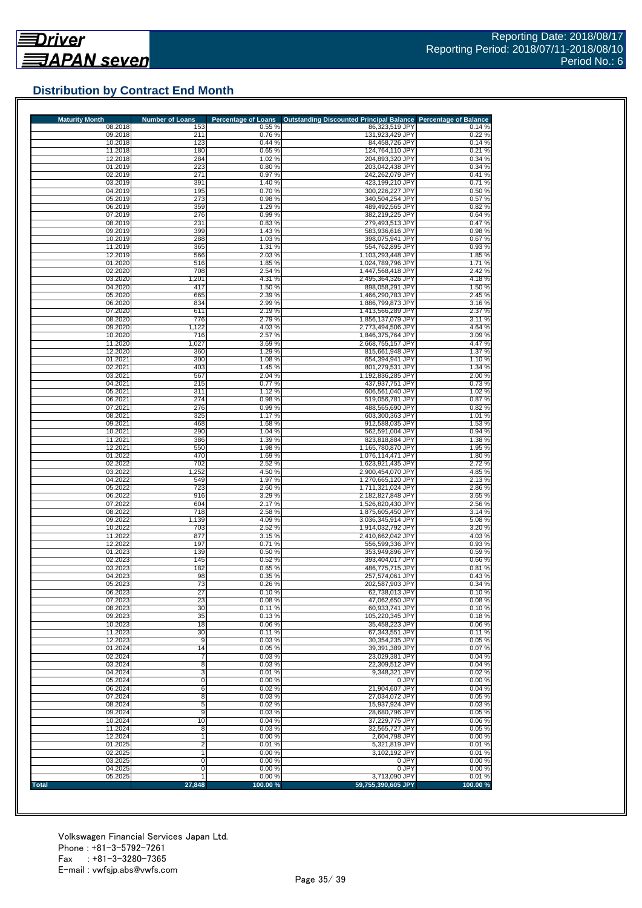# **Distribution by Contract End Month**

| <b>Maturity Month</b> | <b>Number of Loans</b> | <b>Percentage of Loans</b> | <b>Outstanding Discounted Principal Balance</b> | <b>Percentage of Balance</b> |
|-----------------------|------------------------|----------------------------|-------------------------------------------------|------------------------------|
| 08.2018<br>09.2018    | 153<br>211             | 0.55%<br>0.76%             | 86,323,519 JPY<br>131,923,429 JPY               | 0.14%<br>0.22%               |
| 10.2018               | 123                    | 0.44%                      | 84.458.726 JPY                                  | 0.14%                        |
| 11.2018               | 180                    | 0.65%                      | 124,764,110 JPY                                 | 0.21%                        |
| 12.2018               | 284                    | 1.02 %                     | 204,893,320 JPY                                 | 0.34%                        |
| 01.2019               | 223                    | 0.80%                      | 203,042,438 JPY                                 | 0.34%                        |
| 02.2019<br>03.2019    | 271<br>391             | 0.97%<br>1.40 %            | 242,262,079 JPY<br>423,199,210 JPY              | 0.41%<br>0.71%               |
| 04.2019               | 195                    | 0.70%                      | 300,226,227 JPY                                 | 0.50%                        |
| 05.2019               | 273                    | 0.98%                      | 340,504,254 JPY                                 | 0.57%                        |
| 06.2019               | 359                    | 1.29 %                     | 489,492,565 JPY                                 | 0.82%                        |
| 07.2019               | 276                    | 0.99%                      | 382,219,225 JPY                                 | 0.64%                        |
| 08.2019               | 231                    | 0.83%                      | 279,493,513 JPY                                 | 0.47%                        |
| 09.2019<br>10.2019    | 399                    | 1.43 %                     | 583,936,616 JPY                                 | 0.98%                        |
| 11.2019               | 288<br>365             | 1.03%<br>1.31 %            | 398,075,941 JPY<br>554,762,895 JPY              | 0.67%<br>0.93%               |
| 12.2019               | 566                    | 2.03%                      | 1,103,293,448 JPY                               | 1.85%                        |
| 01.2020               | 516                    | 1.85 %                     | 1,024,789,796 JPY                               | 1.71%                        |
| 02.2020               | 708                    | 2.54 %                     | 1,447,568,418 JPY                               | 2.42%                        |
| 03.2020               | 1,201                  | 4.31 %                     | 2,495,364,326 JPY                               | 4.18%                        |
| 04.2020               | 417                    | 1.50 %                     | 898,058,291 JPY                                 | 1.50%                        |
| 05.2020               | 665                    | 2.39 %                     | 1,466,290,783 JPY                               | 2.45 %                       |
| 06.2020               | 834                    | 2.99 %                     | 1,886,799,873 JPY                               | 3.16%                        |
| 07.2020<br>08.2020    | 611<br>776             | 2.19 %<br>2.79%            | 1,413,566,289 JPY<br>1,856,137,079 JPY          | 2.37 %<br>3.11%              |
| 09.2020               | 1,122                  | 4.03%                      | 2,773,494,506 JPY                               | 4.64 %                       |
| 10.2020               | 716                    | 2.57 %                     | 1.846.375.764 JPY                               | 3.09%                        |
| 11.2020               | 1,027                  | 3.69%                      | 2,668,755,157 JPY                               | 4.47%                        |
| 12.2020               | 360                    | 1.29 %                     | 815,661,948 JPY                                 | 1.37%                        |
| 01.2021               | 300                    | 1.08 %                     | 654,394,941 JPY                                 | 1.10 %                       |
| 02.2021               | 403                    | 1.45 %                     | 801,279,531 JPY                                 | 1.34 %                       |
| 03.2021               | 567                    | 2.04 %                     | 1,192,836,285 JPY                               | 2.00 %                       |
| 04.2021<br>05.2021    | 215<br>311             | 0.77%<br>1.12%             | 437,937,751 JPY<br>606,561,040 JPY              | 0.73%<br>1.02%               |
| 06.2021               | 274                    | 0.98%                      | 519,056,781 JPY                                 | 0.87%                        |
| 07.2021               | 276                    | 0.99%                      | 488,565,690 JPY                                 | 0.82%                        |
| 08.2021               | 325                    | 1.17%                      | 603,300,363 JPY                                 | 1.01 %                       |
| 09.2021               | 468                    | 1.68%                      | 912,588,035 JPY                                 | 1.53%                        |
| 10.2021               | 290                    | 1.04 %                     | 562,591,004 JPY                                 | 0.94 %                       |
| 11.2021               | 386                    | 1.39 %                     | 823,818,884 JPY                                 | 1.38 %                       |
| 12.2021               | 550<br>470             | 1.98 %                     | 1,165,780,870 JPY                               | 1.95 %<br>1.80%              |
| 01.2022<br>02.2022    | 702                    | 1.69%<br>2.52 %            | 1,076,114,471 JPY<br>1,623,921,435 JPY          | 2.72%                        |
| 03.2022               | 1,252                  | 4.50 %                     | 2,900,454,070 JPY                               | 4.85%                        |
| 04.2022               | 549                    | 1.97 %                     | 1,270,665,120 JPY                               | 2.13%                        |
| 05.2022               | 723                    | 2.60%                      | 1,711,321,024 JPY                               | 2.86%                        |
| 06.2022               | 916                    | 3.29 %                     | 2,182,827,848 JPY                               | 3.65 %                       |
| 07.2022               | 604                    | 2.17%                      | 1,526,820,430 JPY                               | 2.56 %                       |
| 08.2022<br>09.2022    | 718<br>1,139           | 2.58 %<br>4.09%            | 1,875,605,450 JPY<br>3,036,345,914 JPY          | 3.14 %<br>5.08%              |
| 10.2022               | 703                    | 2.52 %                     | 1,914,032,792 JPY                               | 3.20 %                       |
| 11.2022               | 877                    | 3.15 %                     | 2,410,662,042 JPY                               | 4.03%                        |
| 12.2022               | 197                    | 0.71%                      | 556.599.336 JPY                                 | 0.93%                        |
| 01.2023               | 139                    | 0.50%                      | 353,949,896 JPY                                 | 0.59%                        |
| 02.2023               | 145                    | 0.52%                      | 393,404,017 JPY                                 | 0.66%                        |
| 03.2023               | 182                    | 0.65%                      | 486,775,715 JPY                                 | 0.81%                        |
| 04.2023<br>05.2023    | 98<br>73               | 0.35%<br>0.26%             | 257.574.061 JPY<br>202,587,903 JPY              | 0.43%<br>0.34%               |
| 06.2023               | 27                     | 0.10%                      | 62,738,013 JPY                                  | 0.10%                        |
| 07.2023               | 23                     | 0.08%                      | 47,062,650 JPY                                  | 0.08%                        |
| 08.2023               | 30                     | 0.11%                      | 60,933,741 JPY                                  | 0.10%                        |
| 09.2023               | 35                     | 0.13%                      | 105,220,345 JPY                                 | 0.18%                        |
| 10.2023               | 18                     | 0.06%                      | 35,458,223 JPY                                  | 0.06%                        |
| 11.2023               | 30                     | 0.11%                      | 67,343,551 JPY                                  | 0.11%                        |
| 12.2023               | 9                      | 0.03%                      | 30,354,235 JPY                                  | 0.05%                        |
| 01.2024<br>02.2024    | 14<br>7                | 0.05 %<br>0.03%            | 39,391,389 JPY<br>23,029,381 JPY                | 0.07%<br>0.04%               |
| 03.2024               | 8                      | 0.03%                      | 22,309,512 JPY                                  | 0.04%                        |
| 04.2024               | 3                      | 0.01%                      | 9,348,321 JPY                                   | 0.02%                        |
| 05.2024               | 0                      | 0.00%                      | 0 JPY                                           | 0.00%                        |
| 06.2024               | 6                      | 0.02%                      | 21,904,607 JPY                                  | 0.04%                        |
| 07.2024               | 8                      | 0.03%                      | 27,034,072 JPY                                  | 0.05%                        |
| 08.2024               | 5                      | 0.02%                      | 15,937,924 JPY                                  | 0.03%                        |
| 09.2024<br>10.2024    | 9<br>10                | 0.03%<br>0.04%             | 28,680,796 JPY<br>37,229,775 JPY                | 0.05%<br>0.06%               |
| 11.2024               | 8                      | 0.03%                      | 32,565,727 JPY                                  | 0.05%                        |
| 12.2024               | 1                      | 0.00%                      | 2,604,798 JPY                                   | 0.00%                        |
| 01.2025               | $\overline{2}$         | 0.01%                      | 5,321,819 JPY                                   | 0.01%                        |
| 02.2025               | 1                      | 0.00%                      | 3,102,192 JPY                                   | 0.01%                        |
|                       |                        | 0.00%                      | 0 JPY                                           | 0.00%                        |
| 03.2025               | 0                      |                            |                                                 |                              |
| 04.2025<br>05.2025    | 0                      | 0.00%<br>0.00%             | 0 JPY<br>3,713,090 JPY                          | 0.00%<br>0.01%               |

Volkswagen Financial Services Japan Ltd. Phone : +81-3-5792-7261 Fax : +81-3-3280-7365 E-mail : vwfsjp.abs@vwfs.com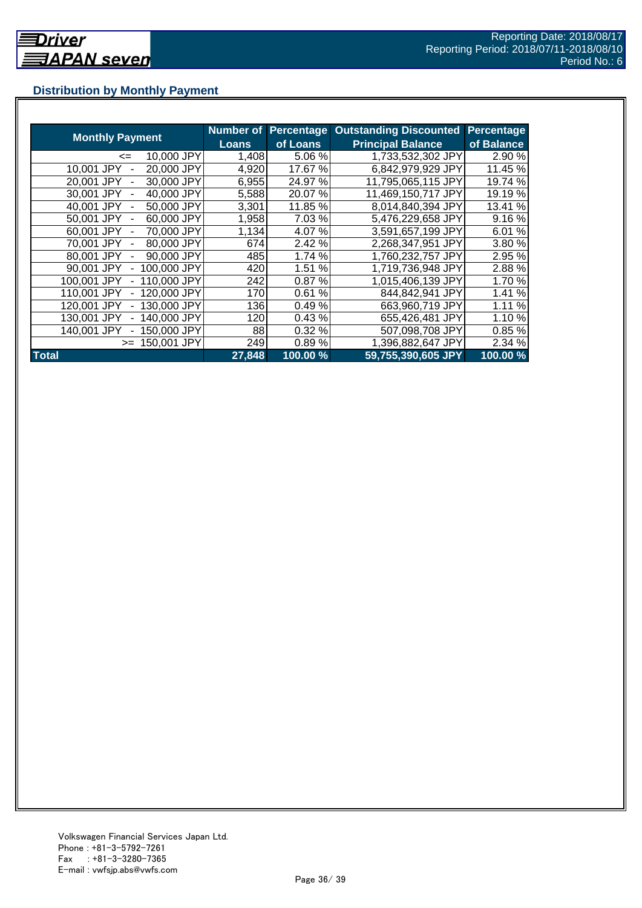# **Distribution by Monthly Payment**

|                            | <b>Number of</b> | <b>Percentage</b> | <b>Outstanding Discounted</b> | Percentage |
|----------------------------|------------------|-------------------|-------------------------------|------------|
| <b>Monthly Payment</b>     | <b>Loans</b>     | of Loans          | <b>Principal Balance</b>      | of Balance |
| 10,000 JPY<br><=           | 1,408            | 5.06 %            | 1,733,532,302 JPY             | 2.90 %     |
| 20,000 JPY<br>10,001 JPY   | 4,920            | 17.67 %           | 6,842,979,929 JPY             | 11.45 %    |
| 20,001 JPY<br>30,000 JPY   | 6,955            | 24.97 %           | 11,795,065,115 JPY            | 19.74 %    |
| 40,000 JPY<br>30.001 JPY   | 5,588            | 20.07%            | 11,469,150,717 JPY            | 19.19 %    |
| 40.001 JPY<br>50,000 JPY   | 3,301            | 11.85 %           | 8,014,840,394 JPY             | 13.41 %    |
| 50.001 JPY<br>60,000 JPY   | 1,958            | 7.03 %            | 5,476,229,658 JPY             | 9.16%      |
| 70,000 JPY<br>60,001 JPY   | 1,134            | 4.07%             | 3,591,657,199 JPY             | 6.01%      |
| 80,000 JPY<br>70,001 JPY   | 6741             | 2.42 %            | 2,268,347,951 JPY             | 3.80%      |
| 80,001 JPY<br>90,000 JPY   | 485              | 1.74 %            | 1,760,232,757 JPY             | 2.95 %     |
| 90,001 JPY<br>100,000 JPY  | 420              | 1.51 %            | 1,719,736,948 JPY             | 2.88%      |
| 100,001 JPY<br>110,000 JPY | 242              | 0.87%             | 1,015,406,139 JPY             | 1.70 %     |
| 110,001 JPY<br>120,000 JPY | 170              | 0.61%             | 844,842,941 JPY               | 1.41%      |
| 130,000 JPY<br>120.001 JPY | 136              | 0.49%             | 663,960,719 JPY               | 1.11%      |
| 140,000 JPY<br>130.001 JPY | 120              | 0.43%             | 655,426,481 JPY               | 1.10%      |
| 140,001 JPY<br>150.000 JPY | 88               | 0.32%             | 507,098,708 JPY               | 0.85%      |
| 150.001 JPY<br>$>=$        | 249              | 0.89%             | 1,396,882,647 JPY             | 2.34 %     |
| <b>Total</b>               | 27,848           | 100.00%           | 59,755,390,605 JPY            | 100.00%    |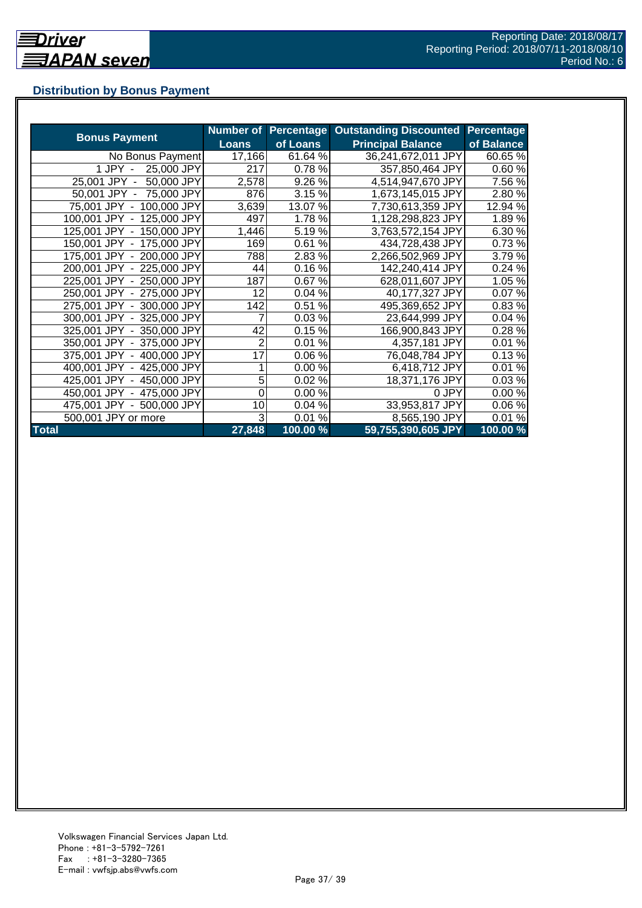# **Distribution by Bonus Payment**

|                            | <b>Number of</b> | Percentage | <b>Outstanding Discounted</b> | <b>Percentage</b> |
|----------------------------|------------------|------------|-------------------------------|-------------------|
| <b>Bonus Payment</b>       | <b>Loans</b>     | of Loans   | <b>Principal Balance</b>      | of Balance        |
| No Bonus Payment           | 17,166           | 61.64 %    | 36,241,672,011 JPY            | 60.65%            |
| 1 JPY -<br>25,000 JPY      | 217              | 0.78%      | 357,850,464 JPY               | 0.60%             |
| 25,001 JPY -<br>50,000 JPY | 2,578            | 9.26 %     | 4,514,947,670 JPY             | 7.56 %            |
| 50,001 JPY -<br>75,000 JPY | 876              | 3.15 %     | 1,673,145,015 JPY             | 2.80%             |
| 75,001 JPY - 100,000 JPY   | 3,639            | 13.07 %    | 7,730,613,359 JPY             | 12.94 %           |
| 100,001 JPY - 125,000 JPY  | 497              | 1.78%      | 1,128,298,823 JPY             | 1.89%             |
| 125,001 JPY - 150,000 JPY  | 1,446            | 5.19%      | 3,763,572,154 JPY             | 6.30%             |
| 150,001 JPY - 175,000 JPY  | 169              | 0.61%      | 434,728,438 JPY               | 0.73%             |
| 175,001 JPY - 200,000 JPY  | 788              | 2.83 %     | 2,266,502,969 JPY             | 3.79%             |
| 200,001 JPY - 225,000 JPY  | 44               | 0.16%      | 142,240,414 JPY               | 0.24%             |
| 225,001 JPY - 250,000 JPY  | 187              | 0.67%      | 628,011,607 JPY               | 1.05 %            |
| 250,001 JPY - 275,000 JPY  | 12               | 0.04%      | 40,177,327 JPY                | 0.07%             |
| 275,001 JPY - 300,000 JPY  | 142              | 0.51%      | 495,369,652 JPY               | 0.83%             |
| 300,001 JPY - 325,000 JPY  | 7                | 0.03%      | 23,644,999 JPY                | 0.04%             |
| 325,001 JPY - 350,000 JPY  | 42               | 0.15%      | 166,900,843 JPY               | 0.28%             |
| 350,001 JPY - 375,000 JPY  | $\overline{2}$   | 0.01%      | 4,357,181 JPY                 | 0.01%             |
| 375,001 JPY - 400,000 JPY  | 17               | 0.06%      | 76,048,784 JPY                | 0.13%             |
| 400,001 JPY - 425,000 JPY  |                  | 0.00%      | 6,418,712 JPY                 | 0.01%             |
| 425,001 JPY - 450,000 JPY  | 5                | 0.02%      | 18,371,176 JPY                | 0.03%             |
| 450,001 JPY - 475,000 JPY  | 0                | 0.00%      | 0 JPY                         | 0.00%             |
| 475,001 JPY - 500,000 JPY  | 10               | 0.04%      | 33,953,817 JPY                | 0.06%             |
| 500,001 JPY or more        | 3                | 0.01%      | 8,565,190 JPY                 | 0.01%             |
| <b>Total</b>               | 27,848           | 100.00 %   | 59,755,390,605 JPY            | 100.00 %          |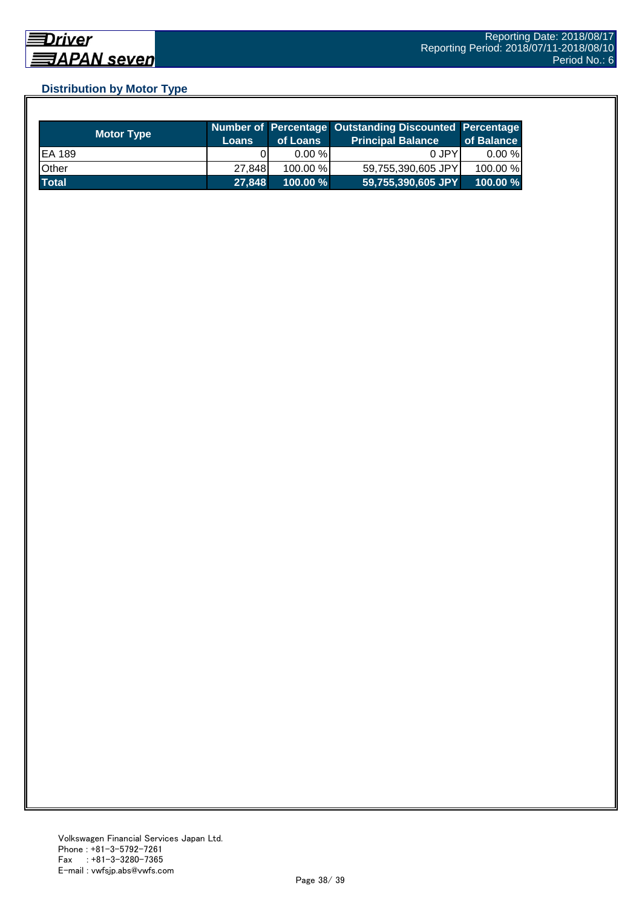# **Distribution by Motor Type**

| <b>Motor Type</b> | <b>Loans</b> | of Loans    | Number of Percentage Outstanding Discounted Percentage<br>Principal Balance <sup>'</sup> | of Balance |
|-------------------|--------------|-------------|------------------------------------------------------------------------------------------|------------|
| EA 189            |              | $0.00 \%$   | 0 JPY                                                                                    | $0.00 \%$  |
| Other             | 27.848       | $100.00\%$  | 59,755,390,605 JPY                                                                       | 100.00 %   |
| <b>Total</b>      | 27,848       | $100.00 \%$ | 59,755,390,605 JPY                                                                       | 100.00%    |